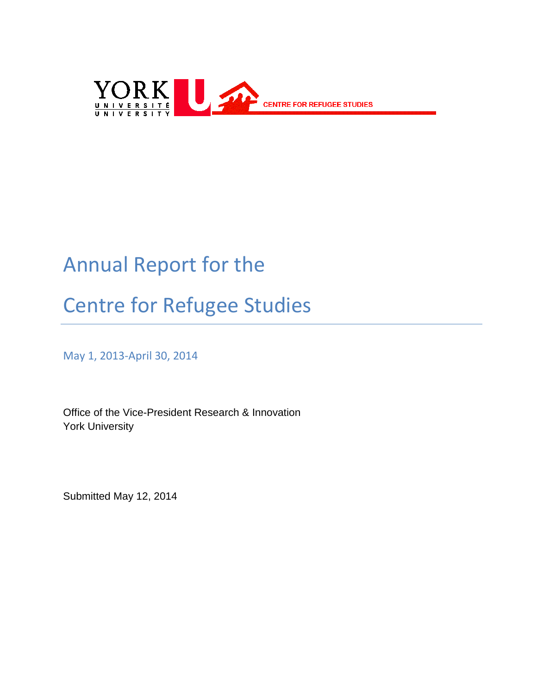

## Annual Report for the

# Centre for Refugee Studies

May 1, 2013-April 30, 2014

Office of the Vice-President Research & Innovation York University

Submitted May 12, 2014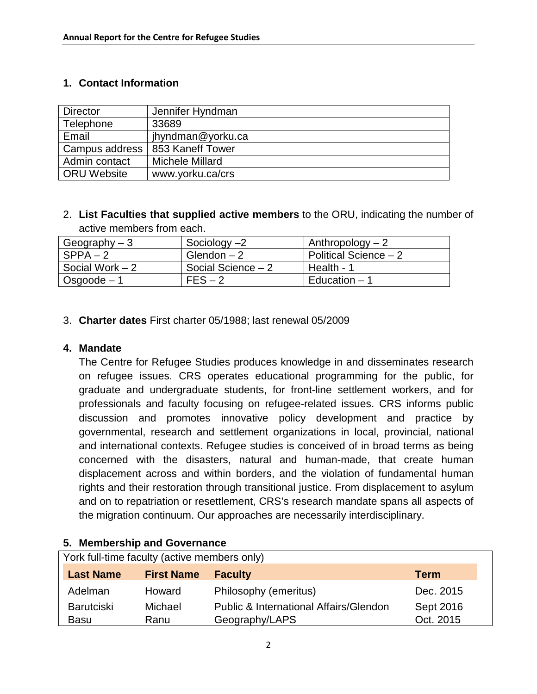#### **1. Contact Information**

| <b>Director</b> | Jennifer Hyndman       |
|-----------------|------------------------|
| Telephone       | 33689                  |
| Email           | jhyndman@yorku.ca      |
| Campus address  | 853 Kaneff Tower       |
| Admin contact   | <b>Michele Millard</b> |
| ORU Website     | www.yorku.ca/crs       |

2. **List Faculties that supplied active members** to the ORU, indicating the number of active members from each.

| Geography $-3$   | Sociology $-2$     | Anthropology $-2$     |
|------------------|--------------------|-----------------------|
| $SPPA-2$         | Glendon $-2$       | Political Science - 2 |
| Social Work $-2$ | Social Science - 2 | Health - 1            |
| $Osgoode - 1$    | $FES - 2$          | Education - 1         |

3. **Charter dates** First charter 05/1988; last renewal 05/2009

#### **4. Mandate**

The Centre for Refugee Studies produces knowledge in and disseminates research on refugee issues. CRS operates educational programming for the public, for graduate and undergraduate students, for front-line settlement workers, and for professionals and faculty focusing on refugee-related issues. CRS informs public discussion and promotes innovative policy development and practice by governmental, research and settlement organizations in local, provincial, national and international contexts. Refugee studies is conceived of in broad terms as being concerned with the disasters, natural and human-made, that create human displacement across and within borders, and the violation of fundamental human rights and their restoration through transitional justice. From displacement to asylum and on to repatriation or resettlement, CRS's research mandate spans all aspects of the migration continuum. Our approaches are necessarily interdisciplinary.

| York full-time faculty (active members only) |                   |                                                   |             |
|----------------------------------------------|-------------------|---------------------------------------------------|-------------|
| <b>Last Name</b>                             | <b>First Name</b> | <b>Faculty</b>                                    | <b>Term</b> |
| Adelman                                      | Howard            | Philosophy (emeritus)                             | Dec. 2015   |
| <b>Barutciski</b>                            | Michael           | <b>Public &amp; International Affairs/Glendon</b> | Sept 2016   |
| <b>Basu</b>                                  | Ranu              | Geography/LAPS                                    | Oct. 2015   |

#### **5. Membership and Governance**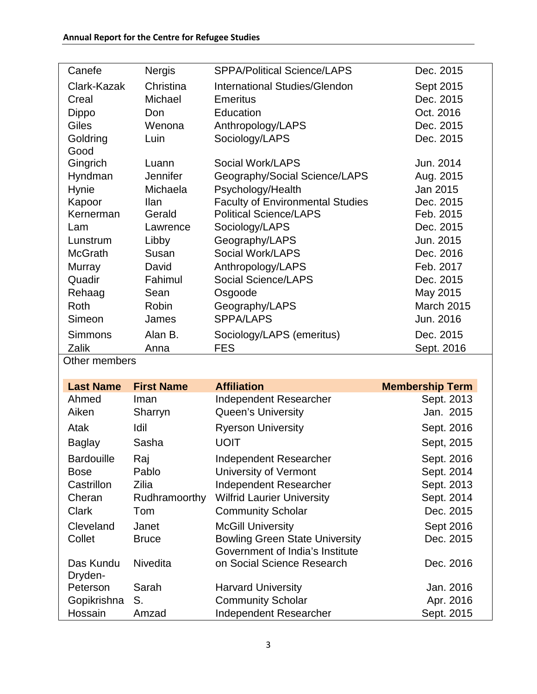| Canefe         | <b>Nergis</b>   | <b>SPPA/Political Science/LAPS</b>      | Dec. 2015         |
|----------------|-----------------|-----------------------------------------|-------------------|
| Clark-Kazak    | Christina       | International Studies/Glendon           | Sept 2015         |
| Creal          | Michael         | <b>Emeritus</b>                         | Dec. 2015         |
| Dippo          | Don             | Education                               | Oct. 2016         |
| <b>Giles</b>   | Wenona          | Anthropology/LAPS                       | Dec. 2015         |
| Goldring       | Luin            | Sociology/LAPS                          | Dec. 2015         |
| Good           |                 |                                         |                   |
| Gingrich       | Luann           | Social Work/LAPS                        | Jun. 2014         |
| Hyndman        | <b>Jennifer</b> | Geography/Social Science/LAPS           | Aug. 2015         |
| <b>Hynie</b>   | Michaela        | Psychology/Health                       | Jan 2015          |
| Kapoor         | <b>Ilan</b>     | <b>Faculty of Environmental Studies</b> | Dec. 2015         |
| Kernerman      | Gerald          | <b>Political Science/LAPS</b>           | Feb. 2015         |
| Lam            | Lawrence        | Sociology/LAPS                          | Dec. 2015         |
| Lunstrum       | Libby           | Geography/LAPS                          | Jun. 2015         |
| <b>McGrath</b> | Susan           | Social Work/LAPS                        | Dec. 2016         |
| Murray         | David           | Anthropology/LAPS                       | Feb. 2017         |
| Quadir         | Fahimul         | <b>Social Science/LAPS</b>              | Dec. 2015         |
| Rehaag         | Sean            | Osgoode                                 | May 2015          |
| Roth           | Robin           | Geography/LAPS                          | <b>March 2015</b> |
| Simeon         | James           | <b>SPPA/LAPS</b>                        | Jun. 2016         |
| Simmons        | Alan B.         | Sociology/LAPS (emeritus)               | Dec. 2015         |
| Zalik          | Anna            | <b>FES</b>                              | Sept. 2016        |
| Other members  |                 |                                         |                   |

Other members

| <b>Last Name</b>     | <b>First Name</b> | <b>Affiliation</b>                                                       | <b>Membership Term</b> |
|----------------------|-------------------|--------------------------------------------------------------------------|------------------------|
| Ahmed                | Iman              | Independent Researcher                                                   | Sept. 2013             |
| Aiken                | Sharryn           | <b>Queen's University</b>                                                | Jan. 2015              |
| Atak                 | Idil              | <b>Ryerson University</b>                                                | Sept. 2016             |
| <b>Baglay</b>        | Sasha             | <b>UOIT</b>                                                              | Sept, 2015             |
| <b>Bardouille</b>    | Raj               | Independent Researcher                                                   | Sept. 2016             |
| <b>Bose</b>          | Pablo             | University of Vermont                                                    | Sept. 2014             |
| Castrillon           | Zilia             | Independent Researcher                                                   | Sept. 2013             |
| Cheran               | Rudhramoorthy     | <b>Wilfrid Laurier University</b>                                        | Sept. 2014             |
| <b>Clark</b>         | Tom               | <b>Community Scholar</b>                                                 | Dec. 2015              |
| Cleveland            | Janet             | <b>McGill University</b>                                                 | Sept 2016              |
| Collet               | <b>Bruce</b>      | <b>Bowling Green State University</b><br>Government of India's Institute | Dec. 2015              |
| Das Kundu<br>Dryden- | <b>Nivedita</b>   | on Social Science Research                                               | Dec. 2016              |
| Peterson             | Sarah             | <b>Harvard University</b>                                                | Jan. 2016              |
| Gopikrishna          | S.                | <b>Community Scholar</b>                                                 | Apr. 2016              |
| Hossain              | Amzad             | <b>Independent Researcher</b>                                            | Sept. 2015             |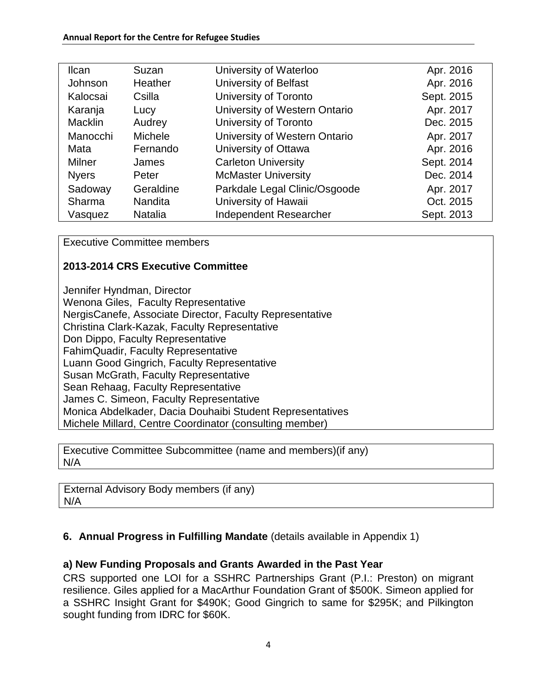| <b>Ilcan</b>   | Suzan          | University of Waterloo        | Apr. 2016  |
|----------------|----------------|-------------------------------|------------|
| Johnson        | Heather        | University of Belfast         | Apr. 2016  |
| Kalocsai       | Csilla         | University of Toronto         | Sept. 2015 |
| Karanja        | Lucy           | University of Western Ontario | Apr. 2017  |
| <b>Macklin</b> | Audrey         | University of Toronto         | Dec. 2015  |
| Manocchi       | <b>Michele</b> | University of Western Ontario | Apr. 2017  |
| Mata           | Fernando       | University of Ottawa          | Apr. 2016  |
| Milner         | James          | <b>Carleton University</b>    | Sept. 2014 |
| <b>Nyers</b>   | Peter          | <b>McMaster University</b>    | Dec. 2014  |
| Sadoway        | Geraldine      | Parkdale Legal Clinic/Osgoode | Apr. 2017  |
| Sharma         | <b>Nandita</b> | University of Hawaii          | Oct. 2015  |
| Vasquez        | <b>Natalia</b> | Independent Researcher        | Sept. 2013 |

Executive Committee members

#### **2013-2014 CRS Executive Committee**

Jennifer Hyndman, Director Wenona Giles, Faculty Representative NergisCanefe, Associate Director, Faculty Representative Christina Clark-Kazak, Faculty Representative Don Dippo, Faculty Representative FahimQuadir, Faculty Representative Luann Good Gingrich, Faculty Representative Susan McGrath, Faculty Representative Sean Rehaag, Faculty Representative James C. Simeon, Faculty Representative Monica Abdelkader, Dacia Douhaibi Student Representatives Michele Millard, Centre Coordinator (consulting member)

Executive Committee Subcommittee (name and members)(if any) N/A

External Advisory Body members (if any) N/A

#### **6. Annual Progress in Fulfilling Mandate** (details available in Appendix 1)

#### **a) New Funding Proposals and Grants Awarded in the Past Year**

CRS supported one LOI for a SSHRC Partnerships Grant (P.I.: Preston) on migrant resilience. Giles applied for a MacArthur Foundation Grant of \$500K. Simeon applied for a SSHRC Insight Grant for \$490K; Good Gingrich to same for \$295K; and Pilkington sought funding from IDRC for \$60K.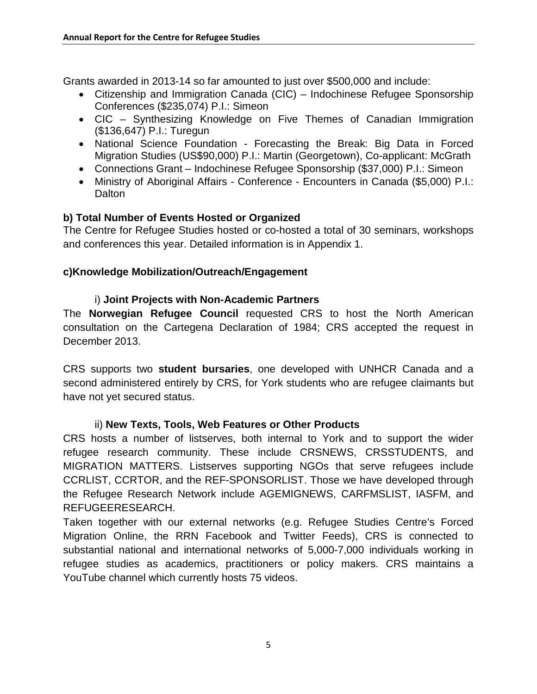Grants awarded in 2013-14 so far amounted to just over \$500,000 and include:

- Citizenship and Immigration Canada (CIC) Indochinese Refugee Sponsorship Conferences (\$235,074) P.I.: Simeon
- CIC Synthesizing Knowledge on Five Themes of Canadian Immigration (\$136,647) P.I.: Turegun
- National Science Foundation Forecasting the Break: Big Data in Forced Migration Studies (US\$90,000) P.I.: Martin (Georgetown), Co-applicant: McGrath
- Connections Grant Indochinese Refugee Sponsorship (\$37,000) P.I.: Simeon
- Ministry of Aboriginal Affairs Conference Encounters in Canada (\$5,000) P.I.: **Dalton**

#### **b) Total Number of Events Hosted or Organized**

The Centre for Refugee Studies hosted or co-hosted a total of 30 seminars, workshops and conferences this year. Detailed information is in Appendix 1.

#### **c)Knowledge Mobilization/Outreach/Engagement**

#### i) **Joint Projects with Non-Academic Partners**

The **Norwegian Refugee Council** requested CRS to host the North American consultation on the Cartegena Declaration of 1984; CRS accepted the request in December 2013.

CRS supports two **student bursaries**, one developed with UNHCR Canada and a second administered entirely by CRS, for York students who are refugee claimants but have not yet secured status.

#### ii) **New Texts, Tools, Web Features or Other Products**

CRS hosts a number of listserves, both internal to York and to support the wider refugee research community. These include CRSNEWS, CRSSTUDENTS, and MIGRATION MATTERS. Listserves supporting NGOs that serve refugees include CCRLIST, CCRTOR, and the REF-SPONSORLIST. Those we have developed through the Refugee Research Network include AGEMIGNEWS, CARFMSLIST, IASFM, and REFUGEERESEARCH.

Taken together with our external networks (e.g. Refugee Studies Centre's Forced Migration Online, the RRN Facebook and Twitter Feeds), CRS is connected to substantial national and international networks of 5,000-7,000 individuals working in refugee studies as academics, practitioners or policy makers. CRS maintains a YouTube channel which currently hosts 75 videos.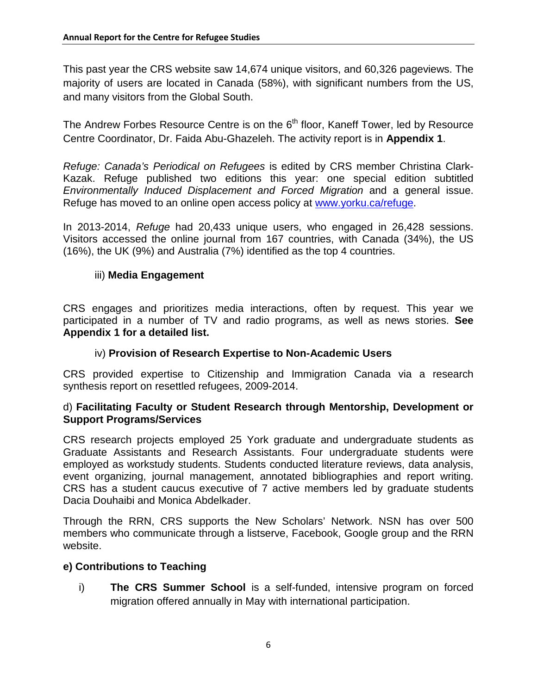This past year the CRS website saw 14,674 unique visitors, and 60,326 pageviews. The majority of users are located in Canada (58%), with significant numbers from the US, and many visitors from the Global South.

The Andrew Forbes Resource Centre is on the  $6<sup>th</sup>$  floor, Kaneff Tower, led by Resource Centre Coordinator, Dr. Faida Abu-Ghazeleh. The activity report is in **Appendix 1**.

*Refuge: Canada's Periodical on Refugees* is edited by CRS member Christina Clark-Kazak. Refuge published two editions this year: one special edition subtitled *Environmentally Induced Displacement and Forced Migration* and a general issue. Refuge has moved to an online open access policy at www.yorku.ca/refuge.

In 2013-2014, *Refuge* had 20,433 unique users, who engaged in 26,428 sessions. Visitors accessed the online journal from 167 countries, with Canada (34%), the US (16%), the UK (9%) and Australia (7%) identified as the top 4 countries.

#### iii) **Media Engagement**

CRS engages and prioritizes media interactions, often by request. This year we participated in a number of TV and radio programs, as well as news stories. **See Appendix 1 for a detailed list.**

#### iv) **Provision of Research Expertise to Non-Academic Users**

CRS provided expertise to Citizenship and Immigration Canada via a research synthesis report on resettled refugees, 2009-2014.

#### d) **Facilitating Faculty or Student Research through Mentorship, Development or Support Programs/Services**

CRS research projects employed 25 York graduate and undergraduate students as Graduate Assistants and Research Assistants. Four undergraduate students were employed as workstudy students. Students conducted literature reviews, data analysis, event organizing, journal management, annotated bibliographies and report writing. CRS has a student caucus executive of 7 active members led by graduate students Dacia Douhaibi and Monica Abdelkader.

Through the RRN, CRS supports the New Scholars' Network. NSN has over 500 members who communicate through a listserve, Facebook, Google group and the RRN website.

#### **e) Contributions to Teaching**

i) **The CRS Summer School** is a self-funded, intensive program on forced migration offered annually in May with international participation.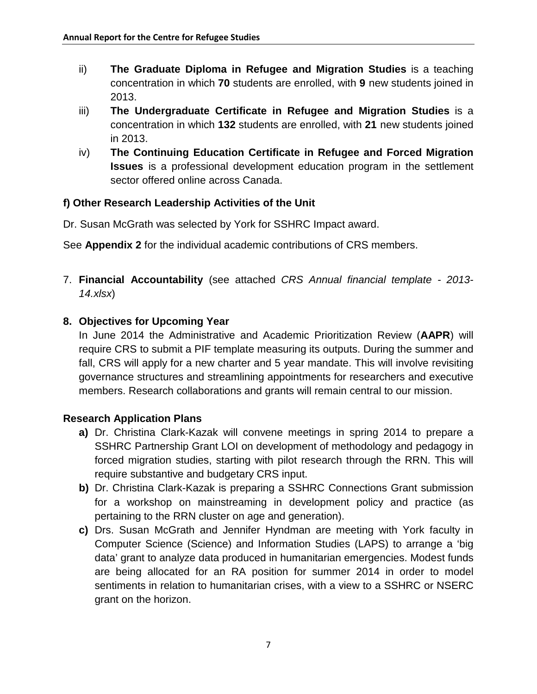- ii) **The Graduate Diploma in Refugee and Migration Studies** is a teaching concentration in which **70** students are enrolled, with **9** new students joined in 2013.
- iii) **The Undergraduate Certificate in Refugee and Migration Studies** is a concentration in which **132** students are enrolled, with **21** new students joined in 2013.
- iv) **The Continuing Education Certificate in Refugee and Forced Migration Issues** is a professional development education program in the settlement sector offered online across Canada.

#### **f) Other Research Leadership Activities of the Unit**

Dr. Susan McGrath was selected by York for SSHRC Impact award.

See **Appendix 2** for the individual academic contributions of CRS members.

7. **Financial Accountability** (see attached *CRS Annual financial template - 2013- 14.xlsx*)

#### **8. Objectives for Upcoming Year**

In June 2014 the Administrative and Academic Prioritization Review (**AAPR**) will require CRS to submit a PIF template measuring its outputs. During the summer and fall, CRS will apply for a new charter and 5 year mandate. This will involve revisiting governance structures and streamlining appointments for researchers and executive members. Research collaborations and grants will remain central to our mission.

#### **Research Application Plans**

- **a)** Dr. Christina Clark-Kazak will convene meetings in spring 2014 to prepare a SSHRC Partnership Grant LOI on development of methodology and pedagogy in forced migration studies, starting with pilot research through the RRN. This will require substantive and budgetary CRS input.
- **b)** Dr. Christina Clark-Kazak is preparing a SSHRC Connections Grant submission for a workshop on mainstreaming in development policy and practice (as pertaining to the RRN cluster on age and generation).
- **c)** Drs. Susan McGrath and Jennifer Hyndman are meeting with York faculty in Computer Science (Science) and Information Studies (LAPS) to arrange a 'big data' grant to analyze data produced in humanitarian emergencies. Modest funds are being allocated for an RA position for summer 2014 in order to model sentiments in relation to humanitarian crises, with a view to a SSHRC or NSERC grant on the horizon.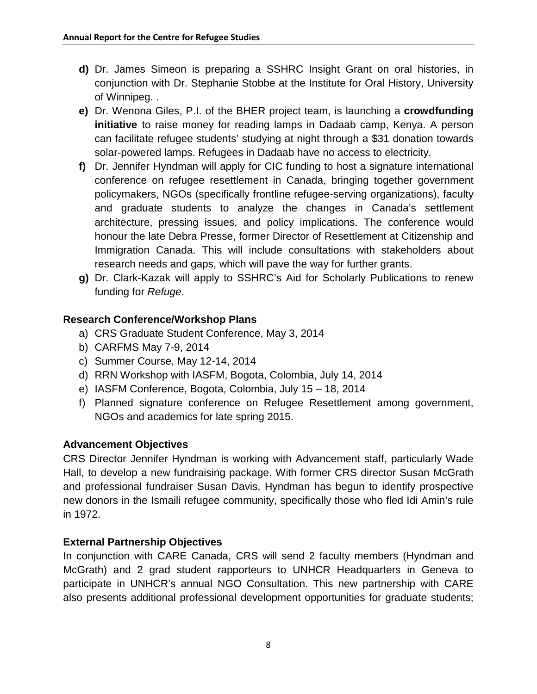- **d)** Dr. James Simeon is preparing a SSHRC Insight Grant on oral histories, in conjunction with Dr. Stephanie Stobbe at the Institute for Oral History, University of Winnipeg. .
- **e)** Dr. Wenona Giles, P.I. of the BHER project team, is launching a **crowdfunding initiative** to raise money for reading lamps in Dadaab camp, Kenya. A person can facilitate refugee students' studying at night through a \$31 donation towards solar-powered lamps. Refugees in Dadaab have no access to electricity.
- **f)** Dr. Jennifer Hyndman will apply for CIC funding to host a signature international conference on refugee resettlement in Canada, bringing together government policymakers, NGOs (specifically frontline refugee-serving organizations), faculty and graduate students to analyze the changes in Canada's settlement architecture, pressing issues, and policy implications. The conference would honour the late Debra Presse, former Director of Resettlement at Citizenship and Immigration Canada. This will include consultations with stakeholders about research needs and gaps, which will pave the way for further grants.
- **g)** Dr. Clark-Kazak will apply to SSHRC's Aid for Scholarly Publications to renew funding for *Refuge*.

#### **Research Conference/Workshop Plans**

- a) CRS Graduate Student Conference, May 3, 2014
- b) CARFMS May 7-9, 2014
- c) Summer Course, May 12-14, 2014
- d) RRN Workshop with IASFM, Bogota, Colombia, July 14, 2014
- e) IASFM Conference, Bogota, Colombia, July 15 18, 2014
- f) Planned signature conference on Refugee Resettlement among government, NGOs and academics for late spring 2015.

#### **Advancement Objectives**

CRS Director Jennifer Hyndman is working with Advancement staff, particularly Wade Hall, to develop a new fundraising package. With former CRS director Susan McGrath and professional fundraiser Susan Davis, Hyndman has begun to identify prospective new donors in the Ismaili refugee community, specifically those who fled Idi Amin's rule in 1972.

#### **External Partnership Objectives**

In conjunction with CARE Canada, CRS will send 2 faculty members (Hyndman and McGrath) and 2 grad student rapporteurs to UNHCR Headquarters in Geneva to participate in UNHCR's annual NGO Consultation. This new partnership with CARE also presents additional professional development opportunities for graduate students;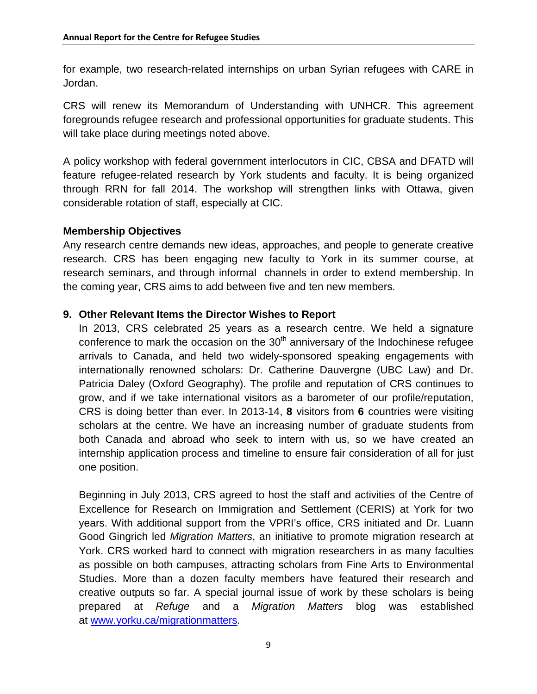for example, two research-related internships on urban Syrian refugees with CARE in Jordan.

CRS will renew its Memorandum of Understanding with UNHCR. This agreement foregrounds refugee research and professional opportunities for graduate students. This will take place during meetings noted above.

A policy workshop with federal government interlocutors in CIC, CBSA and DFATD will feature refugee-related research by York students and faculty. It is being organized through RRN for fall 2014. The workshop will strengthen links with Ottawa, given considerable rotation of staff, especially at CIC.

#### **Membership Objectives**

Any research centre demands new ideas, approaches, and people to generate creative research. CRS has been engaging new faculty to York in its summer course, at research seminars, and through informal channels in order to extend membership. In the coming year, CRS aims to add between five and ten new members.

#### **9. Other Relevant Items the Director Wishes to Report**

In 2013, CRS celebrated 25 years as a research centre. We held a signature conference to mark the occasion on the  $30<sup>th</sup>$  anniversary of the Indochinese refugee arrivals to Canada, and held two widely-sponsored speaking engagements with internationally renowned scholars: Dr. Catherine Dauvergne (UBC Law) and Dr. Patricia Daley (Oxford Geography). The profile and reputation of CRS continues to grow, and if we take international visitors as a barometer of our profile/reputation, CRS is doing better than ever. In 2013-14, **8** visitors from **6** countries were visiting scholars at the centre. We have an increasing number of graduate students from both Canada and abroad who seek to intern with us, so we have created an internship application process and timeline to ensure fair consideration of all for just one position.

Beginning in July 2013, CRS agreed to host the staff and activities of the Centre of Excellence for Research on Immigration and Settlement (CERIS) at York for two years. With additional support from the VPRI's office, CRS initiated and Dr. Luann Good Gingrich led *Migration Matters*, an initiative to promote migration research at York. CRS worked hard to connect with migration researchers in as many faculties as possible on both campuses, attracting scholars from Fine Arts to Environmental Studies. More than a dozen faculty members have featured their research and creative outputs so far. A special journal issue of work by these scholars is being prepared at *Refuge* and a *Migration Matters* blog was established at [www.yorku.ca/migrationmatters](http://www.yorku.ca/migrationmatters).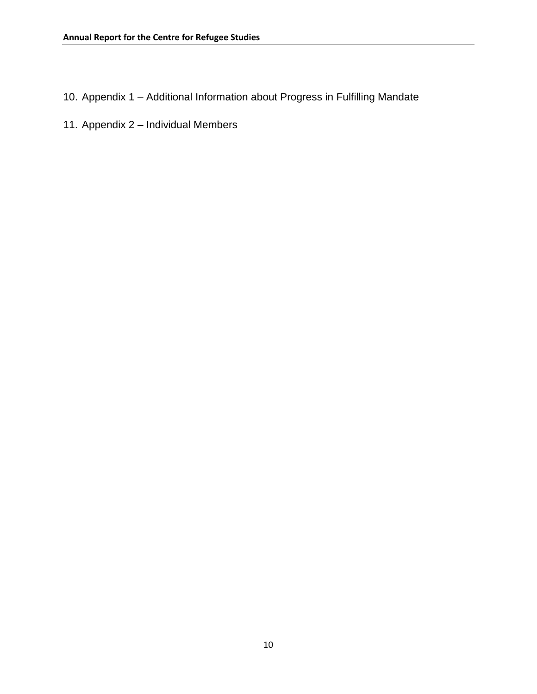- 10. Appendix 1 Additional Information about Progress in Fulfilling Mandate
- 11. Appendix 2 Individual Members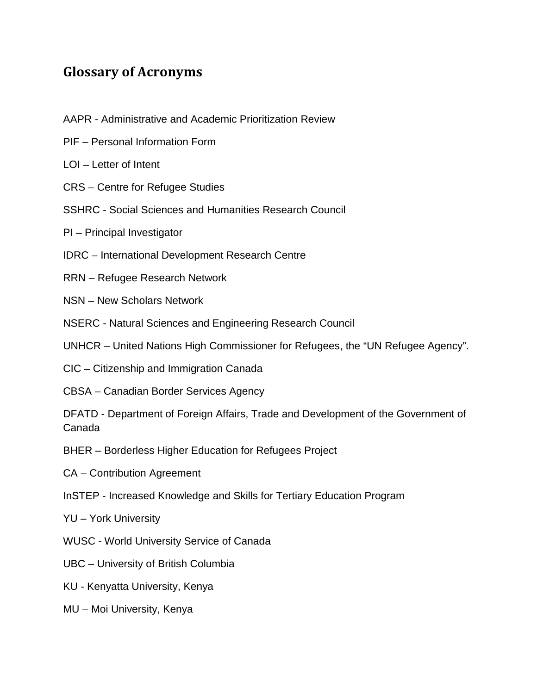## **Glossary of Acronyms**

- AAPR Administrative and Academic Prioritization Review
- PIF Personal Information Form
- LOI Letter of Intent
- CRS Centre for Refugee Studies
- SSHRC Social Sciences and Humanities Research Council
- PI Principal Investigator
- IDRC International Development Research Centre
- RRN Refugee Research Network
- NSN New Scholars Network
- NSERC Natural Sciences and Engineering Research Council
- UNHCR United Nations High Commissioner for Refugees, the "UN Refugee Agency".
- CIC Citizenship and Immigration Canada
- CBSA Canadian Border Services Agency
- DFATD Department of Foreign Affairs, Trade and Development of the Government of Canada
- BHER Borderless Higher Education for Refugees Project
- CA Contribution Agreement
- InSTEP Increased Knowledge and Skills for Tertiary Education Program
- YU York University
- WUSC World University Service of Canada
- UBC University of British Columbia
- KU Kenyatta University, Kenya
- MU Moi University, Kenya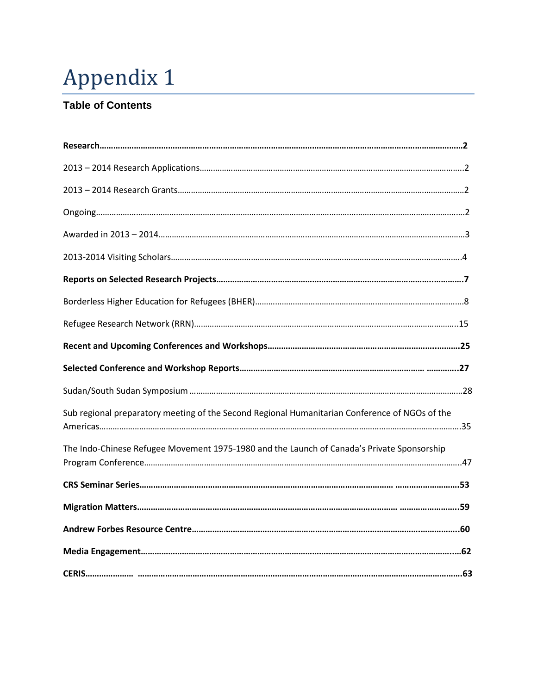# Appendix 1

## **Table of Contents**

| Sub regional preparatory meeting of the Second Regional Humanitarian Conference of NGOs of the |  |
|------------------------------------------------------------------------------------------------|--|
| The Indo-Chinese Refugee Movement 1975-1980 and the Launch of Canada's Private Sponsorship     |  |
|                                                                                                |  |
|                                                                                                |  |
|                                                                                                |  |
|                                                                                                |  |
|                                                                                                |  |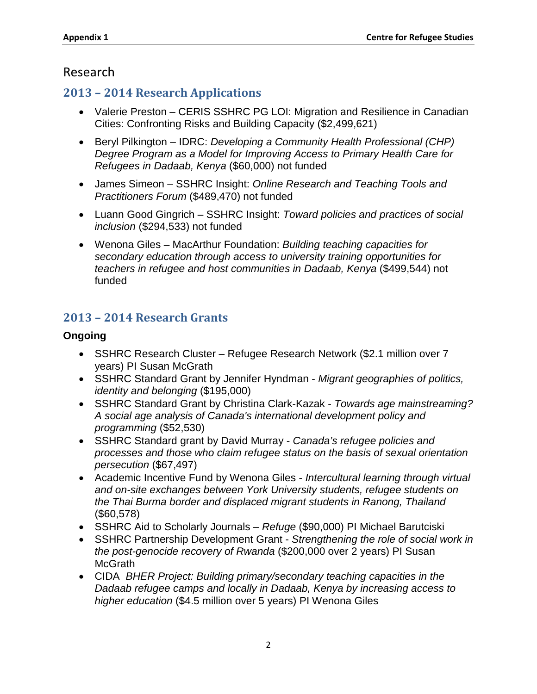## Research

## **2013 – 2014 Research Applications**

- Valerie Preston CERIS SSHRC PG LOI: Migration and Resilience in Canadian Cities: Confronting Risks and Building Capacity (\$2,499,621)
- Beryl Pilkington IDRC: *Developing a Community Health Professional (CHP) Degree Program as a Model for Improving Access to Primary Health Care for Refugees in Dadaab, Kenya* (\$60,000) not funded
- James Simeon SSHRC Insight: *Online Research and Teaching Tools and Practitioners Forum* (\$489,470) not funded
- Luann Good Gingrich SSHRC Insight: *Toward policies and practices of social inclusion* (\$294,533) not funded
- Wenona Giles MacArthur Foundation: *Building teaching capacities for secondary education through access to university training opportunities for teachers in refugee and host communities in Dadaab, Kenya* (\$499,544) not funded

## **2013 – 2014 Research Grants**

#### **Ongoing**

- SSHRC Research Cluster Refugee Research Network (\$2.1 million over 7 years) PI Susan McGrath
- SSHRC Standard Grant by Jennifer Hyndman *Migrant geographies of politics, identity and belonging* (\$195,000)
- SSHRC Standard Grant by Christina Clark-Kazak *Towards age mainstreaming? A social age analysis of Canada's international development policy and programming* (\$52,530)
- SSHRC Standard grant by David Murray *Canada's refugee policies and processes and those who claim refugee status on the basis of sexual orientation persecution* (\$67,497)
- Academic Incentive Fund by Wenona Giles *Intercultural learning through virtual and on-site exchanges between York University students, refugee students on the Thai Burma border and displaced migrant students in Ranong, Thailand*  (\$60,578)
- SSHRC Aid to Scholarly Journals *Refuge* (\$90,000) PI Michael Barutciski
- SSHRC Partnership Development Grant *Strengthening the role of social work in the post-genocide recovery of Rwanda* (\$200,000 over 2 years) PI Susan **McGrath**
- CIDA *BHER Project: Building primary/secondary teaching capacities in the Dadaab refugee camps and locally in Dadaab, Kenya by increasing access to higher education* (\$4.5 million over 5 years) PI Wenona Giles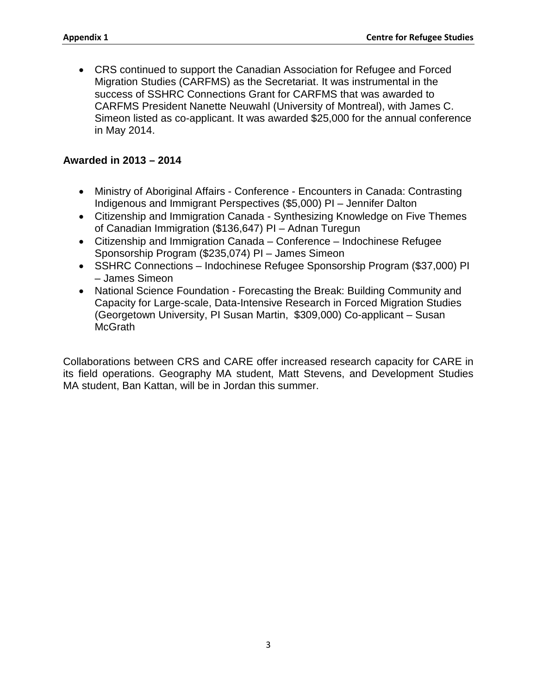• CRS continued to support the Canadian Association for Refugee and Forced Migration Studies (CARFMS) as the Secretariat. It was instrumental in the success of SSHRC Connections Grant for CARFMS that was awarded to CARFMS President Nanette Neuwahl (University of Montreal), with James C. Simeon listed as co-applicant. It was awarded \$25,000 for the annual conference in May 2014.

#### **Awarded in 2013 – 2014**

- Ministry of Aboriginal Affairs Conference Encounters in Canada: Contrasting Indigenous and Immigrant Perspectives (\$5,000) PI – Jennifer Dalton
- Citizenship and Immigration Canada Synthesizing Knowledge on Five Themes of Canadian Immigration (\$136,647) PI – Adnan Turegun
- Citizenship and Immigration Canada Conference Indochinese Refugee Sponsorship Program (\$235,074) PI – James Simeon
- SSHRC Connections Indochinese Refugee Sponsorship Program (\$37,000) PL – James Simeon
- National Science Foundation Forecasting the Break: Building Community and Capacity for Large-scale, Data-Intensive Research in Forced Migration Studies (Georgetown University, PI Susan Martin, \$309,000) Co-applicant – Susan McGrath

Collaborations between CRS and CARE offer increased research capacity for CARE in its field operations. Geography MA student, Matt Stevens, and Development Studies MA student, Ban Kattan, will be in Jordan this summer.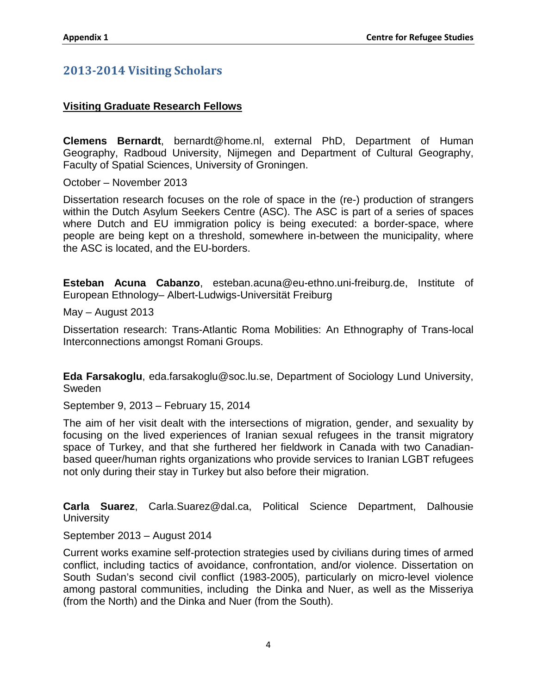### **2013-2014 Visiting Scholars**

#### **Visiting Graduate Research Fellows**

**Clemens Bernardt**, bernardt@home.nl, external PhD, Department of Human Geography, Radboud University, Nijmegen and Department of Cultural Geography, Faculty of Spatial Sciences, University of Groningen.

October – November 2013

Dissertation research focuses on the role of space in the (re-) production of strangers within the Dutch Asylum Seekers Centre (ASC). The ASC is part of a series of spaces where Dutch and EU immigration policy is being executed: a border-space, where people are being kept on a threshold, somewhere in-between the municipality, where the ASC is located, and the EU-borders.

**Esteban Acuna Cabanzo**, esteban.acuna@eu-ethno.uni-freiburg.de, Institute of European Ethnology– Albert-Ludwigs-Universität Freiburg

May – August 2013

Dissertation research: Trans-Atlantic Roma Mobilities: An Ethnography of Trans-local Interconnections amongst Romani Groups.

**Eda Farsakoglu**, eda.farsakoglu@soc.lu.se, Department of Sociology Lund University, Sweden

September 9, 2013 – February 15, 2014

The aim of her visit dealt with the intersections of migration, gender, and sexuality by focusing on the lived experiences of Iranian sexual refugees in the transit migratory space of Turkey, and that she furthered her fieldwork in Canada with two Canadianbased queer/human rights organizations who provide services to Iranian LGBT refugees not only during their stay in Turkey but also before their migration.

**Carla Suarez**, Carla.Suarez@dal.ca, Political Science Department, Dalhousie **University** 

September 2013 – August 2014

Current works examine self-protection strategies used by civilians during times of armed conflict, including tactics of avoidance, confrontation, and/or violence. Dissertation on South Sudan's second civil conflict (1983-2005), particularly on micro-level violence among pastoral communities, including the Dinka and Nuer, as well as the Misseriya (from the North) and the Dinka and Nuer (from the South).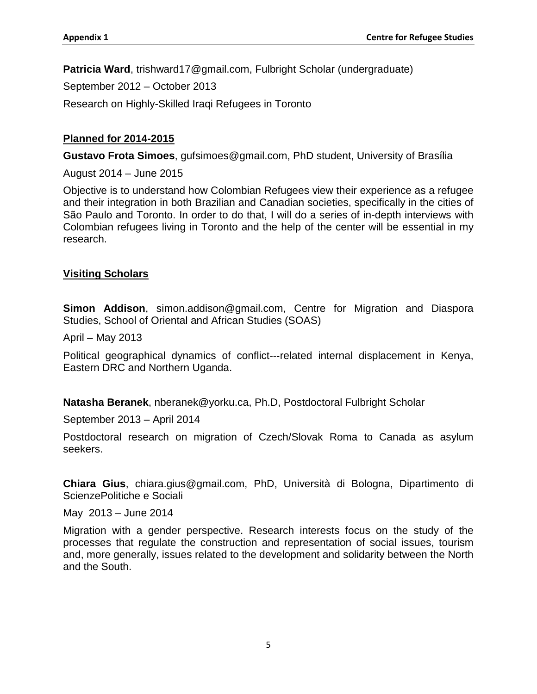**Patricia Ward**, trishward17@gmail.com, Fulbright Scholar (undergraduate)

September 2012 – October 2013

Research on Highly-Skilled Iraqi Refugees in Toronto

#### **Planned for 2014-2015**

**Gustavo Frota Simoes**, gufsimoes@gmail.com, PhD student, University of Brasília

August 2014 – June 2015

Objective is to understand how Colombian Refugees view their experience as a refugee and their integration in both Brazilian and Canadian societies, specifically in the cities of São Paulo and Toronto. In order to do that, I will do a series of in-depth interviews with Colombian refugees living in Toronto and the help of the center will be essential in my research.

#### **Visiting Scholars**

**Simon Addison**, simon.addison@gmail.com, Centre for Migration and Diaspora Studies, School of Oriental and African Studies (SOAS)

April – May 2013

Political geographical dynamics of conflict--‐related internal displacement in Kenya, Eastern DRC and Northern Uganda.

**Natasha Beranek**, nberanek@yorku.ca, Ph.D, Postdoctoral Fulbright Scholar

September 2013 – April 2014

Postdoctoral research on migration of Czech/Slovak Roma to Canada as asylum seekers.

**Chiara Gius**, chiara.gius@gmail.com, PhD, Università di Bologna, Dipartimento di ScienzePolitiche e Sociali

May 2013 – June 2014

Migration with a gender perspective. Research interests focus on the study of the processes that regulate the construction and representation of social issues, tourism and, more generally, issues related to the development and solidarity between the North and the South.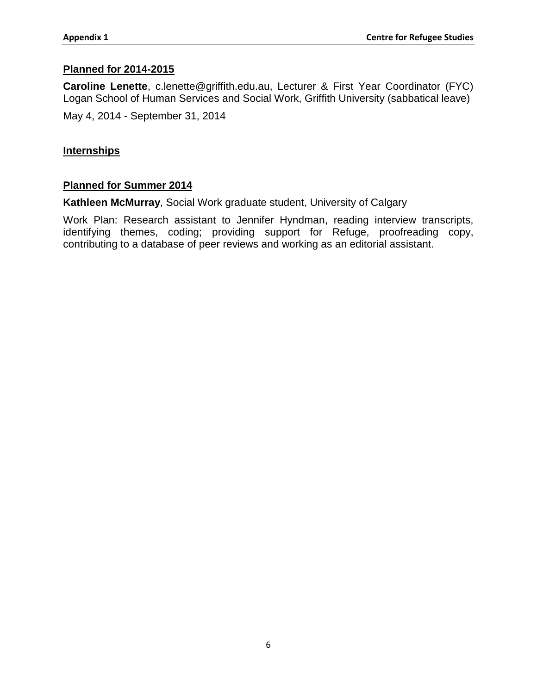#### **Planned for 2014-2015**

**Caroline Lenette**, c.lenette@griffith.edu.au, Lecturer & First Year Coordinator (FYC) Logan School of Human Services and Social Work, Griffith University (sabbatical leave)

May 4, 2014 - September 31, 2014

#### **Internships**

#### **Planned for Summer 2014**

**Kathleen McMurray**, Social Work graduate student, University of Calgary

Work Plan: Research assistant to Jennifer Hyndman, reading interview transcripts, identifying themes, coding; providing support for Refuge, proofreading copy, contributing to a database of peer reviews and working as an editorial assistant.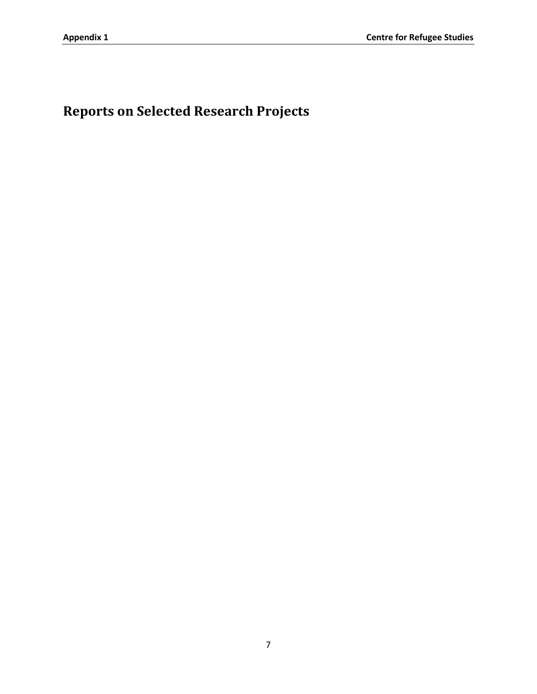**Reports on Selected Research Projects**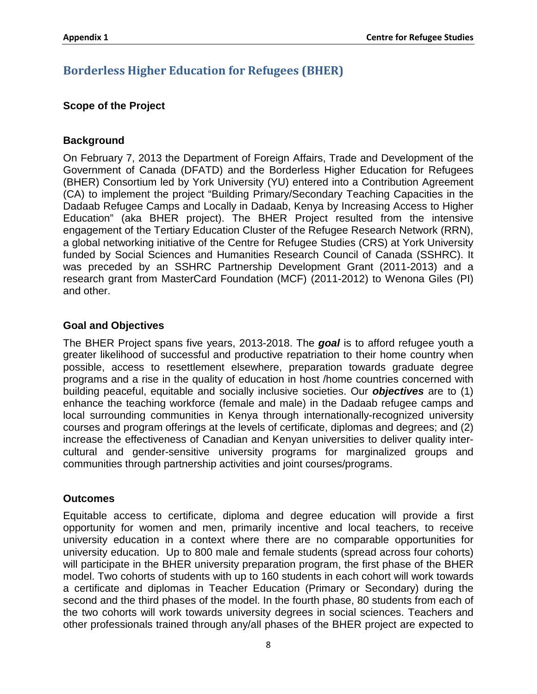## **Borderless Higher Education for Refugees (BHER)**

#### **Scope of the Project**

#### **Background**

On February 7, 2013 the Department of Foreign Affairs, Trade and Development of the Government of Canada (DFATD) and the Borderless Higher Education for Refugees (BHER) Consortium led by York University (YU) entered into a Contribution Agreement (CA) to implement the project "Building Primary/Secondary Teaching Capacities in the Dadaab Refugee Camps and Locally in Dadaab, Kenya by Increasing Access to Higher Education" (aka BHER project). The BHER Project resulted from the intensive engagement of the Tertiary Education Cluster of the Refugee Research Network (RRN), a global networking initiative of the Centre for Refugee Studies (CRS) at York University funded by Social Sciences and Humanities Research Council of Canada (SSHRC). It was preceded by an SSHRC Partnership Development Grant (2011-2013) and a research grant from MasterCard Foundation (MCF) (2011-2012) to Wenona Giles (PI) and other.

#### **Goal and Objectives**

The BHER Project spans five years, 2013-2018. The *goal* is to afford refugee youth a greater likelihood of successful and productive repatriation to their home country when possible, access to resettlement elsewhere, preparation towards graduate degree programs and a rise in the quality of education in host /home countries concerned with building peaceful, equitable and socially inclusive societies. Our *objectives* are to (1) enhance the teaching workforce (female and male) in the Dadaab refugee camps and local surrounding communities in Kenya through internationally-recognized university courses and program offerings at the levels of certificate, diplomas and degrees; and (2) increase the effectiveness of Canadian and Kenyan universities to deliver quality intercultural and gender-sensitive university programs for marginalized groups and communities through partnership activities and joint courses/programs.

#### **Outcomes**

Equitable access to certificate, diploma and degree education will provide a first opportunity for women and men, primarily incentive and local teachers, to receive university education in a context where there are no comparable opportunities for university education. Up to 800 male and female students (spread across four cohorts) will participate in the BHER university preparation program, the first phase of the BHER model. Two cohorts of students with up to 160 students in each cohort will work towards a certificate and diplomas in Teacher Education (Primary or Secondary) during the second and the third phases of the model. In the fourth phase, 80 students from each of the two cohorts will work towards university degrees in social sciences. Teachers and other professionals trained through any/all phases of the BHER project are expected to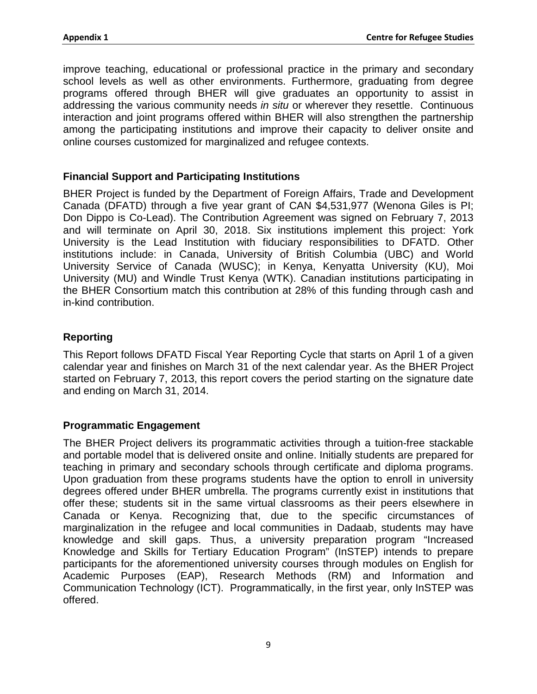improve teaching, educational or professional practice in the primary and secondary school levels as well as other environments. Furthermore, graduating from degree programs offered through BHER will give graduates an opportunity to assist in addressing the various community needs *in situ* or wherever they resettle. Continuous interaction and joint programs offered within BHER will also strengthen the partnership among the participating institutions and improve their capacity to deliver onsite and online courses customized for marginalized and refugee contexts.

#### **Financial Support and Participating Institutions**

BHER Project is funded by the Department of Foreign Affairs, Trade and Development Canada (DFATD) through a five year grant of CAN \$4,531,977 (Wenona Giles is PI; Don Dippo is Co-Lead). The Contribution Agreement was signed on February 7, 2013 and will terminate on April 30, 2018. Six institutions implement this project: York University is the Lead Institution with fiduciary responsibilities to DFATD. Other institutions include: in Canada, University of British Columbia (UBC) and World University Service of Canada (WUSC); in Kenya, Kenyatta University (KU), Moi University (MU) and Windle Trust Kenya (WTK). Canadian institutions participating in the BHER Consortium match this contribution at 28% of this funding through cash and in-kind contribution.

#### **Reporting**

This Report follows DFATD Fiscal Year Reporting Cycle that starts on April 1 of a given calendar year and finishes on March 31 of the next calendar year. As the BHER Project started on February 7, 2013, this report covers the period starting on the signature date and ending on March 31, 2014.

#### **Programmatic Engagement**

The BHER Project delivers its programmatic activities through a tuition-free stackable and portable model that is delivered onsite and online. Initially students are prepared for teaching in primary and secondary schools through certificate and diploma programs. Upon graduation from these programs students have the option to enroll in university degrees offered under BHER umbrella. The programs currently exist in institutions that offer these; students sit in the same virtual classrooms as their peers elsewhere in Canada or Kenya. Recognizing that, due to the specific circumstances of marginalization in the refugee and local communities in Dadaab, students may have knowledge and skill gaps. Thus, a university preparation program "Increased Knowledge and Skills for Tertiary Education Program" (InSTEP) intends to prepare participants for the aforementioned university courses through modules on English for Academic Purposes (EAP), Research Methods (RM) and Information and Communication Technology (ICT). Programmatically, in the first year, only InSTEP was offered.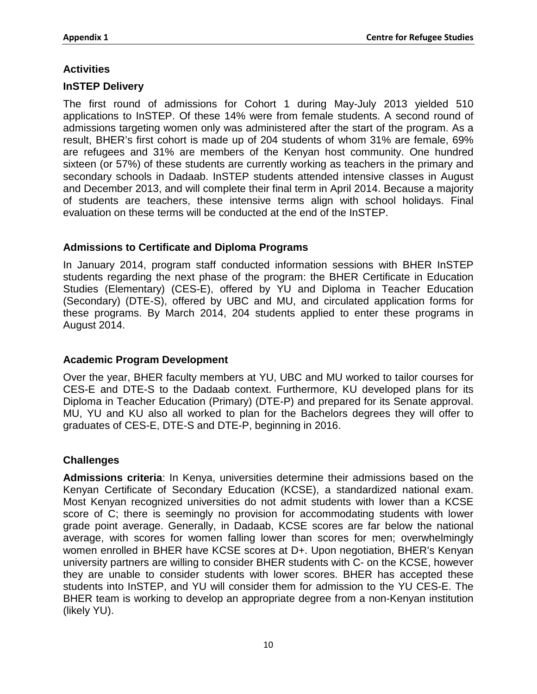#### **Activities**

#### **InSTEP Delivery**

The first round of admissions for Cohort 1 during May-July 2013 yielded 510 applications to InSTEP. Of these 14% were from female students. A second round of admissions targeting women only was administered after the start of the program. As a result, BHER's first cohort is made up of 204 students of whom 31% are female, 69% are refugees and 31% are members of the Kenyan host community. One hundred sixteen (or 57%) of these students are currently working as teachers in the primary and secondary schools in Dadaab. InSTEP students attended intensive classes in August and December 2013, and will complete their final term in April 2014. Because a majority of students are teachers, these intensive terms align with school holidays. Final evaluation on these terms will be conducted at the end of the InSTEP.

#### **Admissions to Certificate and Diploma Programs**

In January 2014, program staff conducted information sessions with BHER InSTEP students regarding the next phase of the program: the BHER Certificate in Education Studies (Elementary) (CES-E), offered by YU and Diploma in Teacher Education (Secondary) (DTE-S), offered by UBC and MU, and circulated application forms for these programs. By March 2014, 204 students applied to enter these programs in August 2014.

#### **Academic Program Development**

Over the year, BHER faculty members at YU, UBC and MU worked to tailor courses for CES-E and DTE-S to the Dadaab context. Furthermore, KU developed plans for its Diploma in Teacher Education (Primary) (DTE-P) and prepared for its Senate approval. MU, YU and KU also all worked to plan for the Bachelors degrees they will offer to graduates of CES-E, DTE-S and DTE-P, beginning in 2016.

#### **Challenges**

**Admissions criteria**: In Kenya, universities determine their admissions based on the Kenyan Certificate of Secondary Education (KCSE), a standardized national exam. Most Kenyan recognized universities do not admit students with lower than a KCSE score of C; there is seemingly no provision for accommodating students with lower grade point average. Generally, in Dadaab, KCSE scores are far below the national average, with scores for women falling lower than scores for men; overwhelmingly women enrolled in BHER have KCSE scores at D+. Upon negotiation, BHER's Kenyan university partners are willing to consider BHER students with C- on the KCSE, however they are unable to consider students with lower scores. BHER has accepted these students into InSTEP, and YU will consider them for admission to the YU CES-E. The BHER team is working to develop an appropriate degree from a non-Kenyan institution (likely YU).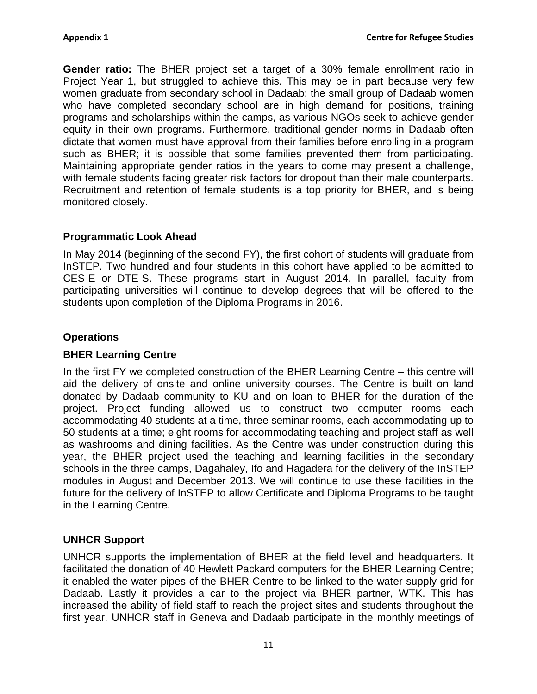**Gender ratio:** The BHER project set a target of a 30% female enrollment ratio in Project Year 1, but struggled to achieve this. This may be in part because very few women graduate from secondary school in Dadaab; the small group of Dadaab women who have completed secondary school are in high demand for positions, training programs and scholarships within the camps, as various NGOs seek to achieve gender equity in their own programs. Furthermore, traditional gender norms in Dadaab often dictate that women must have approval from their families before enrolling in a program such as BHER; it is possible that some families prevented them from participating. Maintaining appropriate gender ratios in the years to come may present a challenge, with female students facing greater risk factors for dropout than their male counterparts. Recruitment and retention of female students is a top priority for BHER, and is being monitored closely.

#### **Programmatic Look Ahead**

In May 2014 (beginning of the second FY), the first cohort of students will graduate from InSTEP. Two hundred and four students in this cohort have applied to be admitted to CES-E or DTE-S. These programs start in August 2014. In parallel, faculty from participating universities will continue to develop degrees that will be offered to the students upon completion of the Diploma Programs in 2016.

#### **Operations**

#### **BHER Learning Centre**

In the first FY we completed construction of the BHER Learning Centre – this centre will aid the delivery of onsite and online university courses. The Centre is built on land donated by Dadaab community to KU and on loan to BHER for the duration of the project. Project funding allowed us to construct two computer rooms each accommodating 40 students at a time, three seminar rooms, each accommodating up to 50 students at a time; eight rooms for accommodating teaching and project staff as well as washrooms and dining facilities. As the Centre was under construction during this year, the BHER project used the teaching and learning facilities in the secondary schools in the three camps, Dagahaley, Ifo and Hagadera for the delivery of the InSTEP modules in August and December 2013. We will continue to use these facilities in the future for the delivery of InSTEP to allow Certificate and Diploma Programs to be taught in the Learning Centre.

#### **UNHCR Support**

UNHCR supports the implementation of BHER at the field level and headquarters. It facilitated the donation of 40 Hewlett Packard computers for the BHER Learning Centre; it enabled the water pipes of the BHER Centre to be linked to the water supply grid for Dadaab. Lastly it provides a car to the project via BHER partner, WTK. This has increased the ability of field staff to reach the project sites and students throughout the first year. UNHCR staff in Geneva and Dadaab participate in the monthly meetings of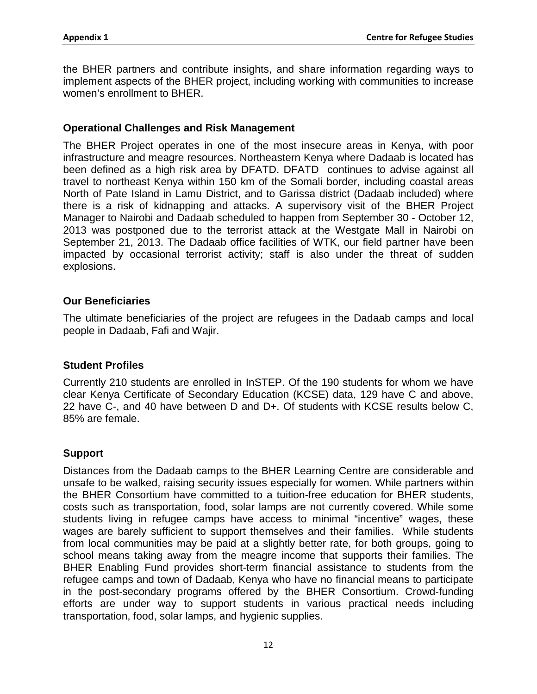the BHER partners and contribute insights, and share information regarding ways to implement aspects of the BHER project, including working with communities to increase women's enrollment to BHER.

#### **Operational Challenges and Risk Management**

The BHER Project operates in one of the most insecure areas in Kenya, with poor infrastructure and meagre resources. Northeastern Kenya where Dadaab is located has been defined as a high risk area by DFATD. DFATD continues to advise against all travel to northeast Kenya within 150 km of the Somali border, including coastal areas North of Pate Island in Lamu District, and to Garissa district (Dadaab included) where there is a risk of kidnapping and attacks. A supervisory visit of the BHER Project Manager to Nairobi and Dadaab scheduled to happen from September 30 - October 12, 2013 was postponed due to the terrorist attack at the Westgate Mall in Nairobi on September 21, 2013. The Dadaab office facilities of WTK, our field partner have been impacted by occasional terrorist activity; staff is also under the threat of sudden explosions.

#### **Our Beneficiaries**

The ultimate beneficiaries of the project are refugees in the Dadaab camps and local people in Dadaab, Fafi and Wajir.

#### **Student Profiles**

Currently 210 students are enrolled in InSTEP. Of the 190 students for whom we have clear Kenya Certificate of Secondary Education (KCSE) data, 129 have C and above, 22 have C-, and 40 have between D and D+. Of students with KCSE results below C, 85% are female.

#### **Support**

Distances from the Dadaab camps to the BHER Learning Centre are considerable and unsafe to be walked, raising security issues especially for women. While partners within the BHER Consortium have committed to a tuition-free education for BHER students, costs such as transportation, food, solar lamps are not currently covered. While some students living in refugee camps have access to minimal "incentive" wages, these wages are barely sufficient to support themselves and their families. While students from local communities may be paid at a slightly better rate, for both groups, going to school means taking away from the meagre income that supports their families. The BHER Enabling Fund provides short-term financial assistance to students from the refugee camps and town of Dadaab, Kenya who have no financial means to participate in the post-secondary programs offered by the BHER Consortium. Crowd-funding efforts are under way to support students in various practical needs including transportation, food, solar lamps, and hygienic supplies.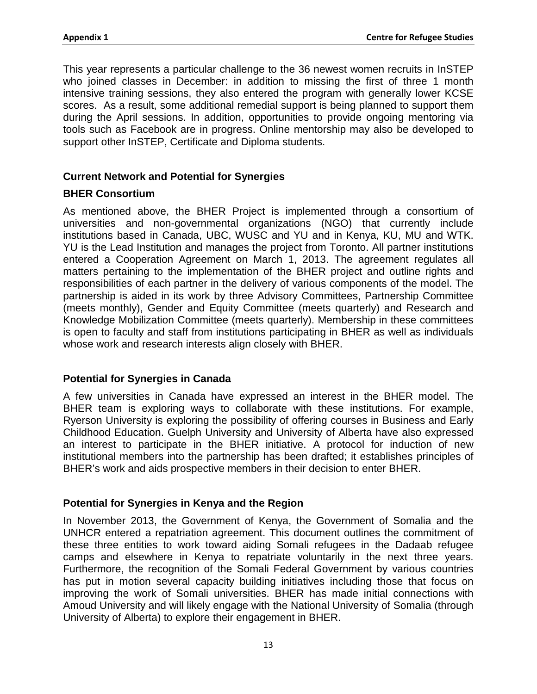This year represents a particular challenge to the 36 newest women recruits in InSTEP who joined classes in December: in addition to missing the first of three 1 month intensive training sessions, they also entered the program with generally lower KCSE scores. As a result, some additional remedial support is being planned to support them during the April sessions. In addition, opportunities to provide ongoing mentoring via tools such as Facebook are in progress. Online mentorship may also be developed to support other InSTEP, Certificate and Diploma students.

#### **Current Network and Potential for Synergies**

#### **BHER Consortium**

As mentioned above, the BHER Project is implemented through a consortium of universities and non-governmental organizations (NGO) that currently include institutions based in Canada, UBC, WUSC and YU and in Kenya, KU, MU and WTK. YU is the Lead Institution and manages the project from Toronto. All partner institutions entered a Cooperation Agreement on March 1, 2013. The agreement regulates all matters pertaining to the implementation of the BHER project and outline rights and responsibilities of each partner in the delivery of various components of the model. The partnership is aided in its work by three Advisory Committees, Partnership Committee (meets monthly), Gender and Equity Committee (meets quarterly) and Research and Knowledge Mobilization Committee (meets quarterly). Membership in these committees is open to faculty and staff from institutions participating in BHER as well as individuals whose work and research interests align closely with BHER.

#### **Potential for Synergies in Canada**

A few universities in Canada have expressed an interest in the BHER model. The BHER team is exploring ways to collaborate with these institutions. For example, Ryerson University is exploring the possibility of offering courses in Business and Early Childhood Education. Guelph University and University of Alberta have also expressed an interest to participate in the BHER initiative. A protocol for induction of new institutional members into the partnership has been drafted; it establishes principles of BHER's work and aids prospective members in their decision to enter BHER.

#### **Potential for Synergies in Kenya and the Region**

In November 2013, the Government of Kenya, the Government of Somalia and the UNHCR entered a repatriation agreement. This document outlines the commitment of these three entities to work toward aiding Somali refugees in the Dadaab refugee camps and elsewhere in Kenya to repatriate voluntarily in the next three years. Furthermore, the recognition of the Somali Federal Government by various countries has put in motion several capacity building initiatives including those that focus on improving the work of Somali universities. BHER has made initial connections with Amoud University and will likely engage with the National University of Somalia (through University of Alberta) to explore their engagement in BHER.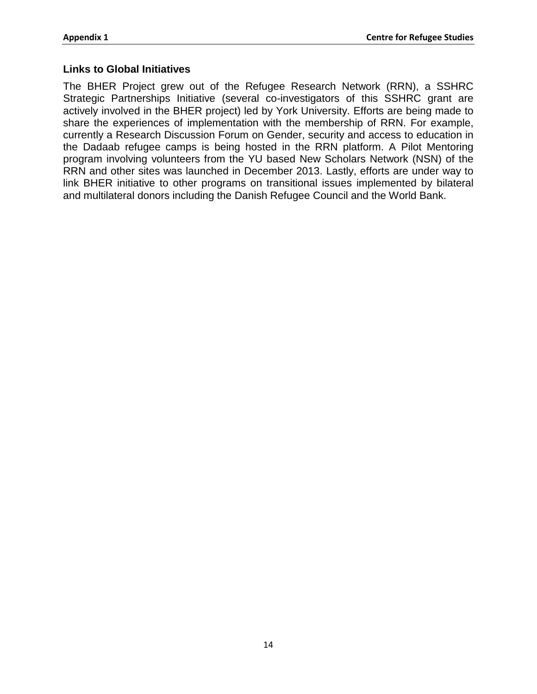#### **Links to Global Initiatives**

The BHER Project grew out of the Refugee Research Network (RRN), a SSHRC Strategic Partnerships Initiative (several co-investigators of this SSHRC grant are actively involved in the BHER project) led by York University. Efforts are being made to share the experiences of implementation with the membership of RRN. For example, currently a Research Discussion Forum on Gender, security and access to education in the Dadaab refugee camps is being hosted in the RRN platform. A Pilot Mentoring program involving volunteers from the YU based New Scholars Network (NSN) of the RRN and other sites was launched in December 2013. Lastly, efforts are under way to link BHER initiative to other programs on transitional issues implemented by bilateral and multilateral donors including the Danish Refugee Council and the World Bank.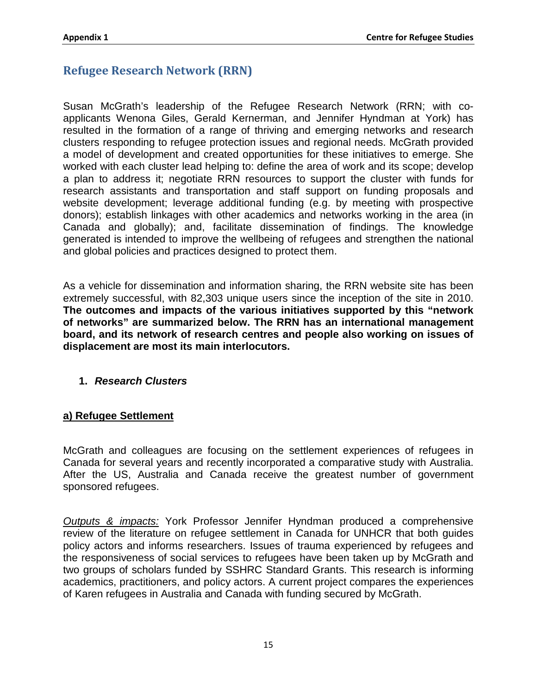## **Refugee Research Network (RRN)**

Susan McGrath's leadership of the Refugee Research Network (RRN; with coapplicants Wenona Giles, Gerald Kernerman, and Jennifer Hyndman at York) has resulted in the formation of a range of thriving and emerging networks and research clusters responding to refugee protection issues and regional needs. McGrath provided a model of development and created opportunities for these initiatives to emerge. She worked with each cluster lead helping to: define the area of work and its scope; develop a plan to address it; negotiate RRN resources to support the cluster with funds for research assistants and transportation and staff support on funding proposals and website development; leverage additional funding (e.g. by meeting with prospective donors); establish linkages with other academics and networks working in the area (in Canada and globally); and, facilitate dissemination of findings. The knowledge generated is intended to improve the wellbeing of refugees and strengthen the national and global policies and practices designed to protect them.

As a vehicle for dissemination and information sharing, the RRN website site has been extremely successful, with 82,303 unique users since the inception of the site in 2010. **The outcomes and impacts of the various initiatives supported by this "network of networks" are summarized below. The RRN has an international management board, and its network of research centres and people also working on issues of displacement are most its main interlocutors.**

#### **1.** *Research Clusters*

#### **a) Refugee Settlement**

McGrath and colleagues are focusing on the settlement experiences of refugees in Canada for several years and recently incorporated a comparative study with Australia. After the US, Australia and Canada receive the greatest number of government sponsored refugees.

*Outputs & impacts:* York Professor Jennifer Hyndman produced a comprehensive review of the literature on refugee settlement in Canada for UNHCR that both guides policy actors and informs researchers. Issues of trauma experienced by refugees and the responsiveness of social services to refugees have been taken up by McGrath and two groups of scholars funded by SSHRC Standard Grants. This research is informing academics, practitioners, and policy actors. A current project compares the experiences of Karen refugees in Australia and Canada with funding secured by McGrath.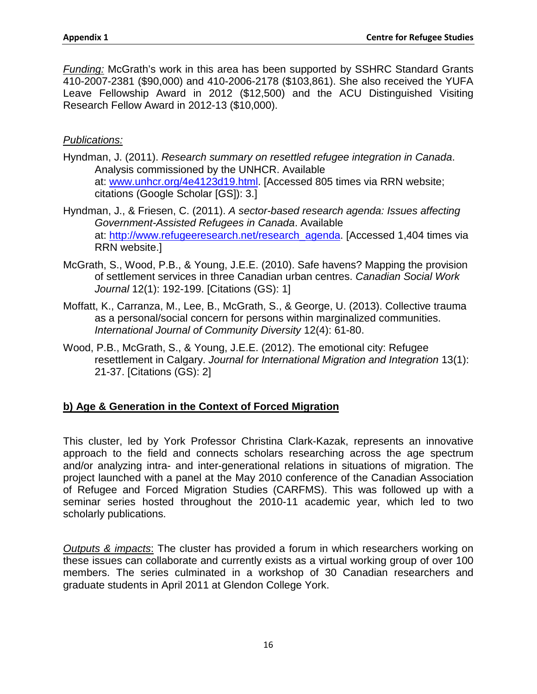*Funding:* McGrath's work in this area has been supported by SSHRC Standard Grants 410-2007-2381 (\$90,000) and 410-2006-2178 (\$103,861). She also received the YUFA Leave Fellowship Award in 2012 (\$12,500) and the ACU Distinguished Visiting Research Fellow Award in 2012-13 (\$10,000).

#### *Publications:*

- Hyndman, J. (2011). *Research summary on resettled refugee integration in Canada*. Analysis commissioned by the UNHCR. Available at: [www.unhcr.org/4e4123d19.html.](http://www.unhcr.org/4e4123d19.html) [Accessed 805 times via RRN website; citations (Google Scholar [GS]): 3.]
- Hyndman, J., & Friesen, C. (2011). *A sector-based research agenda: Issues affecting Government-Assisted Refugees in Canada*. Available at: [http://www.refugeeresearch.net/research\\_agenda.](http://www.refugeeresearch.net/research_agenda) [Accessed 1,404 times via RRN website.]
- McGrath, S., Wood, P.B., & Young, J.E.E. (2010). Safe havens? Mapping the provision of settlement services in three Canadian urban centres. *Canadian Social Work Journal* 12(1): 192-199. [Citations (GS): 1]
- Moffatt, K., Carranza, M., Lee, B., McGrath, S., & George, U. (2013). Collective trauma as a personal/social concern for persons within marginalized communities. *International Journal of Community Diversity* 12(4): 61-80.
- Wood, P.B., McGrath, S., & Young, J.E.E. (2012). The emotional city: Refugee resettlement in Calgary. *Journal for International Migration and Integration* 13(1): 21-37. [Citations (GS): 2]

#### **b) Age & Generation in the Context of Forced Migration**

This cluster, led by York Professor Christina Clark-Kazak, represents an innovative approach to the field and connects scholars researching across the age spectrum and/or analyzing intra- and inter-generational relations in situations of migration. The project launched with a panel at the May 2010 conference of the Canadian Association of Refugee and Forced Migration Studies (CARFMS). This was followed up with a seminar series hosted throughout the 2010-11 academic year, which led to two scholarly publications.

*Outputs & impacts*: The cluster has provided a forum in which researchers working on these issues can collaborate and currently exists as a virtual working group of over 100 members. The series culminated in a workshop of 30 Canadian researchers and graduate students in April 2011 at Glendon College York.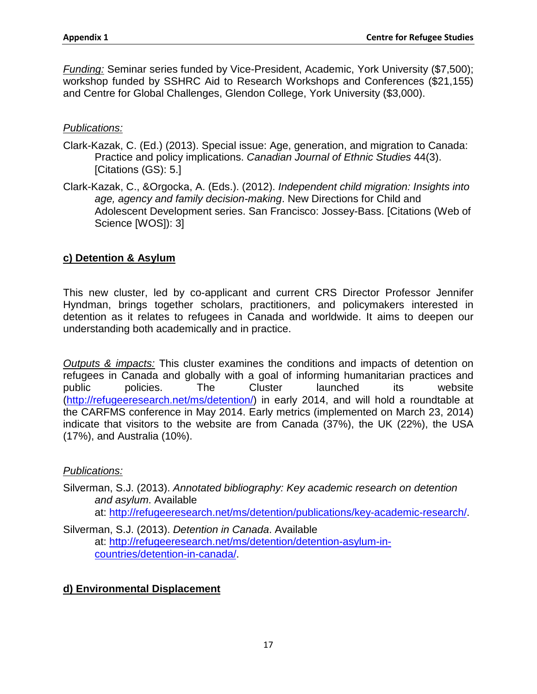*Funding:* Seminar series funded by Vice-President, Academic, York University (\$7,500); workshop funded by SSHRC Aid to Research Workshops and Conferences (\$21,155) and Centre for Global Challenges, Glendon College, York University (\$3,000).

#### *Publications:*

- Clark-Kazak, C. (Ed.) (2013). Special issue: Age, generation, and migration to Canada: Practice and policy implications. *Canadian Journal of Ethnic Studies* 44(3). [Citations (GS): 5.]
- Clark-Kazak, C., &Orgocka, A. (Eds.). (2012). *Independent child migration: Insights into age, agency and family decision-making*. New Directions for Child and Adolescent Development series. San Francisco: Jossey-Bass. [Citations (Web of Science [WOS]): 3]

#### **c) Detention & Asylum**

This new cluster, led by co-applicant and current CRS Director Professor Jennifer Hyndman, brings together scholars, practitioners, and policymakers interested in detention as it relates to refugees in Canada and worldwide. It aims to deepen our understanding both academically and in practice.

*Outputs & impacts:* This cluster examines the conditions and impacts of detention on refugees in Canada and globally with a goal of informing humanitarian practices and public policies. The Cluster launched its website [\(http://refugeeresearch.net/ms/detention/\)](http://refugeeresearch.net/ms/detention/) in early 2014, and will hold a roundtable at the CARFMS conference in May 2014. Early metrics (implemented on March 23, 2014) indicate that visitors to the website are from Canada (37%), the UK (22%), the USA (17%), and Australia (10%).

#### *Publications:*

Silverman, S.J. (2013). *Annotated bibliography: Key academic research on detention and asylum*. Available at: [http://refugeeresearch.net/ms/detention/publications/key-academic-research/.](http://refugeeresearch.net/ms/detention/publications/key-academic-research/)

Silverman, S.J. (2013). *Detention in Canada*. Available at: [http://refugeeresearch.net/ms/detention/detention-asylum-in](http://refugeeresearch.net/ms/detention/detention-asylum-in-countries/detention-in-canada/)[countries/detention-in-canada/.](http://refugeeresearch.net/ms/detention/detention-asylum-in-countries/detention-in-canada/)

#### **d) Environmental Displacement**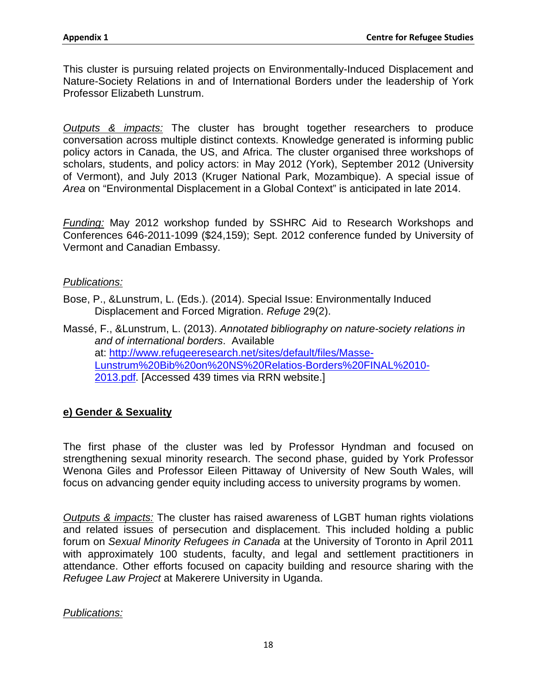This cluster is pursuing related projects on Environmentally-Induced Displacement and Nature-Society Relations in and of International Borders under the leadership of York Professor Elizabeth Lunstrum.

*Outputs & impacts:* The cluster has brought together researchers to produce conversation across multiple distinct contexts. Knowledge generated is informing public policy actors in Canada, the US, and Africa. The cluster organised three workshops of scholars, students, and policy actors: in May 2012 (York), September 2012 (University of Vermont), and July 2013 (Kruger National Park, Mozambique). A special issue of *Area* on "Environmental Displacement in a Global Context" is anticipated in late 2014.

*Funding:* May 2012 workshop funded by SSHRC Aid to Research Workshops and Conferences 646-2011-1099 (\$24,159); Sept. 2012 conference funded by University of Vermont and Canadian Embassy.

#### *Publications:*

Bose, P., &Lunstrum, L. (Eds.). (2014). Special Issue: Environmentally Induced Displacement and Forced Migration. *Refuge* 29(2).

Massé, F., &Lunstrum, L. (2013). *Annotated bibliography on nature-society relations in and of international borders*. Available at: [http://www.refugeeresearch.net/sites/default/files/Masse-](http://www.refugeeresearch.net/sites/default/files/Masse-Lunstrum%20Bib%20on%20NS%20Relatios-Borders%20FINAL%2010-2013.pdf)[Lunstrum%20Bib%20on%20NS%20Relatios-Borders%20FINAL%2010-](http://www.refugeeresearch.net/sites/default/files/Masse-Lunstrum%20Bib%20on%20NS%20Relatios-Borders%20FINAL%2010-2013.pdf) [2013.pdf.](http://www.refugeeresearch.net/sites/default/files/Masse-Lunstrum%20Bib%20on%20NS%20Relatios-Borders%20FINAL%2010-2013.pdf) [Accessed 439 times via RRN website.]

#### **e) Gender & Sexuality**

The first phase of the cluster was led by Professor Hyndman and focused on strengthening sexual minority research. The second phase, guided by York Professor Wenona Giles and Professor Eileen Pittaway of University of New South Wales, will focus on advancing gender equity including access to university programs by women.

*Outputs & impacts:* The cluster has raised awareness of LGBT human rights violations and related issues of persecution and displacement. This included holding a public forum on *Sexual Minority Refugees in Canada* at the University of Toronto in April 2011 with approximately 100 students, faculty, and legal and settlement practitioners in attendance. Other efforts focused on capacity building and resource sharing with the *Refugee Law Project* at Makerere University in Uganda.

#### *Publications:*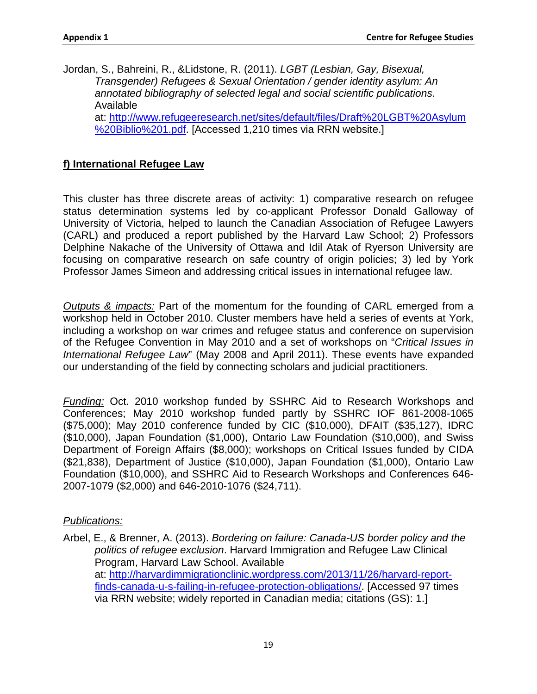Jordan, S., Bahreini, R., &Lidstone, R. (2011). *LGBT (Lesbian, Gay, Bisexual, Transgender) Refugees & Sexual Orientation / gender identity asylum: An annotated bibliography of selected legal and social scientific publications*. Available at: [http://www.refugeeresearch.net/sites/default/files/Draft%20LGBT%20Asylum](http://www.refugeeresearch.net/sites/default/files/Draft%20LGBT%20Asylum%20Biblio%201.pdf) [%20Biblio%201.pdf.](http://www.refugeeresearch.net/sites/default/files/Draft%20LGBT%20Asylum%20Biblio%201.pdf) [Accessed 1,210 times via RRN website.]

#### **f) International Refugee Law**

This cluster has three discrete areas of activity: 1) comparative research on refugee status determination systems led by co-applicant Professor Donald Galloway of University of Victoria, helped to launch the Canadian Association of Refugee Lawyers (CARL) and produced a report published by the Harvard Law School; 2) Professors Delphine Nakache of the University of Ottawa and Idil Atak of Ryerson University are focusing on comparative research on safe country of origin policies; 3) led by York Professor James Simeon and addressing critical issues in international refugee law.

*Outputs & impacts:* Part of the momentum for the founding of CARL emerged from a workshop held in October 2010. Cluster members have held a series of events at York, including a workshop on war crimes and refugee status and conference on supervision of the Refugee Convention in May 2010 and a set of workshops on "*Critical Issues in International Refugee Law*" (May 2008 and April 2011). These events have expanded our understanding of the field by connecting scholars and judicial practitioners.

*Funding:* Oct. 2010 workshop funded by SSHRC Aid to Research Workshops and Conferences; May 2010 workshop funded partly by SSHRC IOF 861-2008-1065 (\$75,000); May 2010 conference funded by CIC (\$10,000), DFAIT (\$35,127), IDRC (\$10,000), Japan Foundation (\$1,000), Ontario Law Foundation (\$10,000), and Swiss Department of Foreign Affairs (\$8,000); workshops on Critical Issues funded by CIDA (\$21,838), Department of Justice (\$10,000), Japan Foundation (\$1,000), Ontario Law Foundation (\$10,000), and SSHRC Aid to Research Workshops and Conferences 646- 2007-1079 (\$2,000) and 646-2010-1076 (\$24,711).

#### *Publications:*

Arbel, E., & Brenner, A. (2013). *Bordering on failure: Canada-US border policy and the politics of refugee exclusion*. Harvard Immigration and Refugee Law Clinical Program, Harvard Law School. Available at: [http://harvardimmigrationclinic.wordpress.com/2013/11/26/harvard-report](http://harvardimmigrationclinic.wordpress.com/2013/11/26/harvard-report-finds-canada-u-s-failing-in-refugee-protection-obligations/)[finds-canada-u-s-failing-in-refugee-protection-obligations/.](http://harvardimmigrationclinic.wordpress.com/2013/11/26/harvard-report-finds-canada-u-s-failing-in-refugee-protection-obligations/) [Accessed 97 times via RRN website; widely reported in Canadian media; citations (GS): 1.]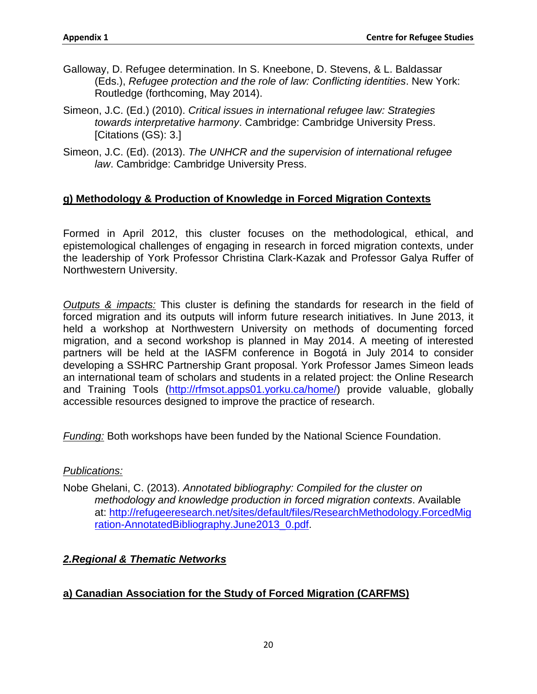- Galloway, D. Refugee determination. In S. Kneebone, D. Stevens, & L. Baldassar (Eds.), *Refugee protection and the role of law: Conflicting identities*. New York: Routledge (forthcoming, May 2014).
- Simeon, J.C. (Ed.) (2010). *Critical issues in international refugee law: Strategies towards interpretative harmony*. Cambridge: Cambridge University Press. [Citations (GS): 3.]
- Simeon, J.C. (Ed). (2013). *The UNHCR and the supervision of international refugee law*. Cambridge: Cambridge University Press.

#### **g) Methodology & Production of Knowledge in Forced Migration Contexts**

Formed in April 2012, this cluster focuses on the methodological, ethical, and epistemological challenges of engaging in research in forced migration contexts, under the leadership of York Professor Christina Clark-Kazak and Professor Galya Ruffer of Northwestern University.

*Outputs & impacts:* This cluster is defining the standards for research in the field of forced migration and its outputs will inform future research initiatives. In June 2013, it held a workshop at Northwestern University on methods of documenting forced migration, and a second workshop is planned in May 2014. A meeting of interested partners will be held at the IASFM conference in Bogotá in July 2014 to consider developing a SSHRC Partnership Grant proposal. York Professor James Simeon leads an international team of scholars and students in a related project: the Online Research and Training Tools [\(http://rfmsot.apps01.yorku.ca/home/\)](http://rfmsot.apps01.yorku.ca/home/) provide valuable, globally accessible resources designed to improve the practice of research.

*Funding:* Both workshops have been funded by the National Science Foundation.

#### *Publications:*

Nobe Ghelani, C. (2013). *Annotated bibliography: Compiled for the cluster on methodology and knowledge production in forced migration contexts*. Available at: [http://refugeeresearch.net/sites/default/files/ResearchMethodology.ForcedMig](http://refugeeresearch.net/sites/default/files/ResearchMethodology.ForcedMigration-AnnotatedBibliography.June2013_0.pdf) [ration-AnnotatedBibliography.June2013\\_0.pdf.](http://refugeeresearch.net/sites/default/files/ResearchMethodology.ForcedMigration-AnnotatedBibliography.June2013_0.pdf)

#### *2.Regional & Thematic Networks*

#### **a) Canadian Association for the Study of Forced Migration (CARFMS)**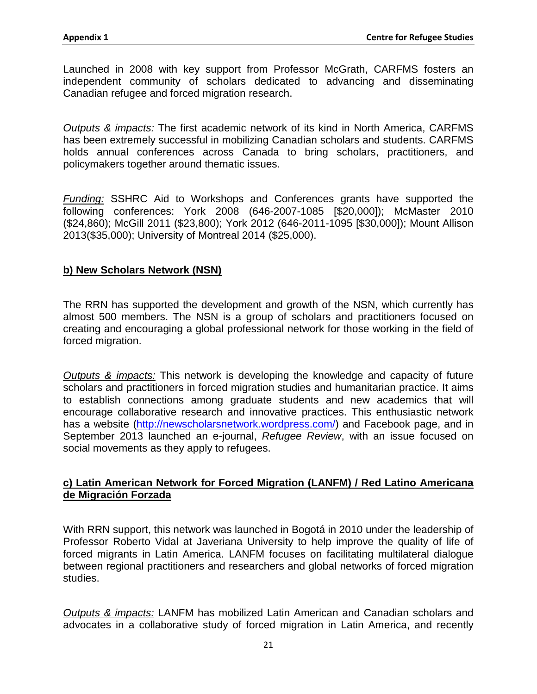Launched in 2008 with key support from Professor McGrath, CARFMS fosters an independent community of scholars dedicated to advancing and disseminating Canadian refugee and forced migration research.

*Outputs & impacts:* The first academic network of its kind in North America, CARFMS has been extremely successful in mobilizing Canadian scholars and students. CARFMS holds annual conferences across Canada to bring scholars, practitioners, and policymakers together around thematic issues.

*Funding:* SSHRC Aid to Workshops and Conferences grants have supported the following conferences: York 2008 (646-2007-1085 [\$20,000]); McMaster 2010 (\$24,860); McGill 2011 (\$23,800); York 2012 (646-2011-1095 [\$30,000]); Mount Allison 2013(\$35,000); University of Montreal 2014 (\$25,000).

#### **b) New Scholars Network (NSN)**

The RRN has supported the development and growth of the NSN, which currently has almost 500 members. The NSN is a group of scholars and practitioners focused on creating and encouraging a global professional network for those working in the field of forced migration.

*Outputs & impacts:* This network is developing the knowledge and capacity of future scholars and practitioners in forced migration studies and humanitarian practice. It aims to establish connections among graduate students and new academics that will encourage collaborative research and innovative practices. This enthusiastic network has a website [\(http://newscholarsnetwork.wordpress.com/\)](http://newscholarsnetwork.wordpress.com/) and Facebook page, and in September 2013 launched an e-journal, *Refugee Review*, with an issue focused on social movements as they apply to refugees.

#### **c) Latin American Network for Forced Migration (LANFM) / Red Latino Americana de Migración Forzada**

With RRN support, this network was launched in Bogotá in 2010 under the leadership of Professor Roberto Vidal at Javeriana University to help improve the quality of life of forced migrants in Latin America. LANFM focuses on facilitating multilateral dialogue between regional practitioners and researchers and global networks of forced migration studies.

*Outputs & impacts:* LANFM has mobilized Latin American and Canadian scholars and advocates in a collaborative study of forced migration in Latin America, and recently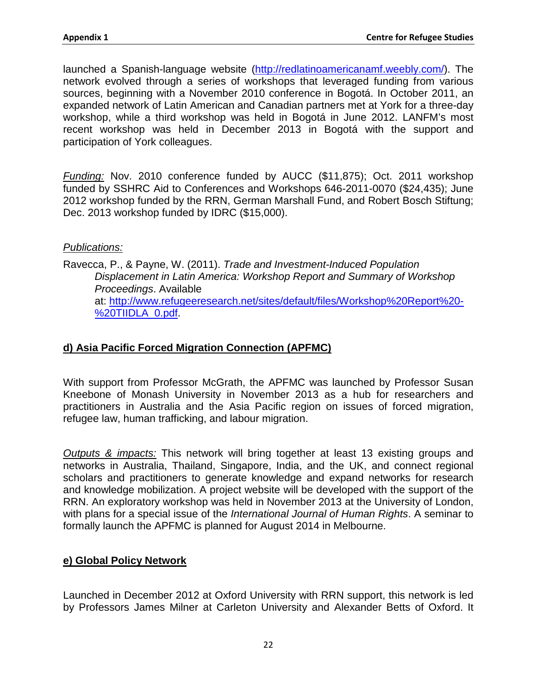launched a Spanish-language website [\(http://redlatinoamericanamf.weebly.com/\)](http://redlatinoamericanamf.weebly.com/). The network evolved through a series of workshops that leveraged funding from various sources, beginning with a November 2010 conference in Bogotá. In October 2011, an expanded network of Latin American and Canadian partners met at York for a three-day workshop, while a third workshop was held in Bogotá in June 2012. LANFM's most recent workshop was held in December 2013 in Bogotá with the support and participation of York colleagues.

*Funding:* Nov. 2010 conference funded by AUCC (\$11,875); Oct. 2011 workshop funded by SSHRC Aid to Conferences and Workshops 646-2011-0070 (\$24,435); June 2012 workshop funded by the RRN, German Marshall Fund, and Robert Bosch Stiftung; Dec. 2013 workshop funded by IDRC (\$15,000).

#### *Publications:*

Ravecca, P., & Payne, W. (2011). *Trade and Investment-Induced Population Displacement in Latin America: Workshop Report and Summary of Workshop Proceedings*. Available at: [http://www.refugeeresearch.net/sites/default/files/Workshop%20Report%20-](http://www.refugeeresearch.net/sites/default/files/Workshop%20Report%20-%20TIIDLA_0.pdf) [%20TIIDLA\\_0.pdf.](http://www.refugeeresearch.net/sites/default/files/Workshop%20Report%20-%20TIIDLA_0.pdf)

#### **d) Asia Pacific Forced Migration Connection (APFMC)**

With support from Professor McGrath, the APFMC was launched by Professor Susan Kneebone of Monash University in November 2013 as a hub for researchers and practitioners in Australia and the Asia Pacific region on issues of forced migration, refugee law, human trafficking, and labour migration.

*Outputs & impacts:* This network will bring together at least 13 existing groups and networks in Australia, Thailand, Singapore, India, and the UK, and connect regional scholars and practitioners to generate knowledge and expand networks for research and knowledge mobilization. A project website will be developed with the support of the RRN. An exploratory workshop was held in November 2013 at the University of London, with plans for a special issue of the *International Journal of Human Rights*. A seminar to formally launch the APFMC is planned for August 2014 in Melbourne.

#### **e) Global Policy Network**

Launched in December 2012 at Oxford University with RRN support, this network is led by Professors James Milner at Carleton University and Alexander Betts of Oxford. It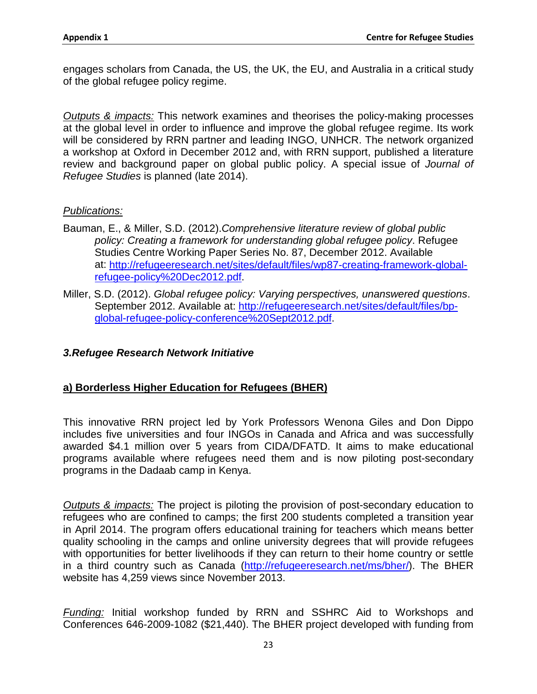engages scholars from Canada, the US, the UK, the EU, and Australia in a critical study of the global refugee policy regime.

*Outputs & impacts:* This network examines and theorises the policy-making processes at the global level in order to influence and improve the global refugee regime. Its work will be considered by RRN partner and leading INGO, UNHCR. The network organized a workshop at Oxford in December 2012 and, with RRN support, published a literature review and background paper on global public policy. A special issue of *Journal of Refugee Studies* is planned (late 2014).

#### *Publications:*

- Bauman, E., & Miller, S.D. (2012).*Comprehensive literature review of global public policy: Creating a framework for understanding global refugee policy*. Refugee Studies Centre Working Paper Series No. 87, December 2012. Available at: [http://refugeeresearch.net/sites/default/files/wp87-creating-framework-global](http://refugeeresearch.net/sites/default/files/wp87-creating-framework-global-refugee-policy%20Dec2012.pdf)[refugee-policy%20Dec2012.pdf.](http://refugeeresearch.net/sites/default/files/wp87-creating-framework-global-refugee-policy%20Dec2012.pdf)
- Miller, S.D. (2012). *Global refugee policy: Varying perspectives, unanswered questions*. September 2012. Available at: [http://refugeeresearch.net/sites/default/files/bp](http://refugeeresearch.net/sites/default/files/bp-global-refugee-policy-conference%20Sept2012.pdf)[global-refugee-policy-conference%20Sept2012.pdf.](http://refugeeresearch.net/sites/default/files/bp-global-refugee-policy-conference%20Sept2012.pdf)

#### *3.Refugee Research Network Initiative*

#### **a) Borderless Higher Education for Refugees (BHER)**

This innovative RRN project led by York Professors Wenona Giles and Don Dippo includes five universities and four INGOs in Canada and Africa and was successfully awarded \$4.1 million over 5 years from CIDA/DFATD. It aims to make educational programs available where refugees need them and is now piloting post-secondary programs in the Dadaab camp in Kenya.

*Outputs & impacts:* The project is piloting the provision of post-secondary education to refugees who are confined to camps; the first 200 students completed a transition year in April 2014. The program offers educational training for teachers which means better quality schooling in the camps and online university degrees that will provide refugees with opportunities for better livelihoods if they can return to their home country or settle in a third country such as Canada [\(http://refugeeresearch.net/ms/bher/\)](http://refugeeresearch.net/ms/bher/). The BHER website has 4,259 views since November 2013.

*Funding:* Initial workshop funded by RRN and SSHRC Aid to Workshops and Conferences 646-2009-1082 (\$21,440). The BHER project developed with funding from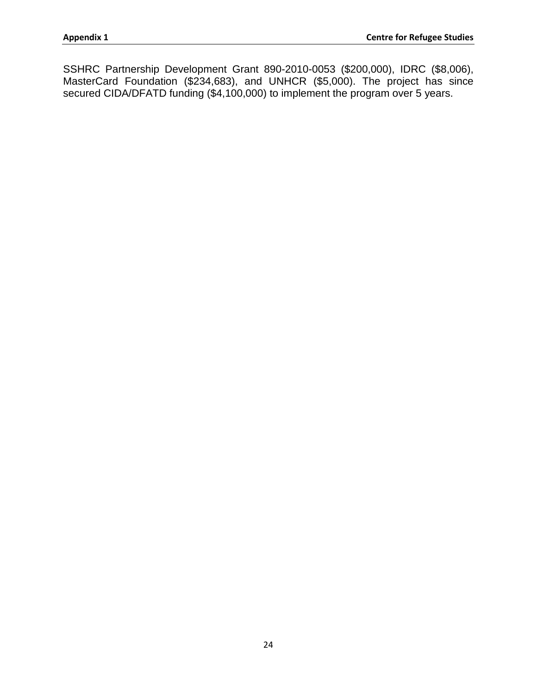SSHRC Partnership Development Grant 890-2010-0053 (\$200,000), IDRC (\$8,006), MasterCard Foundation (\$234,683), and UNHCR (\$5,000). The project has since secured CIDA/DFATD funding (\$4,100,000) to implement the program over 5 years.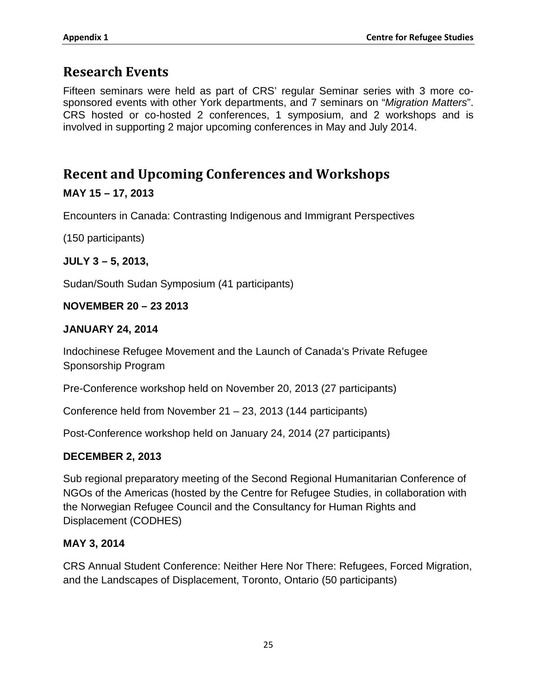## **Research Events**

Fifteen seminars were held as part of CRS' regular Seminar series with 3 more cosponsored events with other York departments, and 7 seminars on "*Migration Matters*". CRS hosted or co-hosted 2 conferences, 1 symposium, and 2 workshops and is involved in supporting 2 major upcoming conferences in May and July 2014.

## **Recent and Upcoming Conferences and Workshops**

#### **MAY 15 – 17, 2013**

Encounters in Canada: Contrasting Indigenous and Immigrant Perspectives

(150 participants)

**JULY 3 – 5, 2013,** 

Sudan/South Sudan Symposium (41 participants)

#### **NOVEMBER 20 – 23 2013**

#### **JANUARY 24, 2014**

Indochinese Refugee Movement and the Launch of Canada's Private Refugee Sponsorship Program

Pre-Conference workshop held on November 20, 2013 (27 participants)

Conference held from November 21 – 23, 2013 (144 participants)

Post-Conference workshop held on January 24, 2014 (27 participants)

#### **DECEMBER 2, 2013**

Sub regional preparatory meeting of the Second Regional Humanitarian Conference of NGOs of the Americas (hosted by the Centre for Refugee Studies, in collaboration with the Norwegian Refugee Council and the Consultancy for Human Rights and Displacement (CODHES)

#### **MAY 3, 2014**

CRS Annual Student Conference: Neither Here Nor There: Refugees, Forced Migration, and the Landscapes of Displacement, Toronto, Ontario (50 participants)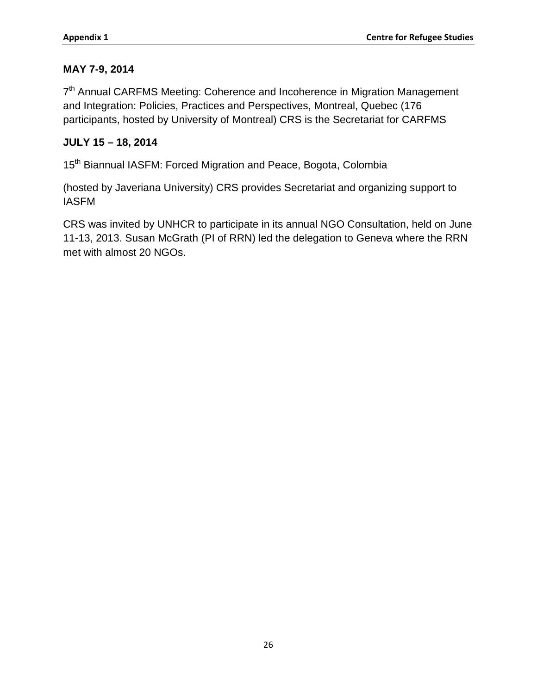## **MAY 7-9, 2014**

 $7<sup>th</sup>$  Annual CARFMS Meeting: Coherence and Incoherence in Migration Management and Integration: Policies, Practices and Perspectives, Montreal, Quebec (176 participants, hosted by University of Montreal) CRS is the Secretariat for CARFMS

# **JULY 15 – 18, 2014**

15<sup>th</sup> Biannual IASFM: Forced Migration and Peace, Bogota, Colombia

(hosted by Javeriana University) CRS provides Secretariat and organizing support to IASFM

CRS was invited by UNHCR to participate in its annual NGO Consultation, held on June 11-13, 2013. Susan McGrath (PI of RRN) led the delegation to Geneva where the RRN met with almost 20 NGOs.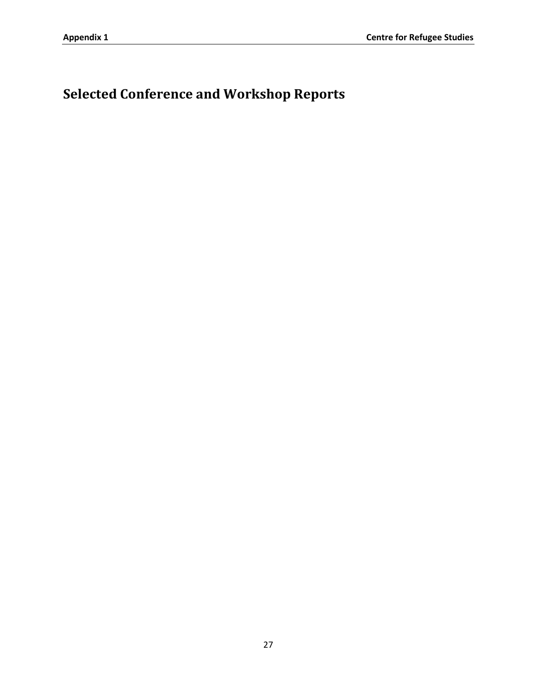# **Selected Conference and Workshop Reports**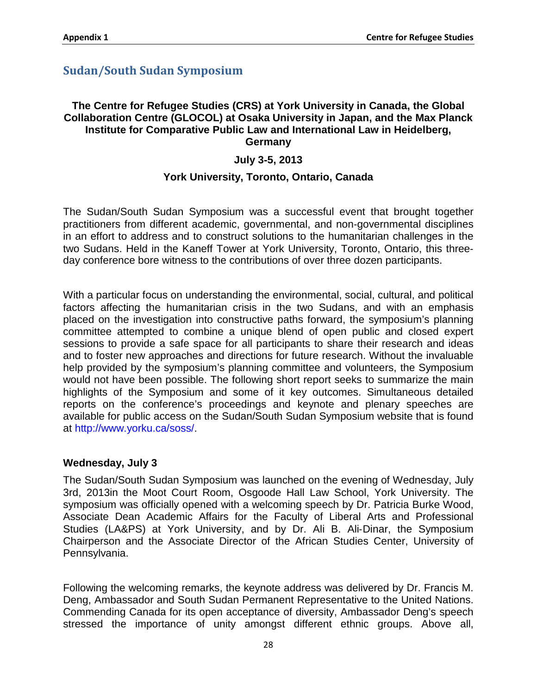# **Sudan/South Sudan Symposium**

#### **The Centre for Refugee Studies (CRS) at York University in Canada, the Global Collaboration Centre (GLOCOL) at Osaka University in Japan, and the Max Planck Institute for Comparative Public Law and International Law in Heidelberg, Germany**

## **July 3**‐**5, 2013**

## **York University, Toronto, Ontario, Canada**

The Sudan/South Sudan Symposium was a successful event that brought together practitioners from different academic, governmental, and non‐governmental disciplines in an effort to address and to construct solutions to the humanitarian challenges in the two Sudans. Held in the Kaneff Tower at York University, Toronto, Ontario, this three‐ day conference bore witness to the contributions of over three dozen participants.

With a particular focus on understanding the environmental, social, cultural, and political factors affecting the humanitarian crisis in the two Sudans, and with an emphasis placed on the investigation into constructive paths forward, the symposium's planning committee attempted to combine a unique blend of open public and closed expert sessions to provide a safe space for all participants to share their research and ideas and to foster new approaches and directions for future research. Without the invaluable help provided by the symposium's planning committee and volunteers, the Symposium would not have been possible. The following short report seeks to summarize the main highlights of the Symposium and some of it key outcomes. Simultaneous detailed reports on the conference's proceedings and keynote and plenary speeches are available for public access on the Sudan/South Sudan Symposium website that is found at http://www.yorku.ca/soss/.

#### **Wednesday, July 3**

The Sudan/South Sudan Symposium was launched on the evening of Wednesday, July 3rd, 2013in the Moot Court Room, Osgoode Hall Law School, York University. The symposium was officially opened with a welcoming speech by Dr. Patricia Burke Wood, Associate Dean Academic Affairs for the Faculty of Liberal Arts and Professional Studies (LA&PS) at York University, and by Dr. Ali B. Ali‐Dinar, the Symposium Chairperson and the Associate Director of the African Studies Center, University of Pennsylvania.

Following the welcoming remarks, the keynote address was delivered by Dr. Francis M. Deng, Ambassador and South Sudan Permanent Representative to the United Nations. Commending Canada for its open acceptance of diversity, Ambassador Deng's speech stressed the importance of unity amongst different ethnic groups. Above all,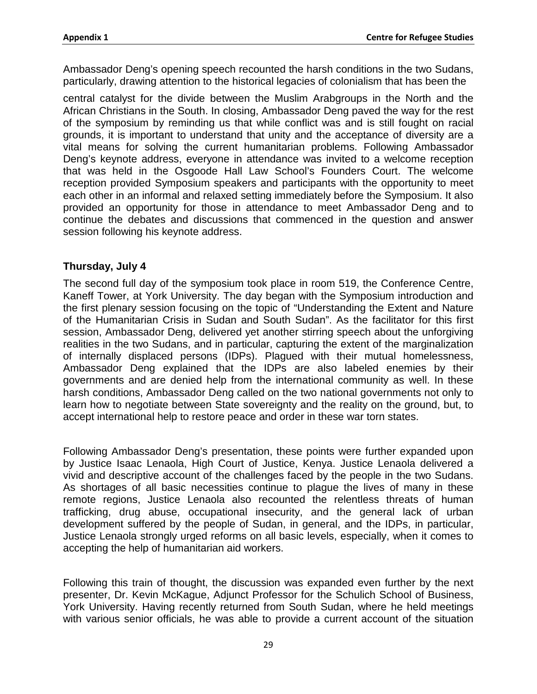Ambassador Deng's opening speech recounted the harsh conditions in the two Sudans, particularly, drawing attention to the historical legacies of colonialism that has been the

central catalyst for the divide between the Muslim Arabgroups in the North and the African Christians in the South. In closing, Ambassador Deng paved the way for the rest of the symposium by reminding us that while conflict was and is still fought on racial grounds, it is important to understand that unity and the acceptance of diversity are a vital means for solving the current humanitarian problems. Following Ambassador Deng's keynote address, everyone in attendance was invited to a welcome reception that was held in the Osgoode Hall Law School's Founders Court. The welcome reception provided Symposium speakers and participants with the opportunity to meet each other in an informal and relaxed setting immediately before the Symposium. It also provided an opportunity for those in attendance to meet Ambassador Deng and to continue the debates and discussions that commenced in the question and answer session following his keynote address.

## **Thursday, July 4**

The second full day of the symposium took place in room 519, the Conference Centre, Kaneff Tower, at York University. The day began with the Symposium introduction and the first plenary session focusing on the topic of "Understanding the Extent and Nature of the Humanitarian Crisis in Sudan and South Sudan". As the facilitator for this first session, Ambassador Deng, delivered yet another stirring speech about the unforgiving realities in the two Sudans, and in particular, capturing the extent of the marginalization of internally displaced persons (IDPs). Plagued with their mutual homelessness, Ambassador Deng explained that the IDPs are also labeled enemies by their governments and are denied help from the international community as well. In these harsh conditions, Ambassador Deng called on the two national governments not only to learn how to negotiate between State sovereignty and the reality on the ground, but, to accept international help to restore peace and order in these war torn states.

Following Ambassador Deng's presentation, these points were further expanded upon by Justice Isaac Lenaola, High Court of Justice, Kenya. Justice Lenaola delivered a vivid and descriptive account of the challenges faced by the people in the two Sudans. As shortages of all basic necessities continue to plague the lives of many in these remote regions, Justice Lenaola also recounted the relentless threats of human trafficking, drug abuse, occupational insecurity, and the general lack of urban development suffered by the people of Sudan, in general, and the IDPs, in particular, Justice Lenaola strongly urged reforms on all basic levels, especially, when it comes to accepting the help of humanitarian aid workers.

Following this train of thought, the discussion was expanded even further by the next presenter, Dr. Kevin McKague, Adjunct Professor for the Schulich School of Business, York University. Having recently returned from South Sudan, where he held meetings with various senior officials, he was able to provide a current account of the situation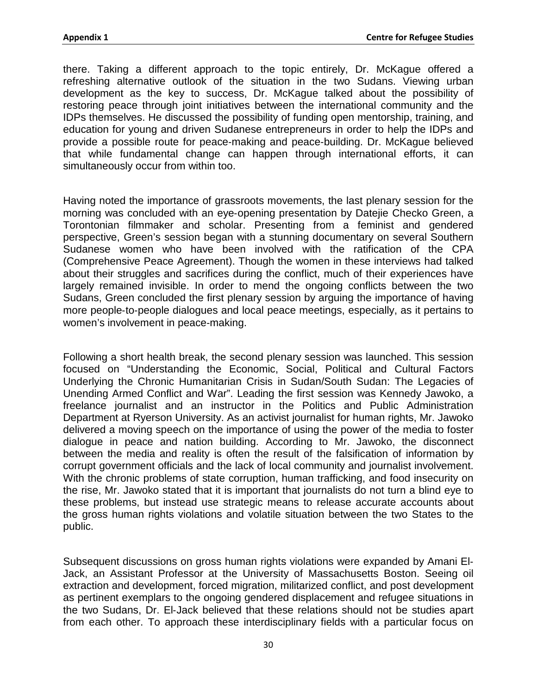there. Taking a different approach to the topic entirely, Dr. McKague offered a refreshing alternative outlook of the situation in the two Sudans. Viewing urban development as the key to success, Dr. McKague talked about the possibility of restoring peace through joint initiatives between the international community and the IDPs themselves. He discussed the possibility of funding open mentorship, training, and education for young and driven Sudanese entrepreneurs in order to help the IDPs and provide a possible route for peace‐making and peace‐building. Dr. McKague believed that while fundamental change can happen through international efforts, it can simultaneously occur from within too.

Having noted the importance of grassroots movements, the last plenary session for the morning was concluded with an eye‐opening presentation by Datejie Checko Green, a Torontonian filmmaker and scholar. Presenting from a feminist and gendered perspective, Green's session began with a stunning documentary on several Southern Sudanese women who have been involved with the ratification of the CPA (Comprehensive Peace Agreement). Though the women in these interviews had talked about their struggles and sacrifices during the conflict, much of their experiences have largely remained invisible. In order to mend the ongoing conflicts between the two Sudans, Green concluded the first plenary session by arguing the importance of having more people‐to‐people dialogues and local peace meetings, especially, as it pertains to women's involvement in peace‐making.

Following a short health break, the second plenary session was launched. This session focused on "Understanding the Economic, Social, Political and Cultural Factors Underlying the Chronic Humanitarian Crisis in Sudan/South Sudan: The Legacies of Unending Armed Conflict and War". Leading the first session was Kennedy Jawoko, a freelance journalist and an instructor in the Politics and Public Administration Department at Ryerson University. As an activist journalist for human rights, Mr. Jawoko delivered a moving speech on the importance of using the power of the media to foster dialogue in peace and nation building. According to Mr. Jawoko, the disconnect between the media and reality is often the result of the falsification of information by corrupt government officials and the lack of local community and journalist involvement. With the chronic problems of state corruption, human trafficking, and food insecurity on the rise, Mr. Jawoko stated that it is important that journalists do not turn a blind eye to these problems, but instead use strategic means to release accurate accounts about the gross human rights violations and volatile situation between the two States to the public.

Subsequent discussions on gross human rights violations were expanded by Amani El‐ Jack, an Assistant Professor at the University of Massachusetts Boston. Seeing oil extraction and development, forced migration, militarized conflict, and post development as pertinent exemplars to the ongoing gendered displacement and refugee situations in the two Sudans, Dr. El‐Jack believed that these relations should not be studies apart from each other. To approach these interdisciplinary fields with a particular focus on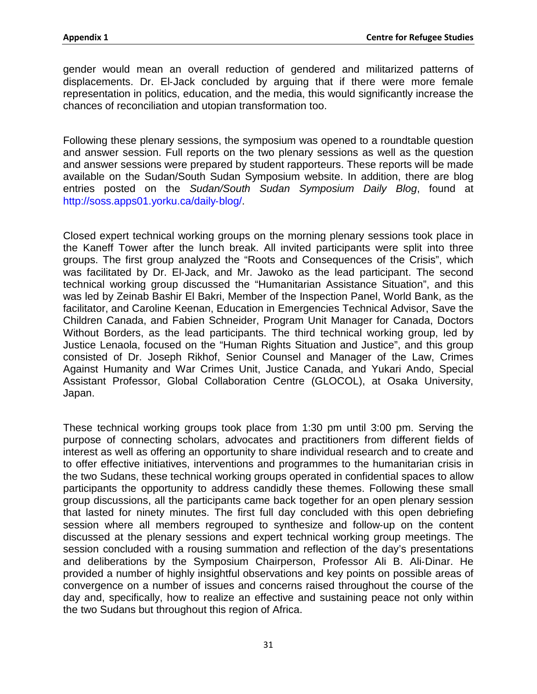gender would mean an overall reduction of gendered and militarized patterns of displacements. Dr. El‐Jack concluded by arguing that if there were more female representation in politics, education, and the media, this would significantly increase the chances of reconciliation and utopian transformation too.

Following these plenary sessions, the symposium was opened to a roundtable question and answer session. Full reports on the two plenary sessions as well as the question and answer sessions were prepared by student rapporteurs. These reports will be made available on the Sudan/South Sudan Symposium website. In addition, there are blog entries posted on the *Sudan/South Sudan Symposium Daily Blog*, found at http://soss.apps01.yorku.ca/daily‐blog/.

Closed expert technical working groups on the morning plenary sessions took place in the Kaneff Tower after the lunch break. All invited participants were split into three groups. The first group analyzed the "Roots and Consequences of the Crisis", which was facilitated by Dr. El‐Jack, and Mr. Jawoko as the lead participant. The second technical working group discussed the "Humanitarian Assistance Situation", and this was led by Zeinab Bashir El Bakri, Member of the Inspection Panel, World Bank, as the facilitator, and Caroline Keenan, Education in Emergencies Technical Advisor, Save the Children Canada, and Fabien Schneider, Program Unit Manager for Canada, Doctors Without Borders, as the lead participants. The third technical working group, led by Justice Lenaola, focused on the "Human Rights Situation and Justice", and this group consisted of Dr. Joseph Rikhof, Senior Counsel and Manager of the Law, Crimes Against Humanity and War Crimes Unit, Justice Canada, and Yukari Ando, Special Assistant Professor, Global Collaboration Centre (GLOCOL), at Osaka University, Japan.

These technical working groups took place from 1:30 pm until 3:00 pm. Serving the purpose of connecting scholars, advocates and practitioners from different fields of interest as well as offering an opportunity to share individual research and to create and to offer effective initiatives, interventions and programmes to the humanitarian crisis in the two Sudans, these technical working groups operated in confidential spaces to allow participants the opportunity to address candidly these themes. Following these small group discussions, all the participants came back together for an open plenary session that lasted for ninety minutes. The first full day concluded with this open debriefing session where all members regrouped to synthesize and follow‐up on the content discussed at the plenary sessions and expert technical working group meetings. The session concluded with a rousing summation and reflection of the day's presentations and deliberations by the Symposium Chairperson, Professor Ali B. Ali‐Dinar. He provided a number of highly insightful observations and key points on possible areas of convergence on a number of issues and concerns raised throughout the course of the day and, specifically, how to realize an effective and sustaining peace not only within the two Sudans but throughout this region of Africa.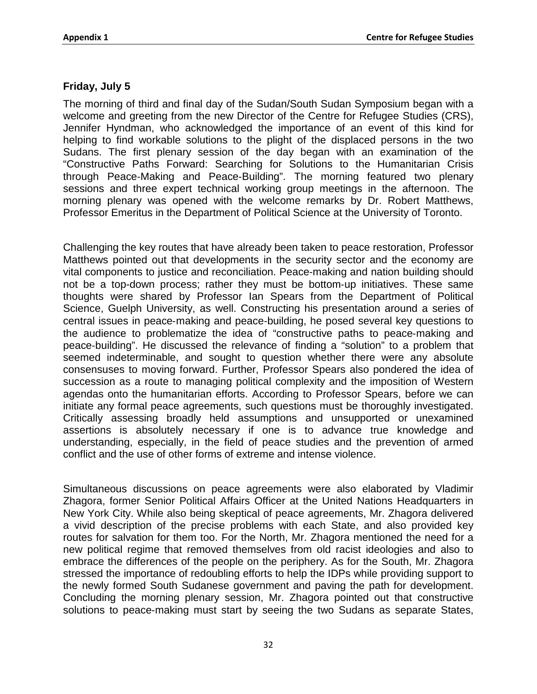## **Friday, July 5**

The morning of third and final day of the Sudan/South Sudan Symposium began with a welcome and greeting from the new Director of the Centre for Refugee Studies (CRS), Jennifer Hyndman, who acknowledged the importance of an event of this kind for helping to find workable solutions to the plight of the displaced persons in the two Sudans. The first plenary session of the day began with an examination of the "Constructive Paths Forward: Searching for Solutions to the Humanitarian Crisis through Peace‐Making and Peace‐Building". The morning featured two plenary sessions and three expert technical working group meetings in the afternoon. The morning plenary was opened with the welcome remarks by Dr. Robert Matthews, Professor Emeritus in the Department of Political Science at the University of Toronto.

Challenging the key routes that have already been taken to peace restoration, Professor Matthews pointed out that developments in the security sector and the economy are vital components to justice and reconciliation. Peace‐making and nation building should not be a top-down process; rather they must be bottom‐up initiatives. These same thoughts were shared by Professor Ian Spears from the Department of Political Science, Guelph University, as well. Constructing his presentation around a series of central issues in peace‐making and peace‐building, he posed several key questions to the audience to problematize the idea of "constructive paths to peace-making and peace‐building". He discussed the relevance of finding a "solution" to a problem that seemed indeterminable, and sought to question whether there were any absolute consensuses to moving forward. Further, Professor Spears also pondered the idea of succession as a route to managing political complexity and the imposition of Western agendas onto the humanitarian efforts. According to Professor Spears, before we can initiate any formal peace agreements, such questions must be thoroughly investigated. Critically assessing broadly held assumptions and unsupported or unexamined assertions is absolutely necessary if one is to advance true knowledge and understanding, especially, in the field of peace studies and the prevention of armed conflict and the use of other forms of extreme and intense violence.

Simultaneous discussions on peace agreements were also elaborated by Vladimir Zhagora, former Senior Political Affairs Officer at the United Nations Headquarters in New York City. While also being skeptical of peace agreements, Mr. Zhagora delivered a vivid description of the precise problems with each State, and also provided key routes for salvation for them too. For the North, Mr. Zhagora mentioned the need for a new political regime that removed themselves from old racist ideologies and also to embrace the differences of the people on the periphery. As for the South, Mr. Zhagora stressed the importance of redoubling efforts to help the IDPs while providing support to the newly formed South Sudanese government and paving the path for development. Concluding the morning plenary session, Mr. Zhagora pointed out that constructive solutions to peace-making must start by seeing the two Sudans as separate States,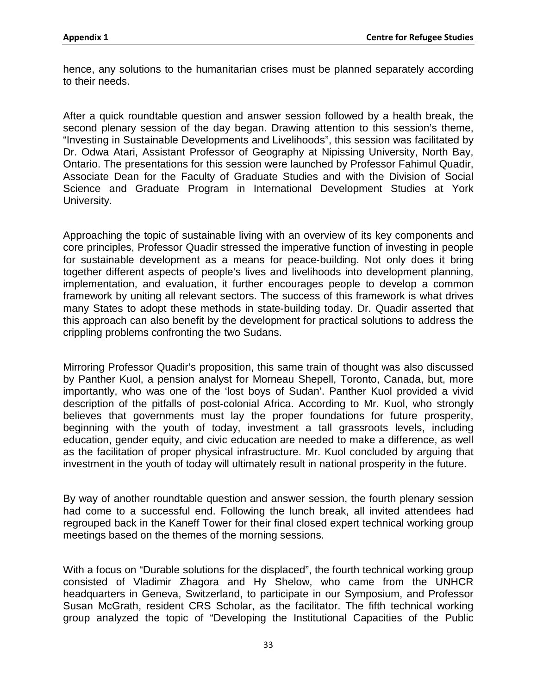hence, any solutions to the humanitarian crises must be planned separately according to their needs.

After a quick roundtable question and answer session followed by a health break, the second plenary session of the day began. Drawing attention to this session's theme, "Investing in Sustainable Developments and Livelihoods", this session was facilitated by Dr. Odwa Atari, Assistant Professor of Geography at Nipissing University, North Bay, Ontario. The presentations for this session were launched by Professor Fahimul Quadir, Associate Dean for the Faculty of Graduate Studies and with the Division of Social Science and Graduate Program in International Development Studies at York University.

Approaching the topic of sustainable living with an overview of its key components and core principles, Professor Quadir stressed the imperative function of investing in people for sustainable development as a means for peace‐building. Not only does it bring together different aspects of people's lives and livelihoods into development planning, implementation, and evaluation, it further encourages people to develop a common framework by uniting all relevant sectors. The success of this framework is what drives many States to adopt these methods in state‐building today. Dr. Quadir asserted that this approach can also benefit by the development for practical solutions to address the crippling problems confronting the two Sudans.

Mirroring Professor Quadir's proposition, this same train of thought was also discussed by Panther Kuol, a pension analyst for Morneau Shepell, Toronto, Canada, but, more importantly, who was one of the 'lost boys of Sudan'. Panther Kuol provided a vivid description of the pitfalls of post-colonial Africa. According to Mr. Kuol, who strongly believes that governments must lay the proper foundations for future prosperity, beginning with the youth of today, investment a tall grassroots levels, including education, gender equity, and civic education are needed to make a difference, as well as the facilitation of proper physical infrastructure. Mr. Kuol concluded by arguing that investment in the youth of today will ultimately result in national prosperity in the future.

By way of another roundtable question and answer session, the fourth plenary session had come to a successful end. Following the lunch break, all invited attendees had regrouped back in the Kaneff Tower for their final closed expert technical working group meetings based on the themes of the morning sessions.

With a focus on "Durable solutions for the displaced", the fourth technical working group consisted of Vladimir Zhagora and Hy Shelow, who came from the UNHCR headquarters in Geneva, Switzerland, to participate in our Symposium, and Professor Susan McGrath, resident CRS Scholar, as the facilitator. The fifth technical working group analyzed the topic of "Developing the Institutional Capacities of the Public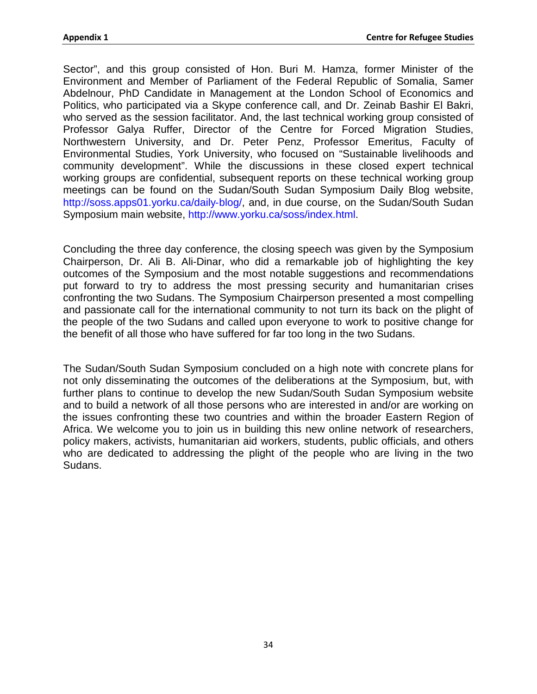Sector", and this group consisted of Hon. Buri M. Hamza, former Minister of the Environment and Member of Parliament of the Federal Republic of Somalia, Samer Abdelnour, PhD Candidate in Management at the London School of Economics and Politics, who participated via a Skype conference call, and Dr. Zeinab Bashir El Bakri, who served as the session facilitator. And, the last technical working group consisted of Professor Galya Ruffer, Director of the Centre for Forced Migration Studies, Northwestern University, and Dr. Peter Penz, Professor Emeritus, Faculty of Environmental Studies, York University, who focused on "Sustainable livelihoods and community development". While the discussions in these closed expert technical working groups are confidential, subsequent reports on these technical working group meetings can be found on the Sudan/South Sudan Symposium Daily Blog website, http://soss.apps01.yorku.ca/daily-blog/, and, in due course, on the Sudan/South Sudan Symposium main website, http://www.yorku.ca/soss/index.html.

Concluding the three day conference, the closing speech was given by the Symposium Chairperson, Dr. Ali B. Ali‐Dinar, who did a remarkable job of highlighting the key outcomes of the Symposium and the most notable suggestions and recommendations put forward to try to address the most pressing security and humanitarian crises confronting the two Sudans. The Symposium Chairperson presented a most compelling and passionate call for the international community to not turn its back on the plight of the people of the two Sudans and called upon everyone to work to positive change for the benefit of all those who have suffered for far too long in the two Sudans.

The Sudan/South Sudan Symposium concluded on a high note with concrete plans for not only disseminating the outcomes of the deliberations at the Symposium, but, with further plans to continue to develop the new Sudan/South Sudan Symposium website and to build a network of all those persons who are interested in and/or are working on the issues confronting these two countries and within the broader Eastern Region of Africa. We welcome you to join us in building this new online network of researchers, policy makers, activists, humanitarian aid workers, students, public officials, and others who are dedicated to addressing the plight of the people who are living in the two Sudans.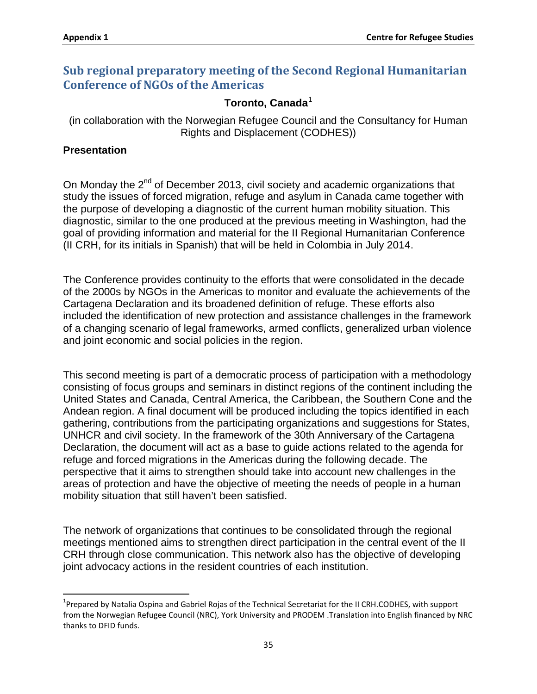# **Sub regional preparatory meeting of the Second Regional Humanitarian Conference of NGOs of the Americas**

## **Toronto, Canada**[1](#page-45-0)

(in collaboration with the Norwegian Refugee Council and the Consultancy for Human Rights and Displacement (CODHES))

#### **Presentation**

On Monday the 2<sup>nd</sup> of December 2013, civil society and academic organizations that study the issues of forced migration, refuge and asylum in Canada came together with the purpose of developing a diagnostic of the current human mobility situation. This diagnostic, similar to the one produced at the previous meeting in Washington, had the goal of providing information and material for the II Regional Humanitarian Conference (II CRH, for its initials in Spanish) that will be held in Colombia in July 2014.

The Conference provides continuity to the efforts that were consolidated in the decade of the 2000s by NGOs in the Americas to monitor and evaluate the achievements of the Cartagena Declaration and its broadened definition of refuge. These efforts also included the identification of new protection and assistance challenges in the framework of a changing scenario of legal frameworks, armed conflicts, generalized urban violence and joint economic and social policies in the region.

This second meeting is part of a democratic process of participation with a methodology consisting of focus groups and seminars in distinct regions of the continent including the United States and Canada, Central America, the Caribbean, the Southern Cone and the Andean region. A final document will be produced including the topics identified in each gathering, contributions from the participating organizations and suggestions for States, UNHCR and civil society. In the framework of the 30th Anniversary of the Cartagena Declaration, the document will act as a base to guide actions related to the agenda for refuge and forced migrations in the Americas during the following decade. The perspective that it aims to strengthen should take into account new challenges in the areas of protection and have the objective of meeting the needs of people in a human mobility situation that still haven't been satisfied.

The network of organizations that continues to be consolidated through the regional meetings mentioned aims to strengthen direct participation in the central event of the II CRH through close communication. This network also has the objective of developing joint advocacy actions in the resident countries of each institution.

<span id="page-45-0"></span> $\frac{1}{1}$ <sup>1</sup>Prepared by Natalia Ospina and Gabriel Rojas of the Technical Secretariat for the II CRH.CODHES, with support from the Norwegian Refugee Council (NRC), York University and PRODEM .Translation into English financed by NRC thanks to DFID funds.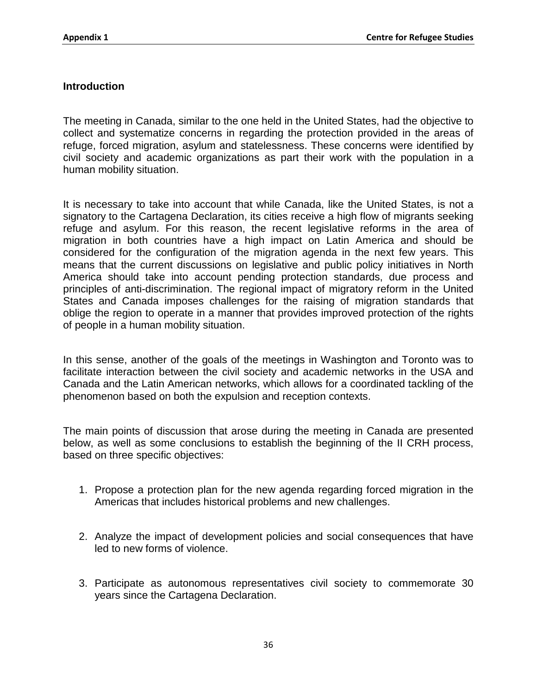## **Introduction**

The meeting in Canada, similar to the one held in the United States, had the objective to collect and systematize concerns in regarding the protection provided in the areas of refuge, forced migration, asylum and statelessness. These concerns were identified by civil society and academic organizations as part their work with the population in a human mobility situation.

It is necessary to take into account that while Canada, like the United States, is not a signatory to the Cartagena Declaration, its cities receive a high flow of migrants seeking refuge and asylum. For this reason, the recent legislative reforms in the area of migration in both countries have a high impact on Latin America and should be considered for the configuration of the migration agenda in the next few years. This means that the current discussions on legislative and public policy initiatives in North America should take into account pending protection standards, due process and principles of anti-discrimination. The regional impact of migratory reform in the United States and Canada imposes challenges for the raising of migration standards that oblige the region to operate in a manner that provides improved protection of the rights of people in a human mobility situation.

In this sense, another of the goals of the meetings in Washington and Toronto was to facilitate interaction between the civil society and academic networks in the USA and Canada and the Latin American networks, which allows for a coordinated tackling of the phenomenon based on both the expulsion and reception contexts.

The main points of discussion that arose during the meeting in Canada are presented below, as well as some conclusions to establish the beginning of the II CRH process, based on three specific objectives:

- 1. Propose a protection plan for the new agenda regarding forced migration in the Americas that includes historical problems and new challenges.
- 2. Analyze the impact of development policies and social consequences that have led to new forms of violence.
- 3. Participate as autonomous representatives civil society to commemorate 30 years since the Cartagena Declaration.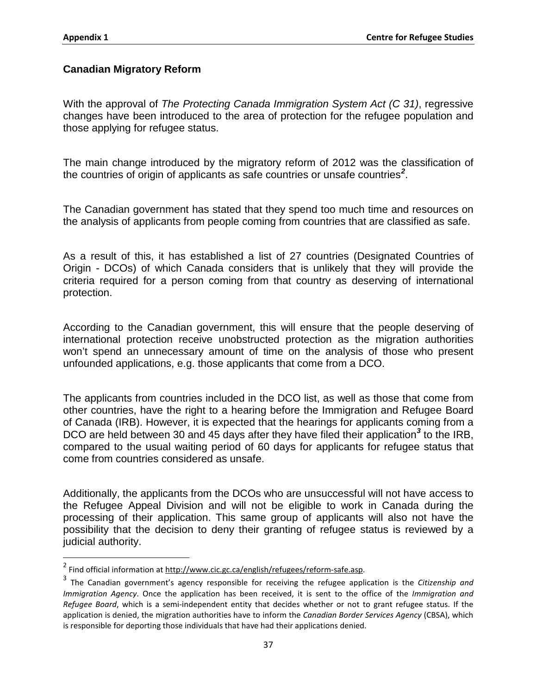## **Canadian Migratory Reform**

With the approval of *The Protecting Canada Immigration System Act (C 31)*, regressive changes have been introduced to the area of protection for the refugee population and those applying for refugee status.

The main change introduced by the migratory reform of 2012 was the classification of the countries of origin of applicants as safe countries or unsafe countries*[2](#page-47-0)* .

The Canadian government has stated that they spend too much time and resources on the analysis of applicants from people coming from countries that are classified as safe.

As a result of this, it has established a list of 27 countries (Designated Countries of Origin - DCOs) of which Canada considers that is unlikely that they will provide the criteria required for a person coming from that country as deserving of international protection.

According to the Canadian government, this will ensure that the people deserving of international protection receive unobstructed protection as the migration authorities won't spend an unnecessary amount of time on the analysis of those who present unfounded applications, e.g. those applicants that come from a DCO.

The applicants from countries included in the DCO list, as well as those that come from other countries, have the right to a hearing before the Immigration and Refugee Board of Canada (IRB). However, it is expected that the hearings for applicants coming from a DCO are held between 30 and 45 days after they have filed their application*[3](#page-47-1)* to the IRB, compared to the usual waiting period of 60 days for applicants for refugee status that come from countries considered as unsafe.

Additionally, the applicants from the DCOs who are unsuccessful will not have access to the Refugee Appeal Division and will not be eligible to work in Canada during the processing of their application. This same group of applicants will also not have the possibility that the decision to deny their granting of refugee status is reviewed by a judicial authority.

<span id="page-47-0"></span> <sup>2</sup> Find official information at [http://www.cic.gc.ca/english/refugees/reform-safe.asp.](http://www.cic.gc.ca/english/refugees/reform-safe.asp)

<span id="page-47-1"></span><sup>3</sup> The Canadian government's agency responsible for receiving the refugee application is the *Citizenship and Immigration Agency*. Once the application has been received, it is sent to the office of the *Immigration and Refugee Board*, which is a semi-independent entity that decides whether or not to grant refugee status. If the application is denied, the migration authorities have to inform the *Canadian Border Services Agency* (CBSA), which is responsible for deporting those individuals that have had their applications denied.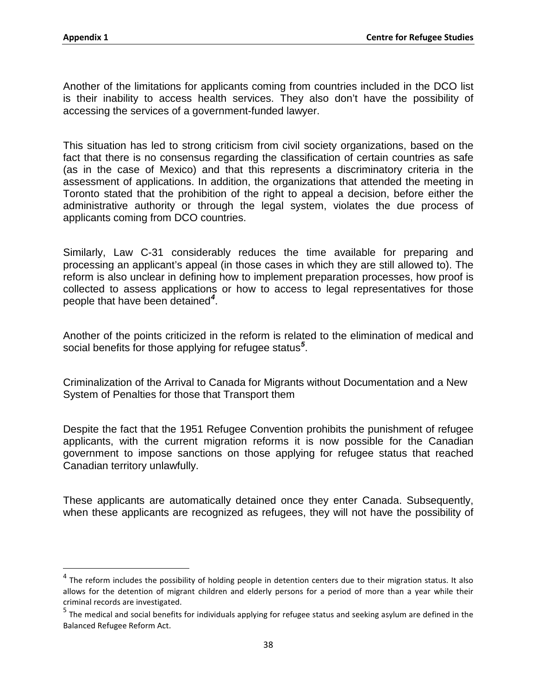Another of the limitations for applicants coming from countries included in the DCO list is their inability to access health services. They also don't have the possibility of accessing the services of a government-funded lawyer.

This situation has led to strong criticism from civil society organizations, based on the fact that there is no consensus regarding the classification of certain countries as safe (as in the case of Mexico) and that this represents a discriminatory criteria in the assessment of applications. In addition, the organizations that attended the meeting in Toronto stated that the prohibition of the right to appeal a decision, before either the administrative authority or through the legal system, violates the due process of applicants coming from DCO countries.

Similarly, Law C-31 considerably reduces the time available for preparing and processing an applicant's appeal (in those cases in which they are still allowed to). The reform is also unclear in defining how to implement preparation processes, how proof is collected to assess applications or how to access to legal representatives for those people that have been detained*[4](#page-48-0)* .

Another of the points criticized in the reform is related to the elimination of medical and social benefits for those applying for refugee status*[5](#page-48-1)* .

Criminalization of the Arrival to Canada for Migrants without Documentation and a New System of Penalties for those that Transport them

Despite the fact that the 1951 Refugee Convention prohibits the punishment of refugee applicants, with the current migration reforms it is now possible for the Canadian government to impose sanctions on those applying for refugee status that reached Canadian territory unlawfully.

These applicants are automatically detained once they enter Canada. Subsequently, when these applicants are recognized as refugees, they will not have the possibility of

<span id="page-48-0"></span> $4$  The reform includes the possibility of holding people in detention centers due to their migration status. It also allows for the detention of migrant children and elderly persons for a period of more than a year while their criminal records are investigated.

<span id="page-48-1"></span><sup>5</sup> The medical and social benefits for individuals applying for refugee status and seeking asylum are defined in the Balanced Refugee Reform Act.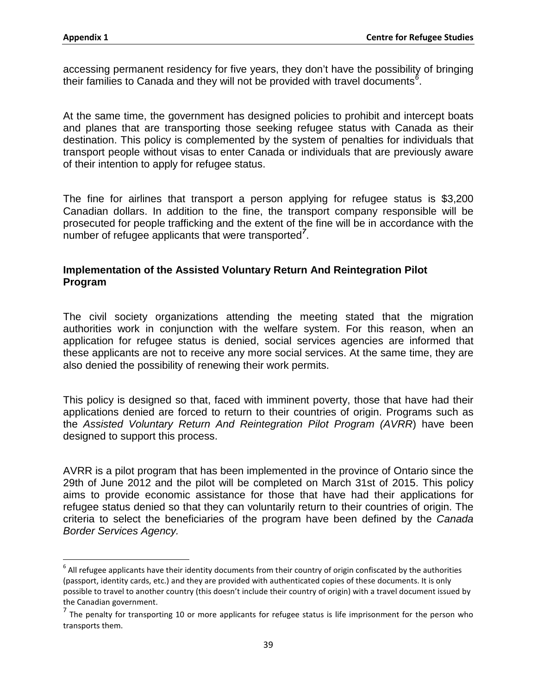accessing permanent residency for five years, they don't have the possibility of bringing their families to Canada and they will not be provided with travel documents*[6](#page-49-0)* .

At the same time, the government has designed policies to prohibit and intercept boats and planes that are transporting those seeking refugee status with Canada as their destination. This policy is complemented by the system of penalties for individuals that transport people without visas to enter Canada or individuals that are previously aware of their intention to apply for refugee status.

The fine for airlines that transport a person applying for refugee status is \$3,200 Canadian dollars. In addition to the fine, the transport company responsible will be prosecuted for people trafficking and the extent of the fine will be in accordance with the number of refugee applicants that were transported*[7](#page-49-1)* .

## **Implementation of the Assisted Voluntary Return And Reintegration Pilot Program**

The civil society organizations attending the meeting stated that the migration authorities work in conjunction with the welfare system. For this reason, when an application for refugee status is denied, social services agencies are informed that these applicants are not to receive any more social services. At the same time, they are also denied the possibility of renewing their work permits.

This policy is designed so that, faced with imminent poverty, those that have had their applications denied are forced to return to their countries of origin. Programs such as the *Assisted Voluntary Return And Reintegration Pilot Program (AVRR*) have been designed to support this process.

AVRR is a pilot program that has been implemented in the province of Ontario since the 29th of June 2012 and the pilot will be completed on March 31st of 2015. This policy aims to provide economic assistance for those that have had their applications for refugee status denied so that they can voluntarily return to their countries of origin. The criteria to select the beneficiaries of the program have been defined by the *[Canada](http://www.cbsa-asfc.gc.ca/menu-eng.html) Border [Services](http://www.cbsa-asfc.gc.ca/menu-eng.html) Agency.*

<span id="page-49-0"></span> $6$  All refugee applicants have their identity documents from their country of origin confiscated by the authorities (passport, identity cards, etc.) and they are provided with authenticated copies of these documents. It is only possible to travel to another country (this doesn't include their country of origin) with a travel document issued by the Canadian government.

<span id="page-49-1"></span> $<sup>7</sup>$  The penalty for transporting 10 or more applicants for refugee status is life imprisonment for the person who</sup> transports them.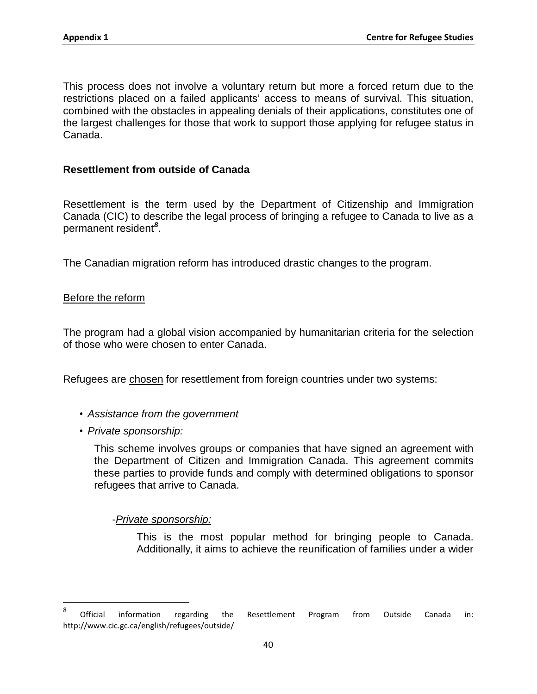This process does not involve a voluntary return but more a forced return due to the restrictions placed on a failed applicants' access to means of survival. This situation, combined with the obstacles in appealing denials of their applications, constitutes one of the largest challenges for those that work to support those applying for refugee status in Canada.

#### **Resettlement from outside of Canada**

Resettlement is the term used by the Department of Citizenship and Immigration Canada (CIC) to describe the legal process of bringing a refugee to Canada to live as a permanent resident*[8](#page-50-0)* .

The Canadian migration reform has introduced drastic changes to the program.

#### Before the reform

The program had a global vision accompanied by humanitarian criteria for the selection of those who were chosen to enter Canada.

Refugees are chosen for resettlement from foreign countries under two systems:

- *Assistance from the government*
- *Private sponsorship:*

This scheme involves groups or companies that have signed an agreement with the Department of Citizen and Immigration Canada. This agreement commits these parties to provide funds and comply with determined obligations to sponsor refugees that arrive to Canada.

-*Private sponsorship:*

This is the most popular method for bringing people to Canada. Additionally, it aims to achieve the reunification of families under a wider

<span id="page-50-0"></span>enties and the mannim and the Senang and the Senanda in:<br>a Cofficial information regarding the Resettlement Program from Outside Canada in: http://www.cic.gc.ca/english/refugees/outside/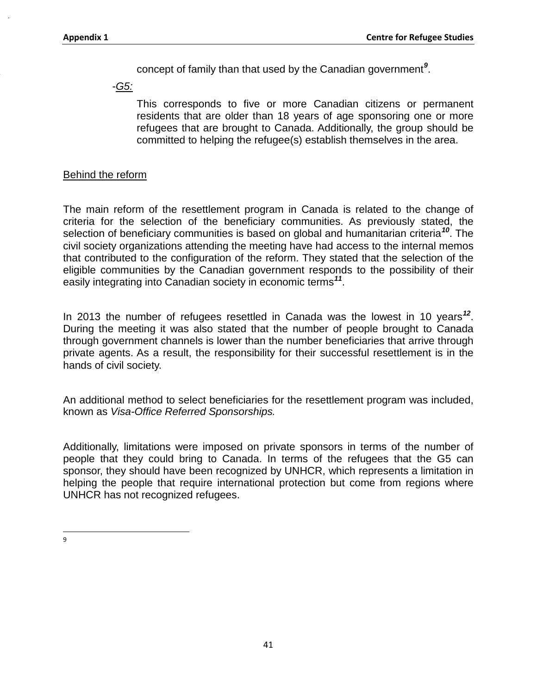concept of family than that used by the Canadian government*[9](#page-51-0)* .

-*G5:*

This corresponds to five or more Canadian citizens or permanent residents that are older than 18 years of age sponsoring one or more refugees that are brought to Canada. Additionally, the group should be committed to helping the refugee(s) establish themselves in the area.

#### Behind the reform

The main reform of the resettlement program in Canada is related to the change of criteria for the selection of the beneficiary communities. As previously stated, the selection of beneficiary communities is based on global and humanitarian criteria*[10](#page-51-1)*. The civil society organizations attending the meeting have had access to the internal memos that contributed to the configuration of the reform. They stated that the selection of the eligible communities by the Canadian government responds to the possibility of their easily integrating into Canadian society in economic terms*[11](#page-51-2)*.

In 2013 the number of refugees resettled in Canada was the lowest in 10 years*[12](#page-51-3)*. During the meeting it was also stated that the number of people brought to Canada through government channels is lower than the number beneficiaries that arrive through private agents. As a result, the responsibility for their successful resettlement is in the hands of civil society.

An additional method to select beneficiaries for the resettlement program was included, known as *Visa-Office Referred Sponsorships.*

Additionally, limitations were imposed on private sponsors in terms of the number of people that they could bring to Canada. In terms of the refugees that the G5 can sponsor, they should have been recognized by UNHCR, which represents a limitation in helping the people that require international protection but come from regions where UNHCR has not recognized refugees.

<span id="page-51-3"></span><span id="page-51-2"></span><span id="page-51-1"></span><span id="page-51-0"></span>9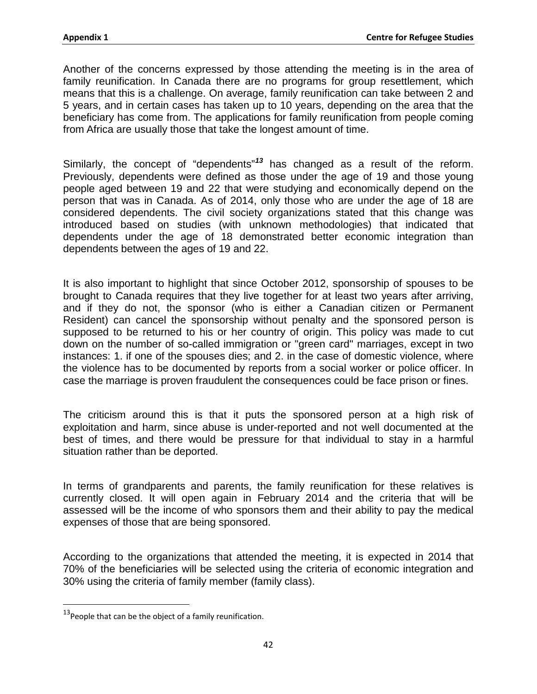Another of the concerns expressed by those attending the meeting is in the area of family reunification. In Canada there are no programs for group resettlement, which means that this is a challenge. On average, family reunification can take between 2 and 5 years, and in certain cases has taken up to 10 years, depending on the area that the beneficiary has come from. The applications for family reunification from people coming from Africa are usually those that take the longest amount of time.

Similarly, the concept of "dependents"*[13](#page-52-0)* has changed as a result of the reform. Previously, dependents were defined as those under the age of 19 and those young people aged between 19 and 22 that were studying and economically depend on the person that was in Canada. As of 2014, only those who are under the age of 18 are considered dependents. The civil society organizations stated that this change was introduced based on studies (with unknown methodologies) that indicated that dependents under the age of 18 demonstrated better economic integration than dependents between the ages of 19 and 22.

It is also important to highlight that since October 2012, sponsorship of spouses to be brought to Canada requires that they live together for at least two years after arriving, and if they do not, the sponsor (who is either a Canadian citizen or Permanent Resident) can cancel the sponsorship without penalty and the sponsored person is supposed to be returned to his or her country of origin. This policy was made to cut down on the number of so-called immigration or "green card" marriages, except in two instances: 1. if one of the spouses dies; and 2. in the case of domestic violence, where the violence has to be documented by reports from a social worker or police officer. In case the marriage is proven fraudulent the consequences could be face prison or fines.

The criticism around this is that it puts the sponsored person at a high risk of exploitation and harm, since abuse is under-reported and not well documented at the best of times, and there would be pressure for that individual to stay in a harmful situation rather than be deported.

In terms of grandparents and parents, the family reunification for these relatives is currently closed. It will open again in February 2014 and the criteria that will be assessed will be the income of who sponsors them and their ability to pay the medical expenses of those that are being sponsored.

According to the organizations that attended the meeting, it is expected in 2014 that 70% of the beneficiaries will be selected using the criteria of economic integration and 30% using the criteria of family member (family class).

<span id="page-52-0"></span> $13$ People that can be the object of a family reunification.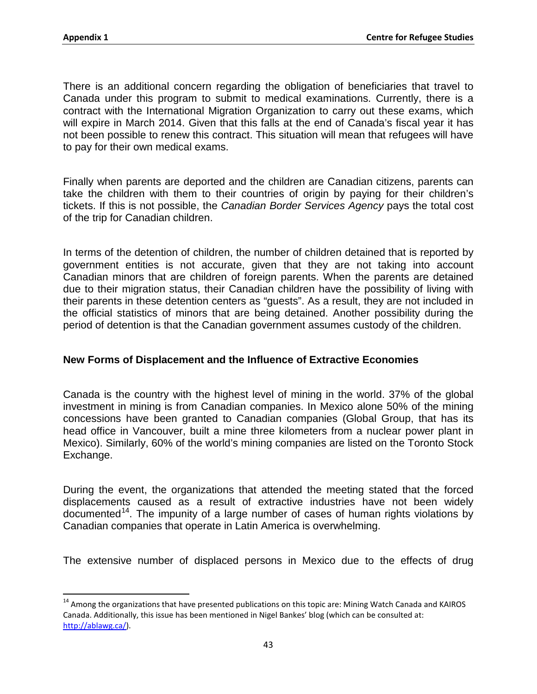There is an additional concern regarding the obligation of beneficiaries that travel to Canada under this program to submit to medical examinations. Currently, there is a contract with the International Migration Organization to carry out these exams, which will expire in March 2014. Given that this falls at the end of Canada's fiscal year it has not been possible to renew this contract. This situation will mean that refugees will have to pay for their own medical exams.

Finally when parents are deported and the children are Canadian citizens, parents can take the children with them to their countries of origin by paying for their children's tickets. If this is not possible, the *Canadian Border Services Agency* pays the total cost of the trip for Canadian children.

In terms of the detention of children, the number of children detained that is reported by government entities is not accurate, given that they are not taking into account Canadian minors that are children of foreign parents. When the parents are detained due to their migration status, their Canadian children have the possibility of living with their parents in these detention centers as "guests". As a result, they are not included in the official statistics of minors that are being detained. Another possibility during the period of detention is that the Canadian government assumes custody of the children.

## **New Forms of Displacement and the Influence of Extractive Economies**

Canada is the country with the highest level of mining in the world. 37% of the global investment in mining is from Canadian companies. In Mexico alone 50% of the mining concessions have been granted to Canadian companies (Global Group, that has its head office in Vancouver, built a mine three kilometers from a nuclear power plant in Mexico). Similarly, 60% of the world's mining companies are listed on the Toronto Stock Exchange.

During the event, the organizations that attended the meeting stated that the forced displacements caused as a result of extractive industries have not been widely documented<sup>[14](#page-53-0)</sup>. The impunity of a large number of cases of human rights violations by Canadian companies that operate in Latin America is overwhelming.

The extensive number of displaced persons in Mexico due to the effects of drug

<span id="page-53-0"></span><sup>&</sup>lt;sup>14</sup> Among the organizations that have presented publications on this topic are: Mining Watch Canada and KAIROS Canada. Additionally, this issue has been mentioned in Nigel Bankes' blog (which can be consulted at: [http://ablawg.ca/\)](http://ablawg.ca/).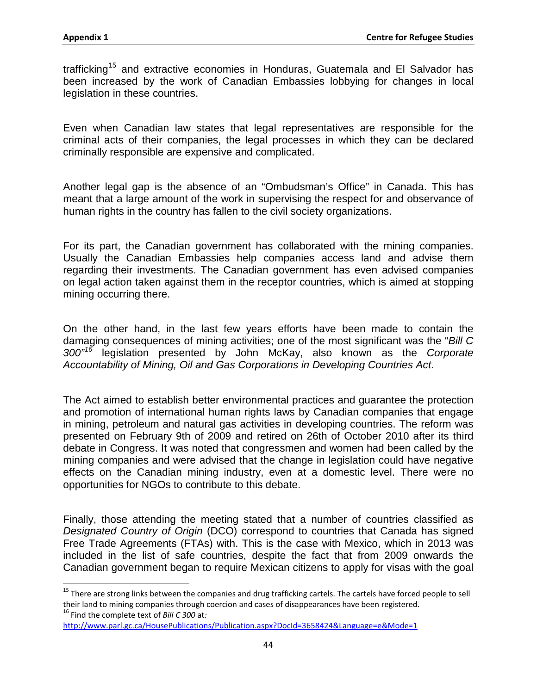trafficking<sup>[15](#page-54-0)</sup> and extractive economies in Honduras, Guatemala and El Salvador has been increased by the work of Canadian Embassies lobbying for changes in local legislation in these countries.

Even when Canadian law states that legal representatives are responsible for the criminal acts of their companies, the legal processes in which they can be declared criminally responsible are expensive and complicated.

Another legal gap is the absence of an "Ombudsman's Office" in Canada. This has meant that a large amount of the work in supervising the respect for and observance of human rights in the country has fallen to the civil society organizations.

For its part, the Canadian government has collaborated with the mining companies. Usually the Canadian Embassies help companies access land and advise them regarding their investments. The Canadian government has even advised companies on legal action taken against them in the receptor countries, which is aimed at stopping mining occurring there.

On the other hand, in the last few years efforts have been made to contain the damaging consequences of mining activities; one of the most significant was the "*Bill C 300"[16](#page-54-1)* legislation presented by John McKay, also known as the *Corporate Accountability of Mining, Oil and Gas Corporations in Developing Countries Act*.

The Act aimed to establish better environmental practices and guarantee the protection and promotion of international human rights laws by Canadian companies that engage in mining, petroleum and natural gas activities in developing countries. The reform was presented on February 9th of 2009 and retired on 26th of October 2010 after its third debate in Congress. It was noted that congressmen and women had been called by the mining companies and were advised that the change in legislation could have negative effects on the Canadian mining industry, even at a domestic level. There were no opportunities for NGOs to contribute to this debate.

Finally, those attending the meeting stated that a number of countries classified as *Designated Country of Origin* (DCO) correspond to countries that Canada has signed Free Trade Agreements (FTAs) with. This is the case with Mexico, which in 2013 was included in the list of safe countries, despite the fact that from 2009 onwards the Canadian government began to require Mexican citizens to apply for visas with the goal

<span id="page-54-1"></span><http://www.parl.gc.ca/HousePublications/Publication.aspx?DocId=3658424&Language=e&Mode=1>

<span id="page-54-0"></span> $15$  There are strong links between the companies and drug trafficking cartels. The cartels have forced people to sell their land to mining companies through coercion and cases of disappearances have been registered. <sup>16</sup> Find the complete text of *Bill C 300* at*:*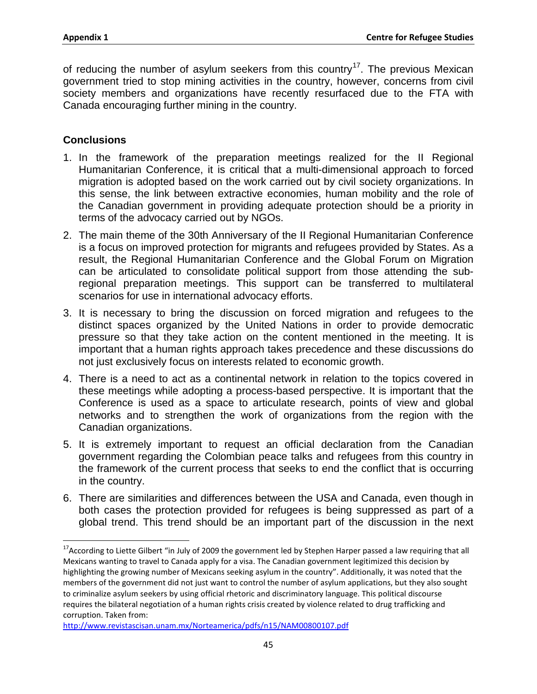of reducing the number of asylum seekers from this country<sup>[17](#page-55-0)</sup>. The previous Mexican government tried to stop mining activities in the country, however, concerns from civil society members and organizations have recently resurfaced due to the FTA with Canada encouraging further mining in the country.

## **Conclusions**

- 1. In the framework of the preparation meetings realized for the II Regional Humanitarian Conference, it is critical that a multi-dimensional approach to forced migration is adopted based on the work carried out by civil society organizations. In this sense, the link between extractive economies, human mobility and the role of the Canadian government in providing adequate protection should be a priority in terms of the advocacy carried out by NGOs.
- 2. The main theme of the 30th Anniversary of the II Regional Humanitarian Conference is a focus on improved protection for migrants and refugees provided by States. As a result, the Regional Humanitarian Conference and the Global Forum on Migration can be articulated to consolidate political support from those attending the subregional preparation meetings. This support can be transferred to multilateral scenarios for use in international advocacy efforts.
- 3. It is necessary to bring the discussion on forced migration and refugees to the distinct spaces organized by the United Nations in order to provide democratic pressure so that they take action on the content mentioned in the meeting. It is important that a human rights approach takes precedence and these discussions do not just exclusively focus on interests related to economic growth.
- 4. There is a need to act as a continental network in relation to the topics covered in these meetings while adopting a process-based perspective. It is important that the Conference is used as a space to articulate research, points of view and global networks and to strengthen the work of organizations from the region with the Canadian organizations.
- 5. It is extremely important to request an official declaration from the Canadian government regarding the Colombian peace talks and refugees from this country in the framework of the current process that seeks to end the conflict that is occurring in the country.
- 6. There are similarities and differences between the USA and Canada, even though in both cases the protection provided for refugees is being suppressed as part of a global trend. This trend should be an important part of the discussion in the next

<span id="page-55-0"></span><sup>&</sup>lt;sup>17</sup> According to Liette Gilbert "in July of 2009 the government led by Stephen Harper passed a law requiring that all Mexicans wanting to travel to Canada apply for a visa. The Canadian government legitimized this decision by highlighting the growing number of Mexicans seeking asylum in the country". Additionally, it was noted that the members of the government did not just want to control the number of asylum applications, but they also sought to criminalize asylum seekers by using official rhetoric and discriminatory language. This political discourse requires the bilateral negotiation of a human rights crisis created by violence related to drug trafficking and corruption. Taken from:

<http://www.revistascisan.unam.mx/Norteamerica/pdfs/n15/NAM00800107.pdf>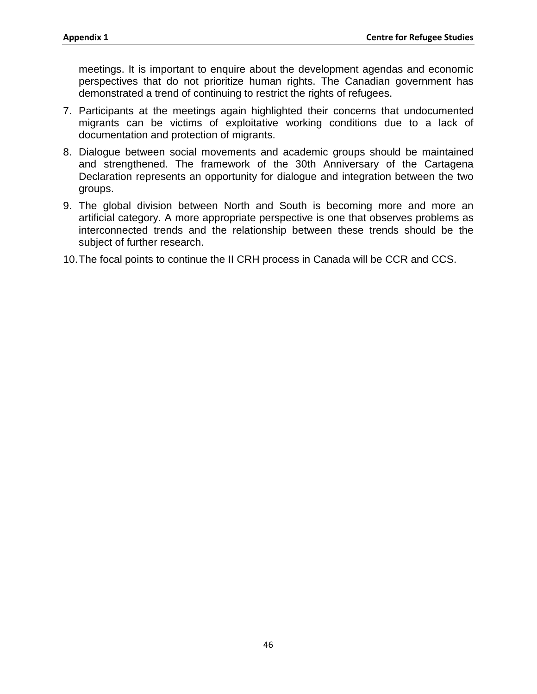meetings. It is important to enquire about the development agendas and economic perspectives that do not prioritize human rights. The Canadian government has demonstrated a trend of continuing to restrict the rights of refugees.

- 7. Participants at the meetings again highlighted their concerns that undocumented migrants can be victims of exploitative working conditions due to a lack of documentation and protection of migrants.
- 8. Dialogue between social movements and academic groups should be maintained and strengthened. The framework of the 30th Anniversary of the Cartagena Declaration represents an opportunity for dialogue and integration between the two groups.
- 9. The global division between North and South is becoming more and more an artificial category. A more appropriate perspective is one that observes problems as interconnected trends and the relationship between these trends should be the subject of further research.
- 10.The focal points to continue the II CRH process in Canada will be CCR and CCS.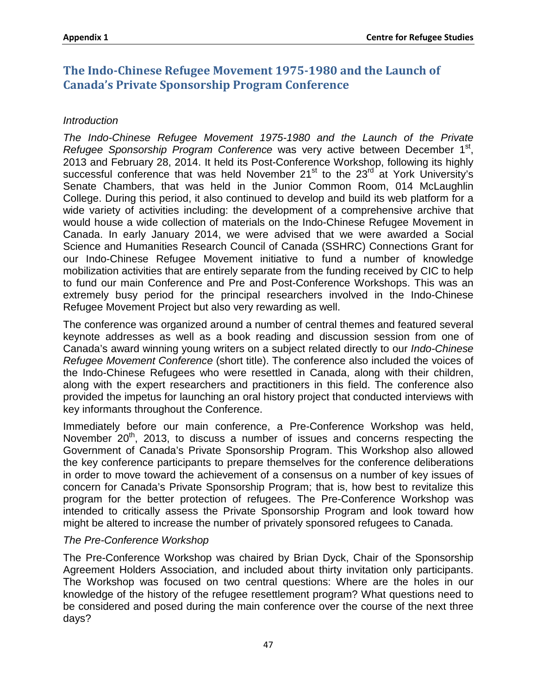# **The Indo-Chinese Refugee Movement 1975-1980 and the Launch of Canada's Private Sponsorship Program Conference**

## *Introduction*

*The Indo-Chinese Refugee Movement 1975-1980 and the Launch of the Private Refugee Sponsorship Program Conference* was very active between December 1<sup>st</sup>, 2013 and February 28, 2014. It held its Post-Conference Workshop, following its highly successful conference that was held November  $21<sup>st</sup>$  to the  $23<sup>rd</sup>$  at York University's Senate Chambers, that was held in the Junior Common Room, 014 McLaughlin College. During this period, it also continued to develop and build its web platform for a wide variety of activities including: the development of a comprehensive archive that would house a wide collection of materials on the Indo-Chinese Refugee Movement in Canada. In early January 2014, we were advised that we were awarded a Social Science and Humanities Research Council of Canada (SSHRC) Connections Grant for our Indo-Chinese Refugee Movement initiative to fund a number of knowledge mobilization activities that are entirely separate from the funding received by CIC to help to fund our main Conference and Pre and Post-Conference Workshops. This was an extremely busy period for the principal researchers involved in the Indo-Chinese Refugee Movement Project but also very rewarding as well.

The conference was organized around a number of central themes and featured several keynote addresses as well as a book reading and discussion session from one of Canada's award winning young writers on a subject related directly to our *Indo-Chinese Refugee Movement Conference* (short title). The conference also included the voices of the Indo-Chinese Refugees who were resettled in Canada, along with their children, along with the expert researchers and practitioners in this field. The conference also provided the impetus for launching an oral history project that conducted interviews with key informants throughout the Conference.

Immediately before our main conference, a Pre-Conference Workshop was held, November 20<sup>th</sup>, 2013, to discuss a number of issues and concerns respecting the Government of Canada's Private Sponsorship Program. This Workshop also allowed the key conference participants to prepare themselves for the conference deliberations in order to move toward the achievement of a consensus on a number of key issues of concern for Canada's Private Sponsorship Program; that is, how best to revitalize this program for the better protection of refugees. The Pre-Conference Workshop was intended to critically assess the Private Sponsorship Program and look toward how might be altered to increase the number of privately sponsored refugees to Canada.

## *The Pre-Conference Workshop*

The Pre-Conference Workshop was chaired by Brian Dyck, Chair of the Sponsorship Agreement Holders Association, and included about thirty invitation only participants. The Workshop was focused on two central questions: Where are the holes in our knowledge of the history of the refugee resettlement program? What questions need to be considered and posed during the main conference over the course of the next three days?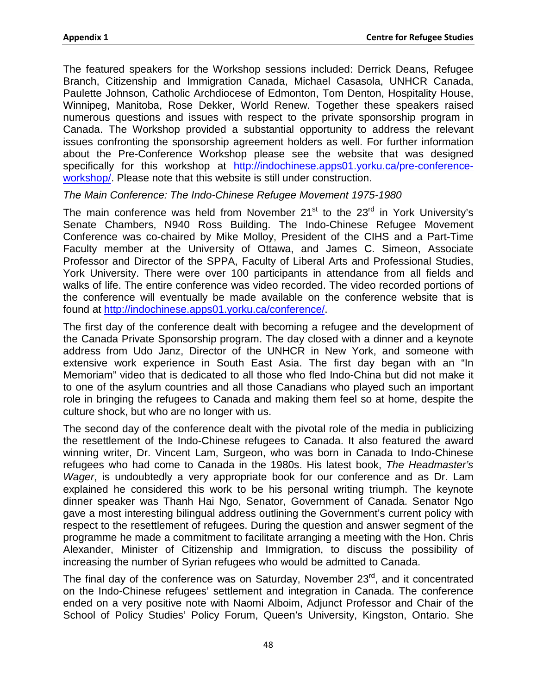The featured speakers for the Workshop sessions included: Derrick Deans, Refugee Branch, Citizenship and Immigration Canada, Michael Casasola, UNHCR Canada, Paulette Johnson, Catholic Archdiocese of Edmonton, Tom Denton, Hospitality House, Winnipeg, Manitoba, Rose Dekker, World Renew. Together these speakers raised numerous questions and issues with respect to the private sponsorship program in Canada. The Workshop provided a substantial opportunity to address the relevant issues confronting the sponsorship agreement holders as well. For further information about the Pre-Conference Workshop please see the website that was designed specifically for this workshop at [http://indochinese.apps01.yorku.ca/pre-conference](http://indochinese.apps01.yorku.ca/pre-conference-workshop/)[workshop/.](http://indochinese.apps01.yorku.ca/pre-conference-workshop/) Please note that this website is still under construction.

#### *The Main Conference: The Indo-Chinese Refugee Movement 1975-1980*

The main conference was held from November  $21<sup>st</sup>$  to the  $23<sup>rd</sup>$  in York University's Senate Chambers, N940 Ross Building. The Indo-Chinese Refugee Movement Conference was co-chaired by Mike Molloy, President of the CIHS and a Part-Time Faculty member at the University of Ottawa, and James C. Simeon, Associate Professor and Director of the SPPA, Faculty of Liberal Arts and Professional Studies, York University. There were over 100 participants in attendance from all fields and walks of life. The entire conference was video recorded. The video recorded portions of the conference will eventually be made available on the conference website that is found at [http://indochinese.apps01.yorku.ca/conference/.](http://indochinese.apps01.yorku.ca/conference/)

The first day of the conference dealt with becoming a refugee and the development of the Canada Private Sponsorship program. The day closed with a dinner and a keynote address from Udo Janz, Director of the UNHCR in New York, and someone with extensive work experience in South East Asia. The first day began with an "In Memoriam" video that is dedicated to all those who fled Indo-China but did not make it to one of the asylum countries and all those Canadians who played such an important role in bringing the refugees to Canada and making them feel so at home, despite the culture shock, but who are no longer with us.

The second day of the conference dealt with the pivotal role of the media in publicizing the resettlement of the Indo-Chinese refugees to Canada. It also featured the award winning writer, Dr. Vincent Lam, Surgeon, who was born in Canada to Indo-Chinese refugees who had come to Canada in the 1980s. His latest book, *The Headmaster's Wager*, is undoubtedly a very appropriate book for our conference and as Dr. Lam explained he considered this work to be his personal writing triumph. The keynote dinner speaker was Thanh Hai Ngo, Senator, Government of Canada. Senator Ngo gave a most interesting bilingual address outlining the Government's current policy with respect to the resettlement of refugees. During the question and answer segment of the programme he made a commitment to facilitate arranging a meeting with the Hon. Chris Alexander, Minister of Citizenship and Immigration, to discuss the possibility of increasing the number of Syrian refugees who would be admitted to Canada.

The final day of the conference was on Saturday, November 23<sup>rd</sup>, and it concentrated on the Indo-Chinese refugees' settlement and integration in Canada. The conference ended on a very positive note with Naomi Alboim, Adjunct Professor and Chair of the School of Policy Studies' Policy Forum, Queen's University, Kingston, Ontario. She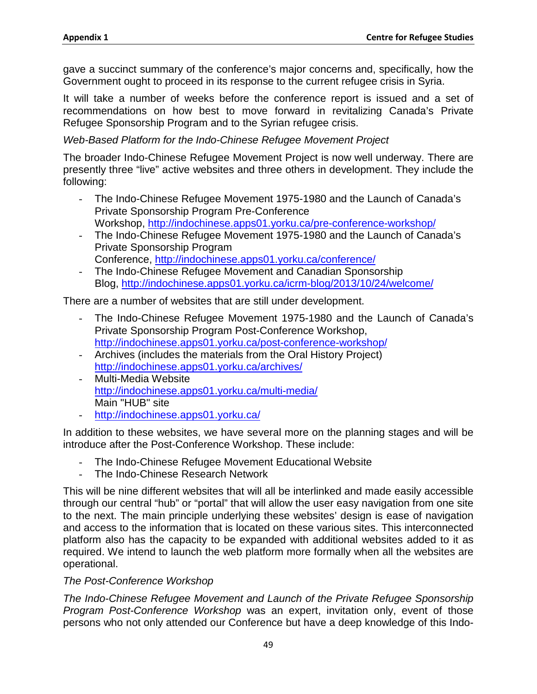gave a succinct summary of the conference's major concerns and, specifically, how the Government ought to proceed in its response to the current refugee crisis in Syria.

It will take a number of weeks before the conference report is issued and a set of recommendations on how best to move forward in revitalizing Canada's Private Refugee Sponsorship Program and to the Syrian refugee crisis.

## *Web-Based Platform for the Indo-Chinese Refugee Movement Project*

The broader Indo-Chinese Refugee Movement Project is now well underway. There are presently three "live" active websites and three others in development. They include the following:

- The Indo-Chinese Refugee Movement 1975-1980 and the Launch of Canada's Private Sponsorship Program Pre-Conference Workshop,<http://indochinese.apps01.yorku.ca/pre-conference-workshop/>
- The Indo-Chinese Refugee Movement 1975-1980 and the Launch of Canada's Private Sponsorship Program Conference,<http://indochinese.apps01.yorku.ca/conference/>
- The Indo-Chinese Refugee Movement and Canadian Sponsorship Blog,<http://indochinese.apps01.yorku.ca/icrm-blog/2013/10/24/welcome/>

There are a number of websites that are still under development.

- The Indo-Chinese Refugee Movement 1975-1980 and the Launch of Canada's Private Sponsorship Program Post-Conference Workshop, <http://indochinese.apps01.yorku.ca/post-conference-workshop/>
- Archives (includes the materials from the Oral History Project) <http://indochinese.apps01.yorku.ca/archives/>
- Multi-Media Website <http://indochinese.apps01.yorku.ca/multi-media/> Main "HUB" site
- <http://indochinese.apps01.yorku.ca/>

In addition to these websites, we have several more on the planning stages and will be introduce after the Post-Conference Workshop. These include:

- The Indo-Chinese Refugee Movement Educational Website
- The Indo-Chinese Research Network

This will be nine different websites that will all be interlinked and made easily accessible through our central "hub" or "portal" that will allow the user easy navigation from one site to the next. The main principle underlying these websites' design is ease of navigation and access to the information that is located on these various sites. This interconnected platform also has the capacity to be expanded with additional websites added to it as required. We intend to launch the web platform more formally when all the websites are operational.

## *The Post-Conference Workshop*

*The Indo-Chinese Refugee Movement and Launch of the Private Refugee Sponsorship Program Post-Conference Workshop* was an expert, invitation only, event of those persons who not only attended our Conference but have a deep knowledge of this Indo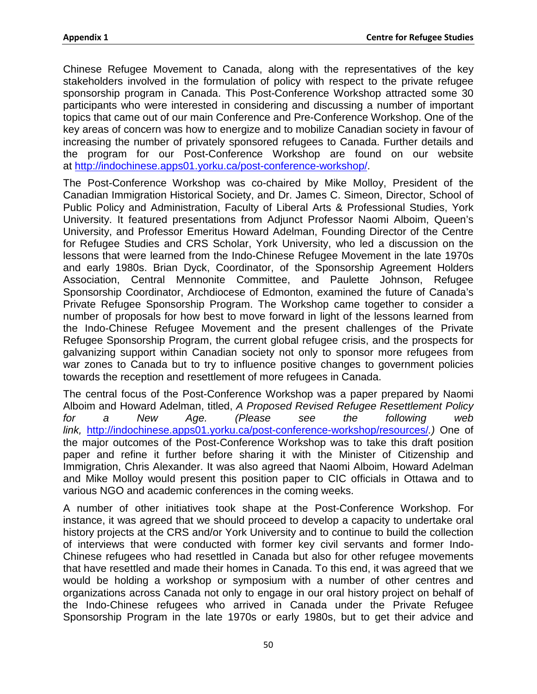Chinese Refugee Movement to Canada, along with the representatives of the key stakeholders involved in the formulation of policy with respect to the private refugee sponsorship program in Canada. This Post-Conference Workshop attracted some 30 participants who were interested in considering and discussing a number of important topics that came out of our main Conference and Pre-Conference Workshop. One of the key areas of concern was how to energize and to mobilize Canadian society in favour of increasing the number of privately sponsored refugees to Canada. Further details and the program for our Post-Conference Workshop are found on our website at [http://indochinese.apps01.yorku.ca/post-conference-workshop/.](http://indochinese.apps01.yorku.ca/post-conference-workshop/)

The Post-Conference Workshop was co-chaired by Mike Molloy, President of the Canadian Immigration Historical Society, and Dr. James C. Simeon, Director, School of Public Policy and Administration, Faculty of Liberal Arts & Professional Studies, York University. It featured presentations from Adjunct Professor Naomi Alboim, Queen's University, and Professor Emeritus Howard Adelman, Founding Director of the Centre for Refugee Studies and CRS Scholar, York University, who led a discussion on the lessons that were learned from the Indo-Chinese Refugee Movement in the late 1970s and early 1980s. Brian Dyck, Coordinator, of the Sponsorship Agreement Holders Association, Central Mennonite Committee, and Paulette Johnson, Refugee Sponsorship Coordinator, Archdiocese of Edmonton, examined the future of Canada's Private Refugee Sponsorship Program. The Workshop came together to consider a number of proposals for how best to move forward in light of the lessons learned from the Indo-Chinese Refugee Movement and the present challenges of the Private Refugee Sponsorship Program, the current global refugee crisis, and the prospects for galvanizing support within Canadian society not only to sponsor more refugees from war zones to Canada but to try to influence positive changes to government policies towards the reception and resettlement of more refugees in Canada.

The central focus of the Post-Conference Workshop was a paper prepared by Naomi Alboim and Howard Adelman, titled, *A Proposed Revised Refugee Resettlement Policy for a New Age. (Please see the following web link,* <http://indochinese.apps01.yorku.ca/post-conference-workshop/resources/>*.)* One of the major outcomes of the Post-Conference Workshop was to take this draft position paper and refine it further before sharing it with the Minister of Citizenship and Immigration, Chris Alexander. It was also agreed that Naomi Alboim, Howard Adelman and Mike Molloy would present this position paper to CIC officials in Ottawa and to various NGO and academic conferences in the coming weeks.

A number of other initiatives took shape at the Post-Conference Workshop. For instance, it was agreed that we should proceed to develop a capacity to undertake oral history projects at the CRS and/or York University and to continue to build the collection of interviews that were conducted with former key civil servants and former Indo-Chinese refugees who had resettled in Canada but also for other refugee movements that have resettled and made their homes in Canada. To this end, it was agreed that we would be holding a workshop or symposium with a number of other centres and organizations across Canada not only to engage in our oral history project on behalf of the Indo-Chinese refugees who arrived in Canada under the Private Refugee Sponsorship Program in the late 1970s or early 1980s, but to get their advice and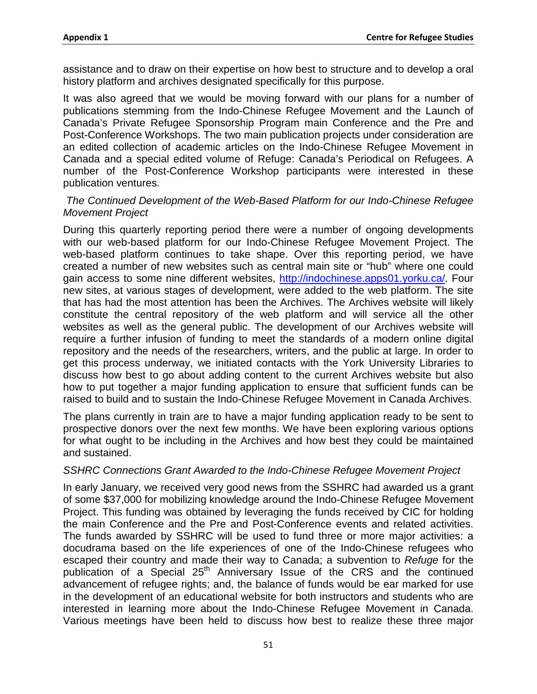assistance and to draw on their expertise on how best to structure and to develop a oral history platform and archives designated specifically for this purpose.

It was also agreed that we would be moving forward with our plans for a number of publications stemming from the Indo-Chinese Refugee Movement and the Launch of Canada's Private Refugee Sponsorship Program main Conference and the Pre and Post-Conference Workshops. The two main publication projects under consideration are an edited collection of academic articles on the Indo-Chinese Refugee Movement in Canada and a special edited volume of Refuge: Canada's Periodical on Refugees. A number of the Post-Conference Workshop participants were interested in these publication ventures.

#### *The Continued Development of the Web-Based Platform for our Indo-Chinese Refugee Movement Project*

During this quarterly reporting period there were a number of ongoing developments with our web-based platform for our Indo-Chinese Refugee Movement Project. The web-based platform continues to take shape. Over this reporting period, we have created a number of new websites such as central main site or "hub" where one could gain access to some nine different websites, [http://indochinese.apps01.yorku.ca/.](http://indochinese.apps01.yorku.ca/) Four new sites, at various stages of development, were added to the web platform. The site that has had the most attention has been the Archives. The Archives website will likely constitute the central repository of the web platform and will service all the other websites as well as the general public. The development of our Archives website will require a further infusion of funding to meet the standards of a modern online digital repository and the needs of the researchers, writers, and the public at large. In order to get this process underway, we initiated contacts with the York University Libraries to discuss how best to go about adding content to the current Archives website but also how to put together a major funding application to ensure that sufficient funds can be raised to build and to sustain the Indo-Chinese Refugee Movement in Canada Archives.

The plans currently in train are to have a major funding application ready to be sent to prospective donors over the next few months. We have been exploring various options for what ought to be including in the Archives and how best they could be maintained and sustained.

#### *SSHRC Connections Grant Awarded to the Indo-Chinese Refugee Movement Project*

In early January, we received very good news from the SSHRC had awarded us a grant of some \$37,000 for mobilizing knowledge around the Indo-Chinese Refugee Movement Project. This funding was obtained by leveraging the funds received by CIC for holding the main Conference and the Pre and Post-Conference events and related activities. The funds awarded by SSHRC will be used to fund three or more major activities: a docudrama based on the life experiences of one of the Indo-Chinese refugees who escaped their country and made their way to Canada; a subvention to *Refuge* for the publication of a Special 25<sup>th</sup> Anniversary Issue of the CRS and the continued advancement of refugee rights; and, the balance of funds would be ear marked for use in the development of an educational website for both instructors and students who are interested in learning more about the Indo-Chinese Refugee Movement in Canada. Various meetings have been held to discuss how best to realize these three major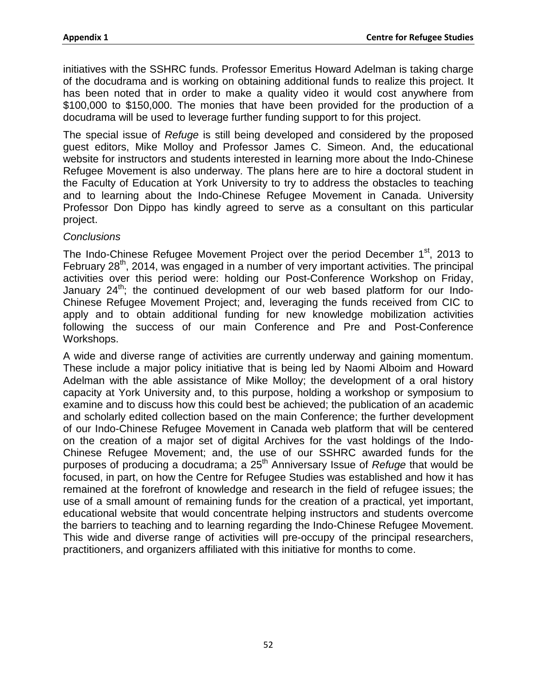initiatives with the SSHRC funds. Professor Emeritus Howard Adelman is taking charge of the docudrama and is working on obtaining additional funds to realize this project. It has been noted that in order to make a quality video it would cost anywhere from \$100,000 to \$150,000. The monies that have been provided for the production of a docudrama will be used to leverage further funding support to for this project.

The special issue of *Refuge* is still being developed and considered by the proposed guest editors, Mike Molloy and Professor James C. Simeon. And, the educational website for instructors and students interested in learning more about the Indo-Chinese Refugee Movement is also underway. The plans here are to hire a doctoral student in the Faculty of Education at York University to try to address the obstacles to teaching and to learning about the Indo-Chinese Refugee Movement in Canada. University Professor Don Dippo has kindly agreed to serve as a consultant on this particular project.

#### *Conclusions*

The Indo-Chinese Refugee Movement Project over the period December  $1<sup>st</sup>$ , 2013 to February 28<sup>th</sup>, 2014, was engaged in a number of very important activities. The principal activities over this period were: holding our Post-Conference Workshop on Friday, January  $24^{\text{th}}$ ; the continued development of our web based platform for our Indo-Chinese Refugee Movement Project; and, leveraging the funds received from CIC to apply and to obtain additional funding for new knowledge mobilization activities following the success of our main Conference and Pre and Post-Conference Workshops.

A wide and diverse range of activities are currently underway and gaining momentum. These include a major policy initiative that is being led by Naomi Alboim and Howard Adelman with the able assistance of Mike Molloy; the development of a oral history capacity at York University and, to this purpose, holding a workshop or symposium to examine and to discuss how this could best be achieved; the publication of an academic and scholarly edited collection based on the main Conference; the further development of our Indo-Chinese Refugee Movement in Canada web platform that will be centered on the creation of a major set of digital Archives for the vast holdings of the Indo-Chinese Refugee Movement; and, the use of our SSHRC awarded funds for the purposes of producing a docudrama; a 25<sup>th</sup> Anniversary Issue of *Refuge* that would be focused, in part, on how the Centre for Refugee Studies was established and how it has remained at the forefront of knowledge and research in the field of refugee issues; the use of a small amount of remaining funds for the creation of a practical, yet important, educational website that would concentrate helping instructors and students overcome the barriers to teaching and to learning regarding the Indo-Chinese Refugee Movement. This wide and diverse range of activities will pre-occupy of the principal researchers, practitioners, and organizers affiliated with this initiative for months to come.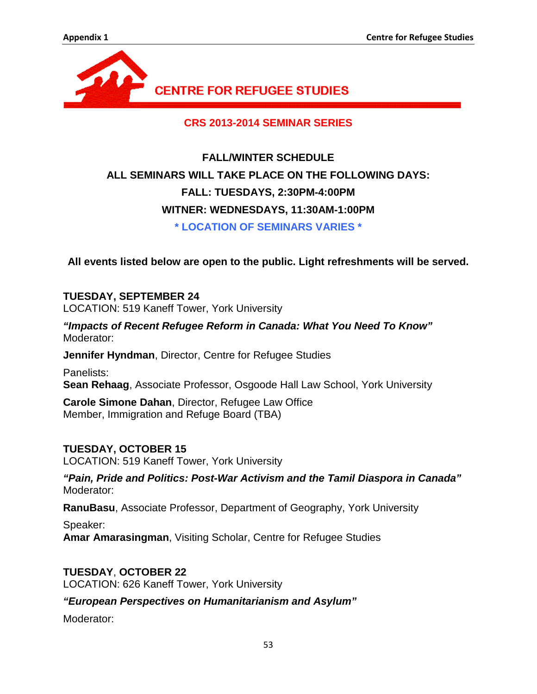

**CRS 2013-2014 SEMINAR SERIES**

# **FALL/WINTER SCHEDULE ALL SEMINARS WILL TAKE PLACE ON THE FOLLOWING DAYS: FALL: TUESDAYS, 2:30PM-4:00PM WITNER: WEDNESDAYS, 11:30AM-1:00PM \* LOCATION OF SEMINARS VARIES \***

**All events listed below are open to the public. Light refreshments will be served.**

# **TUESDAY, SEPTEMBER 24**

LOCATION: 519 Kaneff Tower, York University

*"Impacts of Recent Refugee Reform in Canada: What You Need To Know"* Moderator:

**Jennifer Hyndman**, Director, Centre for Refugee Studies

Panelists: **Sean Rehaag**, Associate Professor, Osgoode Hall Law School, York University

**Carole Simone Dahan**, Director, Refugee Law Office Member, Immigration and Refuge Board (TBA)

## **TUESDAY, OCTOBER 15**

LOCATION: 519 Kaneff Tower, York University

*"Pain, Pride and Politics: Post-War Activism and the Tamil Diaspora in Canada"* Moderator:

**RanuBasu**, Associate Professor, Department of Geography, York University

Speaker: **Amar Amarasingman**, Visiting Scholar, Centre for Refugee Studies

**TUESDAY**, **OCTOBER 22** LOCATION: 626 Kaneff Tower, York University

*"European Perspectives on Humanitarianism and Asylum"*

Moderator: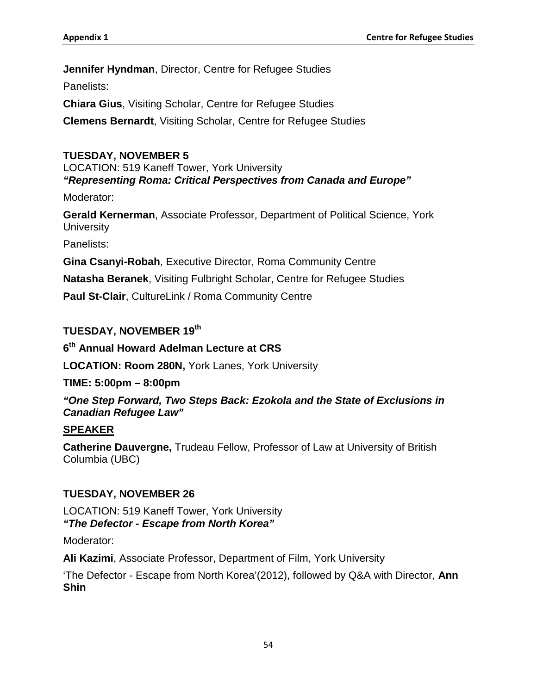**Jennifer Hyndman**, Director, Centre for Refugee Studies

Panelists:

**Chiara Gius**, Visiting Scholar, Centre for Refugee Studies

**Clemens Bernardt**, Visiting Scholar, Centre for Refugee Studies

## **TUESDAY, NOVEMBER 5**

LOCATION: 519 Kaneff Tower, York University *"Representing Roma: Critical Perspectives from Canada and Europe"*

Moderator:

**Gerald Kernerman**, Associate Professor, Department of Political Science, York **University** 

Panelists:

**Gina Csanyi-Robah**, Executive Director, Roma Community Centre

**Natasha Beranek**, Visiting Fulbright Scholar, Centre for Refugee Studies

**Paul St-Clair**, CultureLink / Roma Community Centre

## **TUESDAY, NOVEMBER 19th**

**6th Annual Howard Adelman Lecture at CRS**

**LOCATION: Room 280N,** York Lanes, York University

**TIME: 5:00pm – 8:00pm**

*"One Step Forward, Two Steps Back: Ezokola and the State of Exclusions in Canadian Refugee Law"*

## **SPEAKER**

**Catherine Dauvergne,** Trudeau Fellow, Professor of Law at University of British Columbia (UBC)

## **TUESDAY, NOVEMBER 26**

LOCATION: 519 Kaneff Tower, York University *"The Defector - Escape from North Korea"*

Moderator:

**Ali Kazimi**, Associate Professor, Department of Film, York University

'The Defector - Escape from North Korea'(2012), followed by Q&A with Director, **Ann Shin**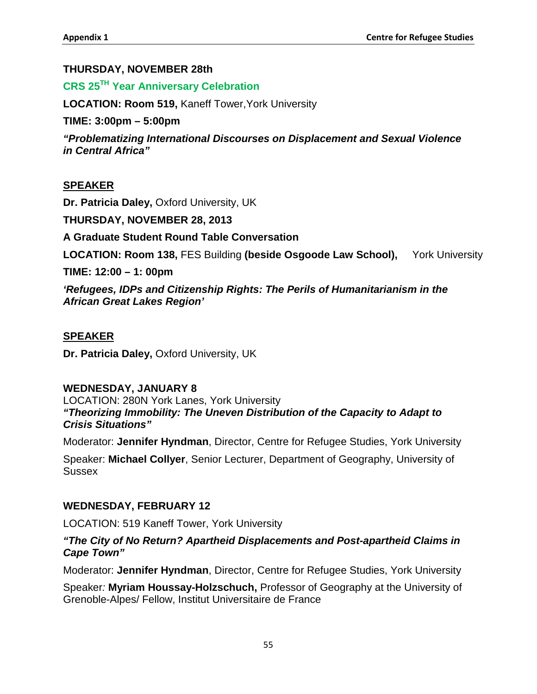## **THURSDAY, NOVEMBER 28th**

# **CRS 25TH Year Anniversary Celebration**

**LOCATION: Room 519,** Kaneff Tower,York University

**TIME: 3:00pm – 5:00pm**

*"Problematizing International Discourses on Displacement and Sexual Violence in Central Africa"*

## **SPEAKER**

**Dr. Patricia Daley,** Oxford University, UK

**THURSDAY, NOVEMBER 28, 2013**

**A Graduate Student Round Table Conversation**

**LOCATION: Room 138,** FES Building **(beside Osgoode Law School),** York University

**TIME: 12:00 – 1: 00pm**

*'Refugees, IDPs and Citizenship Rights: The Perils of Humanitarianism in the African Great Lakes Region'* 

## **SPEAKER**

**Dr. Patricia Daley,** Oxford University, UK

## **WEDNESDAY, JANUARY 8**

LOCATION: 280N York Lanes, York University *"Theorizing Immobility: The Uneven Distribution of the Capacity to Adapt to Crisis Situations"*

Moderator: **Jennifer Hyndman**, Director, Centre for Refugee Studies, York University

Speaker: **Michael Collyer**, Senior Lecturer, Department of Geography, University of **Sussex** 

## **WEDNESDAY, FEBRUARY 12**

LOCATION: 519 Kaneff Tower, York University

## *"The City of No Return? Apartheid Displacements and Post-apartheid Claims in Cape Town"*

Moderator: **Jennifer Hyndman**, Director, Centre for Refugee Studies, York University

Speaker*:* **Myriam Houssay-Holzschuch,** Professor of Geography at the University of Grenoble-Alpes/ Fellow, Institut Universitaire de France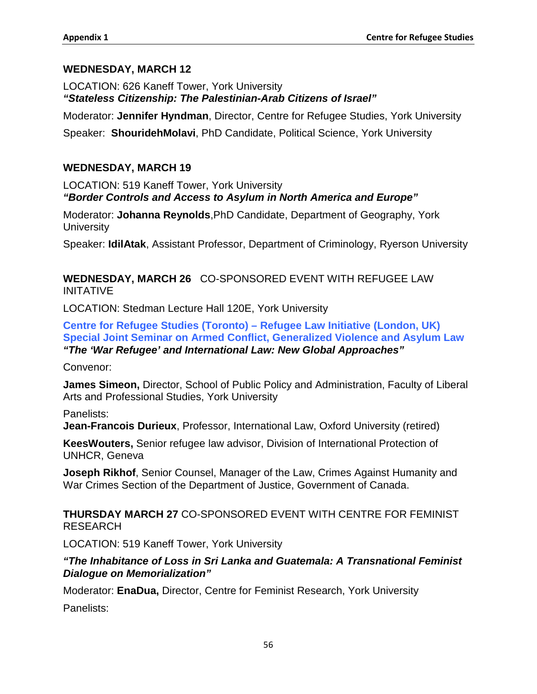## **WEDNESDAY, MARCH 12**

LOCATION: 626 Kaneff Tower, York University *"Stateless Citizenship: The Palestinian-Arab Citizens of Israel"*

Moderator: **Jennifer Hyndman**, Director, Centre for Refugee Studies, York University

Speaker: **ShouridehMolavi**, PhD Candidate, Political Science, York University

## **WEDNESDAY, MARCH 19**

LOCATION: 519 Kaneff Tower, York University *"Border Controls and Access to Asylum in North America and Europe"*

Moderator: **Johanna Reynolds**,PhD Candidate, Department of Geography, York **University** 

Speaker: **IdilAtak**, Assistant Professor, Department of Criminology, Ryerson University

## **WEDNESDAY, MARCH 26** CO-SPONSORED EVENT WITH REFUGEE LAW INITATIVE

LOCATION: Stedman Lecture Hall 120E, York University

**Centre for Refugee Studies (Toronto) – Refugee Law Initiative (London, UK) Special Joint Seminar on Armed Conflict, Generalized Violence and Asylum Law** *"The 'War Refugee' and International Law: New Global Approaches"*

Convenor:

**James Simeon,** Director, School of Public Policy and Administration, Faculty of Liberal Arts and Professional Studies, York University

Panelists:

**Jean-Francois Durieux**, Professor, International Law, Oxford University (retired)

**KeesWouters,** Senior refugee law advisor, Division of International Protection of UNHCR, Geneva

**Joseph Rikhof**, Senior Counsel, Manager of the Law, Crimes Against Humanity and War Crimes Section of the Department of Justice, Government of Canada.

**THURSDAY MARCH 27** CO-SPONSORED EVENT WITH CENTRE FOR FEMINIST RESEARCH

LOCATION: 519 Kaneff Tower, York University

## *"The Inhabitance of Loss in Sri Lanka and Guatemala: A Transnational Feminist Dialogue on Memorialization"*

Moderator: **EnaDua,** Director, Centre for Feminist Research, York University

Panelists: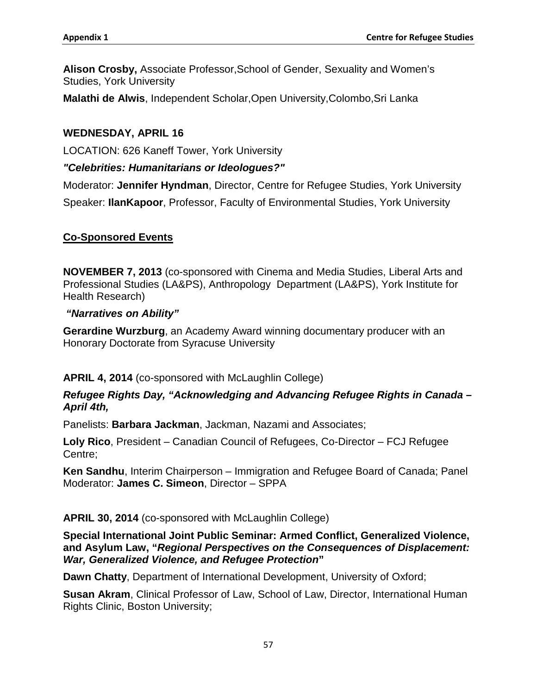**Alison Crosby,** Associate Professor,School of Gender, Sexuality and Women's Studies, York University

**Malathi de Alwis**, Independent Scholar,Open University,Colombo,Sri Lanka

## **WEDNESDAY, APRIL 16**

LOCATION: 626 Kaneff Tower, York University

## *"Celebrities: Humanitarians or Ideologues?"*

Moderator: **Jennifer Hyndman**, Director, Centre for Refugee Studies, York University Speaker: **IlanKapoor**, Professor, Faculty of Environmental Studies, York University

## **Co-Sponsored Events**

**NOVEMBER 7, 2013** (co-sponsored with Cinema and Media Studies, Liberal Arts and Professional Studies (LA&PS), Anthropology Department (LA&PS), York Institute for Health Research)

#### *"Narratives on Ability"*

**Gerardine Wurzburg**, an Academy Award winning documentary producer with an Honorary Doctorate from Syracuse University

## **APRIL 4, 2014** (co-sponsored with McLaughlin College)

## *Refugee Rights Day, "Acknowledging and Advancing Refugee Rights in Canada – April 4th,*

Panelists: **Barbara Jackman**, Jackman, Nazami and Associates;

**Loly Rico**, President – Canadian Council of Refugees, Co-Director – FCJ Refugee Centre;

**Ken Sandhu**, Interim Chairperson – Immigration and Refugee Board of Canada; Panel Moderator: **James C. Simeon**, Director – SPPA

## **APRIL 30, 2014** (co-sponsored with McLaughlin College)

**Special International Joint Public Seminar: Armed Conflict, Generalized Violence, and Asylum Law, "***Regional Perspectives on the Consequences of Displacement: War, Generalized Violence, and Refugee Protection***"**

**Dawn Chatty**, Department of International Development, University of Oxford;

**Susan Akram**, Clinical Professor of Law, School of Law, Director, International Human Rights Clinic, Boston University;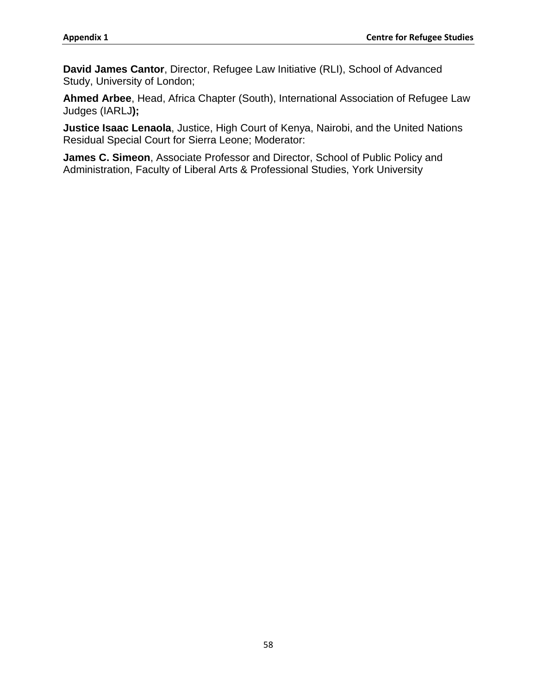**David James Cantor**, Director, Refugee Law Initiative (RLI), School of Advanced Study, University of London;

**Ahmed Arbee**, Head, Africa Chapter (South), International Association of Refugee Law Judges (IARLJ**);** 

**Justice Isaac Lenaola**, Justice, High Court of Kenya, Nairobi, and the United Nations Residual Special Court for Sierra Leone; Moderator:

**James C. Simeon**, Associate Professor and Director, School of Public Policy and Administration, Faculty of Liberal Arts & Professional Studies, York University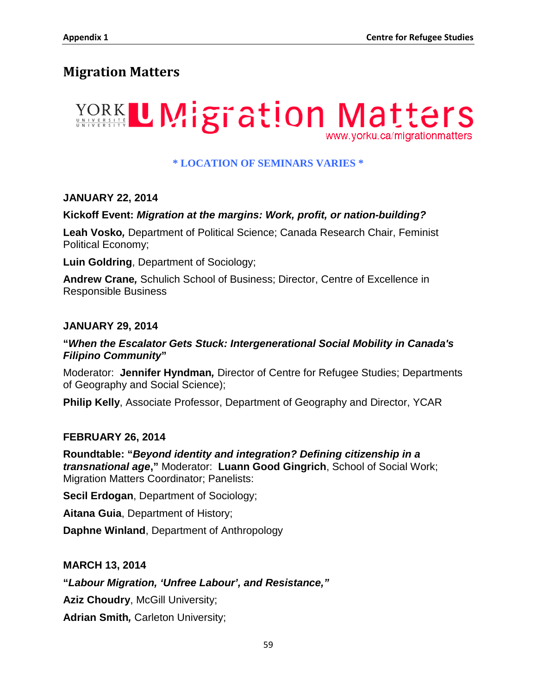# **Migration Matters**



## **\* LOCATION OF SEMINARS VARIES \***

## **JANUARY 22, 2014**

#### **Kickoff Event:** *Migration at the margins: Work, profit, or nation-building?*

**Leah Vosko***,* Department of Political Science; Canada Research Chair, Feminist Political Economy;

**Luin Goldring**, Department of Sociology;

**Andrew Crane***,* Schulich School of Business; Director, Centre of Excellence in Responsible Business

#### **JANUARY 29, 2014**

#### **"***When the Escalator Gets Stuck: Intergenerational Social Mobility in Canada's Filipino Community***"**

Moderator: **Jennifer Hyndman***,* Director of Centre for Refugee Studies; Departments of Geography and Social Science);

**Philip Kelly**, Associate Professor, Department of Geography and Director, YCAR

#### **FEBRUARY 26, 2014**

**Roundtable: "***Beyond identity and integration? Defining citizenship in a transnational age***,"** Moderator: **Luann Good Gingrich**, School of Social Work; Migration Matters Coordinator; Panelists:

**Secil Erdogan**, Department of Sociology;

**Aitana Guia**, Department of History;

**Daphne Winland**, Department of Anthropology

#### **MARCH 13, 2014**

**"***Labour Migration, 'Unfree Labour', and Resistance,"*

**Aziz Choudry**, McGill University;

**Adrian Smith***,* Carleton University;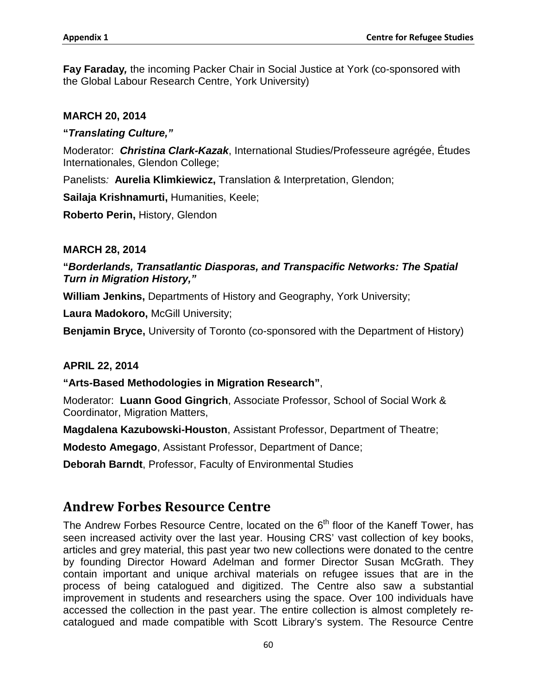**Fay Faraday***,* the incoming Packer Chair in Social Justice at York (co-sponsored with the Global Labour Research Centre, York University)

#### **MARCH 20, 2014**

#### **"***Translating Culture,"*

Moderator: *Christina Clark-Kazak*, International Studies/Professeure agrégée, Études Internationales, Glendon College;

Panelists*:* **Aurelia Klimkiewicz,** Translation & Interpretation, Glendon;

**Sailaja Krishnamurti,** Humanities, Keele;

**Roberto Perin,** History, Glendon

#### **MARCH 28, 2014**

## **"***Borderlands, Transatlantic Diasporas, and Transpacific Networks: The Spatial Turn in Migration History,"*

**William Jenkins,** Departments of History and Geography, York University;

**Laura Madokoro,** McGill University;

**Benjamin Bryce,** University of Toronto (co-sponsored with the Department of History)

#### **APRIL 22, 2014**

#### **"Arts-Based Methodologies in Migration Research"**,

Moderator: **Luann Good Gingrich**, Associate Professor, School of Social Work & Coordinator, Migration Matters,

**Magdalena Kazubowski-Houston**, Assistant Professor, Department of Theatre;

**Modesto Amegago**, Assistant Professor, Department of Dance;

**Deborah Barndt**, Professor, Faculty of Environmental Studies

# **Andrew Forbes Resource Centre**

The Andrew Forbes Resource Centre, located on the  $6<sup>th</sup>$  floor of the Kaneff Tower, has seen increased activity over the last year. Housing CRS' vast collection of key books, articles and grey material, this past year two new collections were donated to the centre by founding Director Howard Adelman and former Director Susan McGrath. They contain important and unique archival materials on refugee issues that are in the process of being catalogued and digitized. The Centre also saw a substantial improvement in students and researchers using the space. Over 100 individuals have accessed the collection in the past year. The entire collection is almost completely recatalogued and made compatible with Scott Library's system. The Resource Centre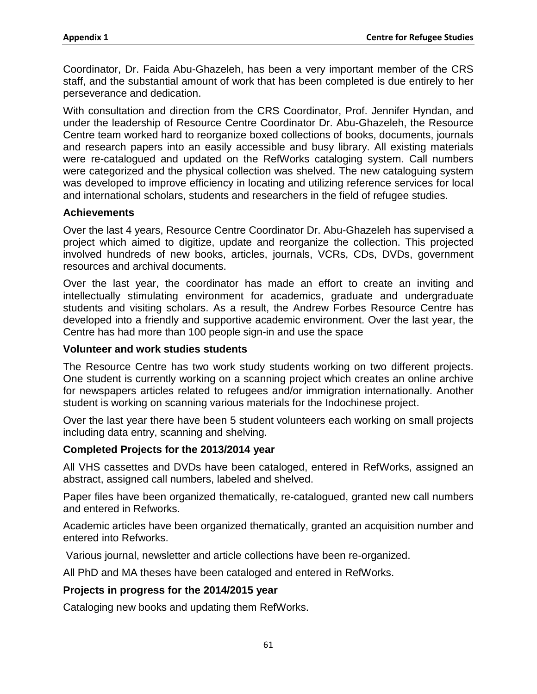Coordinator, Dr. Faida Abu-Ghazeleh, has been a very important member of the CRS staff, and the substantial amount of work that has been completed is due entirely to her perseverance and dedication.

With consultation and direction from the CRS Coordinator, Prof. Jennifer Hyndan, and under the leadership of Resource Centre Coordinator Dr. Abu-Ghazeleh, the Resource Centre team worked hard to reorganize boxed collections of books, documents, journals and research papers into an easily accessible and busy library. All existing materials were re-catalogued and updated on the RefWorks cataloging system. Call numbers were categorized and the physical collection was shelved. The new cataloguing system was developed to improve efficiency in locating and utilizing reference services for local and international scholars, students and researchers in the field of refugee studies.

#### **Achievements**

Over the last 4 years, Resource Centre Coordinator Dr. Abu-Ghazeleh has supervised a project which aimed to digitize, update and reorganize the collection. This projected involved hundreds of new books, articles, journals, VCRs, CDs, DVDs, government resources and archival documents.

Over the last year, the coordinator has made an effort to create an inviting and intellectually stimulating environment for academics, graduate and undergraduate students and visiting scholars. As a result, the Andrew Forbes Resource Centre has developed into a friendly and supportive academic environment. Over the last year, the Centre has had more than 100 people sign-in and use the space

#### **Volunteer and work studies students**

The Resource Centre has two work study students working on two different projects. One student is currently working on a scanning project which creates an online archive for newspapers articles related to refugees and/or immigration internationally. Another student is working on scanning various materials for the Indochinese project.

Over the last year there have been 5 student volunteers each working on small projects including data entry, scanning and shelving.

#### **Completed Projects for the 2013/2014 year**

All VHS cassettes and DVDs have been cataloged, entered in RefWorks, assigned an abstract, assigned call numbers, labeled and shelved.

Paper files have been organized thematically, re-catalogued, granted new call numbers and entered in Refworks.

Academic articles have been organized thematically, granted an acquisition number and entered into Refworks.

Various journal, newsletter and article collections have been re-organized.

All PhD and MA theses have been cataloged and entered in RefWorks.

## **Projects in progress for the 2014/2015 year**

Cataloging new books and updating them RefWorks.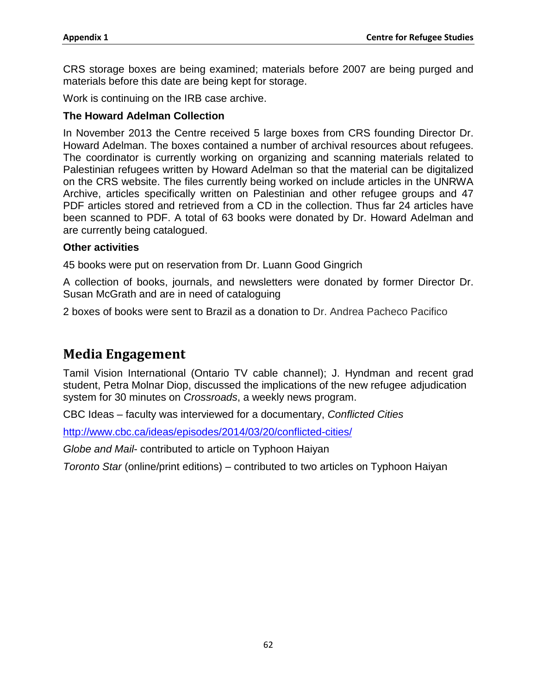CRS storage boxes are being examined; materials before 2007 are being purged and materials before this date are being kept for storage.

Work is continuing on the IRB case archive.

#### **The Howard Adelman Collection**

In November 2013 the Centre received 5 large boxes from CRS founding Director Dr. Howard Adelman. The boxes contained a number of archival resources about refugees. The coordinator is currently working on organizing and scanning materials related to Palestinian refugees written by Howard Adelman so that the material can be digitalized on the CRS website. The files currently being worked on include articles in the UNRWA Archive, articles specifically written on Palestinian and other refugee groups and 47 PDF articles stored and retrieved from a CD in the collection. Thus far 24 articles have been scanned to PDF. A total of 63 books were donated by Dr. Howard Adelman and are currently being catalogued.

#### **Other activities**

45 books were put on reservation from Dr. Luann Good Gingrich

A collection of books, journals, and newsletters were donated by former Director Dr. Susan McGrath and are in need of cataloguing

2 boxes of books were sent to Brazil as a donation to Dr. Andrea Pacheco Pacifico

### **Media Engagement**

Tamil Vision International (Ontario TV cable channel); J. Hyndman and recent grad student, Petra Molnar Diop, discussed the implications of the new refugee adjudication system for 30 minutes on *Crossroads*, a weekly news program.

CBC Ideas – faculty was interviewed for a documentary, *Conflicted Cities*

<http://www.cbc.ca/ideas/episodes/2014/03/20/conflicted-cities/>

*Globe and Mail*- contributed to article on Typhoon Haiyan

*Toronto Star* (online/print editions) – contributed to two articles on Typhoon Haiyan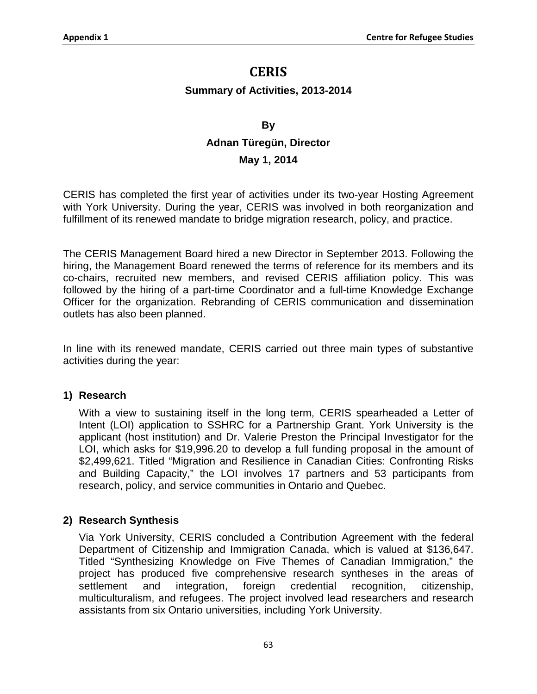### **CERIS**

### **Summary of Activities, 2013-2014**

### **By**

# **Adnan Türegün, Director**

### **May 1, 2014**

CERIS has completed the first year of activities under its two-year Hosting Agreement with York University. During the year, CERIS was involved in both reorganization and fulfillment of its renewed mandate to bridge migration research, policy, and practice.

The CERIS Management Board hired a new Director in September 2013. Following the hiring, the Management Board renewed the terms of reference for its members and its co-chairs, recruited new members, and revised CERIS affiliation policy. This was followed by the hiring of a part-time Coordinator and a full-time Knowledge Exchange Officer for the organization. Rebranding of CERIS communication and dissemination outlets has also been planned.

In line with its renewed mandate, CERIS carried out three main types of substantive activities during the year:

### **1) Research**

With a view to sustaining itself in the long term, CERIS spearheaded a Letter of Intent (LOI) application to SSHRC for a Partnership Grant. York University is the applicant (host institution) and Dr. Valerie Preston the Principal Investigator for the LOI, which asks for \$19,996.20 to develop a full funding proposal in the amount of \$2,499,621. Titled "Migration and Resilience in Canadian Cities: Confronting Risks and Building Capacity," the LOI involves 17 partners and 53 participants from research, policy, and service communities in Ontario and Quebec.

### **2) Research Synthesis**

Via York University, CERIS concluded a Contribution Agreement with the federal Department of Citizenship and Immigration Canada, which is valued at \$136,647. Titled "Synthesizing Knowledge on Five Themes of Canadian Immigration," the project has produced five comprehensive research syntheses in the areas of settlement and integration, foreign credential recognition, citizenship, multiculturalism, and refugees. The project involved lead researchers and research assistants from six Ontario universities, including York University.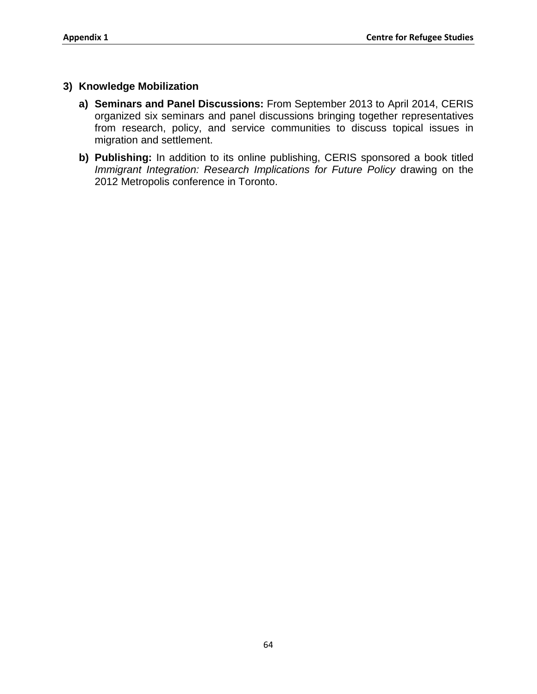### **3) Knowledge Mobilization**

- **a) Seminars and Panel Discussions:** From September 2013 to April 2014, CERIS organized six seminars and panel discussions bringing together representatives from research, policy, and service communities to discuss topical issues in migration and settlement.
- **b) Publishing:** In addition to its online publishing, CERIS sponsored a book titled *Immigrant Integration: Research Implications for Future Policy* drawing on the 2012 Metropolis conference in Toronto.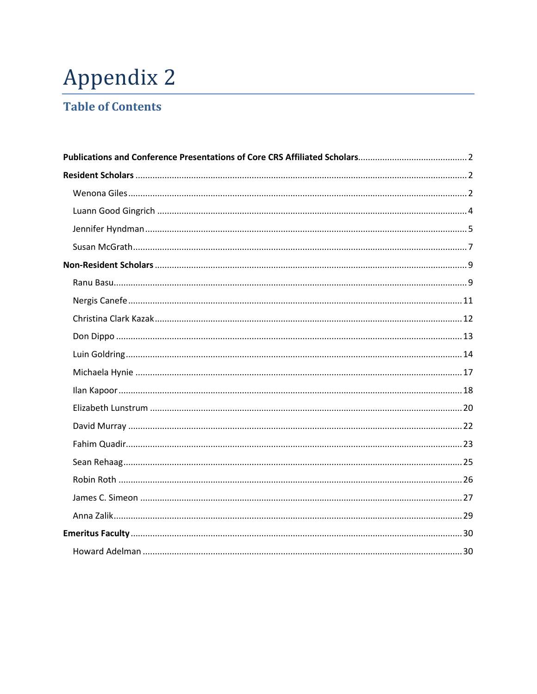# Appendix 2

# **Table of Contents**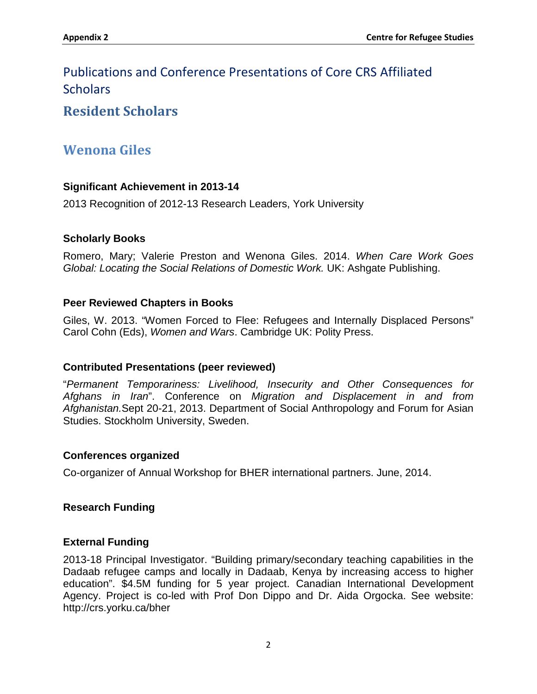# <span id="page-76-0"></span>Publications and Conference Presentations of Core CRS Affiliated **Scholars**

### <span id="page-76-1"></span>**Resident Scholars**

# <span id="page-76-2"></span>**Wenona Giles**

### **Significant Achievement in 2013-14**

2013 Recognition of 2012-13 Research Leaders, York University

### **Scholarly Books**

Romero, Mary; Valerie Preston and Wenona Giles. 2014. *When Care Work Goes Global: Locating the Social Relations of Domestic Work.* UK: Ashgate Publishing.

### **Peer Reviewed Chapters in Books**

Giles, W. 2013. "Women Forced to Flee: Refugees and Internally Displaced Persons" Carol Cohn (Eds), *Women and Wars*. Cambridge UK: Polity Press.

### **Contributed Presentations (peer reviewed)**

"*Permanent Temporariness: Livelihood, Insecurity and Other Consequences for Afghans in Iran*". Conference on *Migration and Displacement in and from Afghanistan.*Sept 20-21, 2013. Department of Social Anthropology and Forum for Asian Studies. Stockholm University, Sweden.

### **Conferences organized**

Co-organizer of Annual Workshop for BHER international partners. June, 2014.

### **Research Funding**

### **External Funding**

2013-18 Principal Investigator. "Building primary/secondary teaching capabilities in the Dadaab refugee camps and locally in Dadaab, Kenya by increasing access to higher education". \$4.5M funding for 5 year project. Canadian International Development Agency. Project is co-led with Prof Don Dippo and Dr. Aida Orgocka. See website: http://crs.yorku.ca/bher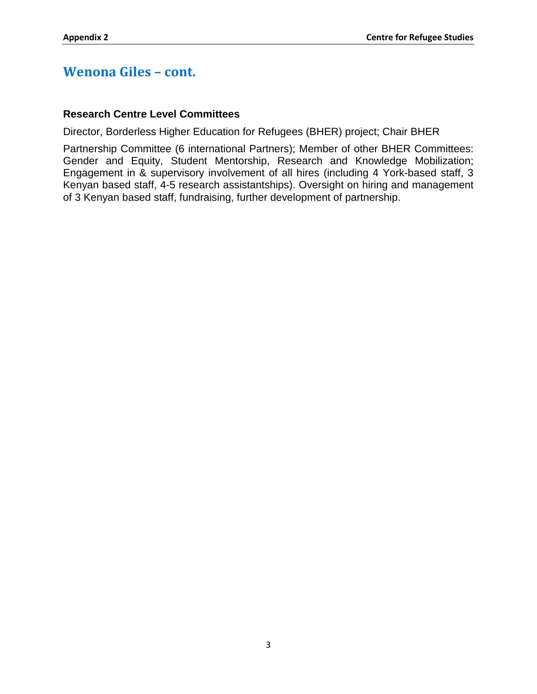## **Wenona Giles – cont.**

### **Research Centre Level Committees**

Director, Borderless Higher Education for Refugees (BHER) project; Chair BHER

Partnership Committee (6 international Partners); Member of other BHER Committees: Gender and Equity, Student Mentorship, Research and Knowledge Mobilization; Engagement in & supervisory involvement of all hires (including 4 York-based staff, 3 Kenyan based staff, 4-5 research assistantships). Oversight on hiring and management of 3 Kenyan based staff, fundraising, further development of partnership.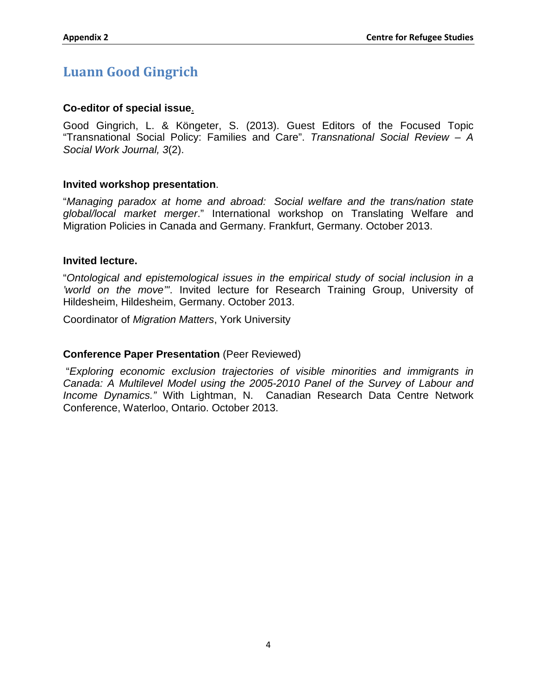# <span id="page-78-0"></span>**Luann Good Gingrich**

### **Co-editor of special issue**.

Good Gingrich, L. & Köngeter, S. (2013). Guest Editors of the Focused Topic "Transnational Social Policy: Families and Care". *Transnational Social Review – A Social Work Journal, 3*(2).

### **Invited workshop presentation**.

"*Managing paradox at home and abroad: Social welfare and the trans/nation state global/local market merger*." International workshop on Translating Welfare and Migration Policies in Canada and Germany. Frankfurt, Germany. October 2013.

#### **Invited lecture.**

"*Ontological and epistemological issues in the empirical study of social inclusion in a 'world on the move'"*. Invited lecture for Research Training Group, University of Hildesheim, Hildesheim, Germany. October 2013.

Coordinator of *Migration Matters*, York University

#### **Conference Paper Presentation** (Peer Reviewed)

"*Exploring economic exclusion trajectories of visible minorities and immigrants in Canada: A Multilevel Model using the 2005-2010 Panel of the Survey of Labour and Income Dynamics."* With Lightman, N. Canadian Research Data Centre Network Conference, Waterloo, Ontario. October 2013.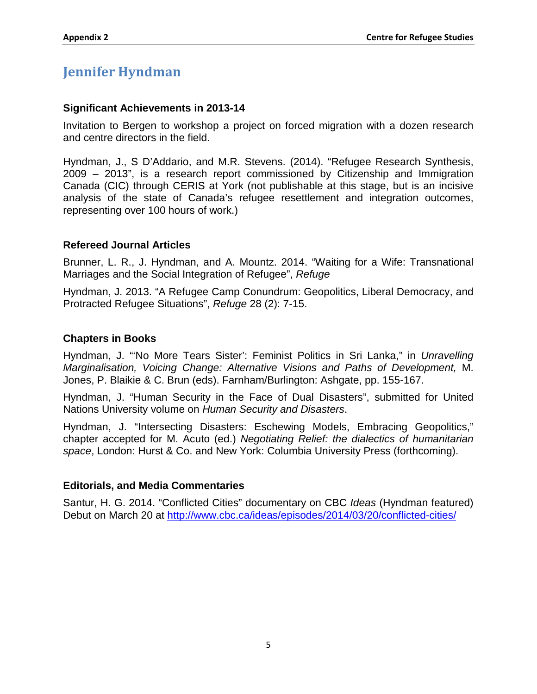# <span id="page-79-0"></span>**Jennifer Hyndman**

### **Significant Achievements in 2013-14**

Invitation to Bergen to workshop a project on forced migration with a dozen research and centre directors in the field.

Hyndman, J., S D'Addario, and M.R. Stevens. (2014). "Refugee Research Synthesis, 2009 – 2013", is a research report commissioned by Citizenship and Immigration Canada (CIC) through CERIS at York (not publishable at this stage, but is an incisive analysis of the state of Canada's refugee resettlement and integration outcomes, representing over 100 hours of work.)

### **Refereed Journal Articles**

Brunner, L. R., J. Hyndman, and A. Mountz. 2014. "Waiting for a Wife: Transnational Marriages and the Social Integration of Refugee", *Refuge*

Hyndman, J. 2013. "A Refugee Camp Conundrum: Geopolitics, Liberal Democracy, and Protracted Refugee Situations", *Refuge* 28 (2): 7-15.

### **Chapters in Books**

Hyndman, J. "'No More Tears Sister': Feminist Politics in Sri Lanka," in *Unravelling Marginalisation, Voicing Change: Alternative Visions and Paths of Development,* M. Jones, P. Blaikie & C. Brun (eds). Farnham/Burlington: Ashgate, pp. 155-167.

Hyndman, J. "Human Security in the Face of Dual Disasters", submitted for United Nations University volume on *Human Security and Disasters*.

Hyndman, J. "Intersecting Disasters: Eschewing Models, Embracing Geopolitics," chapter accepted for M. Acuto (ed.) *Negotiating Relief: the dialectics of humanitarian space*, London: Hurst & Co. and New York: Columbia University Press (forthcoming).

#### **Editorials, and Media Commentaries**

Santur, H. G. 2014. "Conflicted Cities" documentary on CBC *Ideas* (Hyndman featured) Debut on March 20 at<http://www.cbc.ca/ideas/episodes/2014/03/20/conflicted-cities/>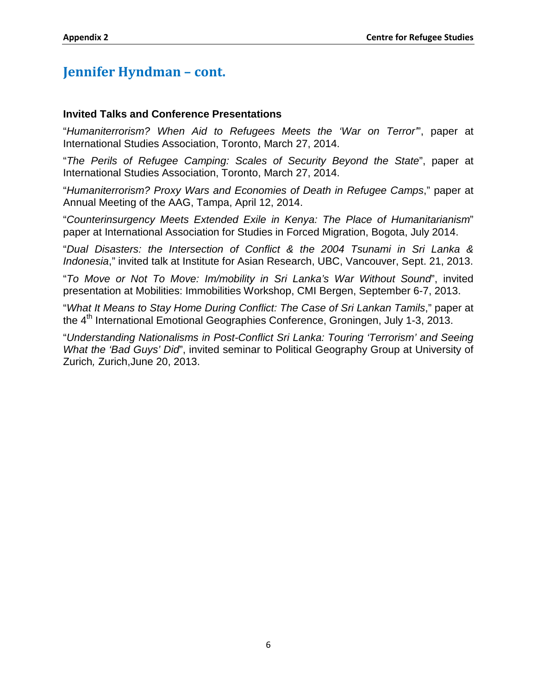### **Jennifer Hyndman – cont.**

#### **Invited Talks and Conference Presentations**

"*Humaniterrorism? When Aid to Refugees Meets the 'War on Terror'*", paper at International Studies Association, Toronto, March 27, 2014.

"*The Perils of Refugee Camping: Scales of Security Beyond the State*", paper at International Studies Association, Toronto, March 27, 2014.

"*Humaniterrorism? Proxy Wars and Economies of Death in Refugee Camps*," paper at Annual Meeting of the AAG, Tampa, April 12, 2014.

"*Counterinsurgency Meets Extended Exile in Kenya: The Place of Humanitarianism*" paper at International Association for Studies in Forced Migration, Bogota, July 2014.

"*Dual Disasters: the Intersection of Conflict & the 2004 Tsunami in Sri Lanka & Indonesia*," invited talk at Institute for Asian Research, UBC, Vancouver, Sept. 21, 2013.

"*To Move or Not To Move: Im/mobility in Sri Lanka's War Without Sound*", invited presentation at Mobilities: Immobilities Workshop, CMI Bergen, September 6-7, 2013.

"*What It Means to Stay Home During Conflict: The Case of Sri Lankan Tamils*," paper at the 4th International Emotional Geographies Conference, Groningen, July 1-3, 2013.

"*Understanding Nationalisms in Post-Conflict Sri Lanka: Touring 'Terrorism' and Seeing What the 'Bad Guys' Did*", invited seminar to Political Geography Group at University of Zurich*,* Zurich,June 20, 2013.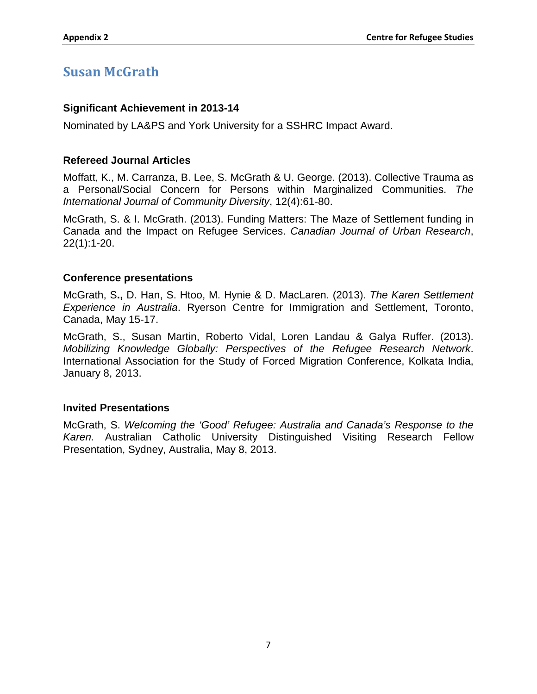# <span id="page-81-0"></span>**Susan McGrath**

### **Significant Achievement in 2013-14**

Nominated by LA&PS and York University for a SSHRC Impact Award.

### **Refereed Journal Articles**

Moffatt, K., M. Carranza, B. Lee, S. McGrath & U. George. (2013). Collective Trauma as a Personal/Social Concern for Persons within Marginalized Communities. *The International Journal of Community Diversity*, 12(4):61-80.

McGrath, S. & I. McGrath. (2013). Funding Matters: The Maze of Settlement funding in Canada and the Impact on Refugee Services. *Canadian Journal of Urban Research*, 22(1):1-20.

### **Conference presentations**

McGrath, S**.,** D. Han, S. Htoo, M. Hynie & D. MacLaren. (2013). *The Karen Settlement Experience in Australia*. Ryerson Centre for Immigration and Settlement, Toronto, Canada, May 15-17.

McGrath, S., Susan Martin, Roberto Vidal, Loren Landau & Galya Ruffer. (2013). *Mobilizing Knowledge Globally: Perspectives of the Refugee Research Network*. International Association for the Study of Forced Migration Conference, Kolkata India, January 8, 2013.

### **Invited Presentations**

McGrath, S. *Welcoming the 'Good' Refugee: Australia and Canada's Response to the Karen.* Australian Catholic University Distinguished Visiting Research Fellow Presentation, Sydney, Australia, May 8, 2013.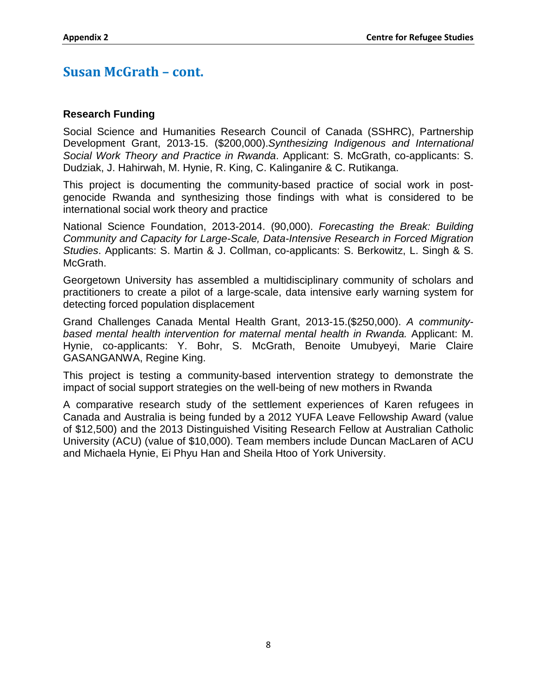### **Susan McGrath – cont.**

### **Research Funding**

Social Science and Humanities Research Council of Canada (SSHRC), Partnership Development Grant, 2013-15. (\$200,000).*Synthesizing Indigenous and International Social Work Theory and Practice in Rwanda*. Applicant: S. McGrath, co-applicants: S. Dudziak, J. Hahirwah, M. Hynie, R. King, C. Kalinganire & C. Rutikanga.

This project is documenting the community-based practice of social work in postgenocide Rwanda and synthesizing those findings with what is considered to be international social work theory and practice

National Science Foundation, 2013-2014. (90,000). *Forecasting the Break: Building Community and Capacity for Large-Scale, Data-Intensive Research in Forced Migration Studies*. Applicants: S. Martin & J. Collman, co-applicants: S. Berkowitz, L. Singh & S. McGrath.

Georgetown University has assembled a multidisciplinary community of scholars and practitioners to create a pilot of a large-scale, data intensive early warning system for detecting forced population displacement

Grand Challenges Canada Mental Health Grant, 2013-15.(\$250,000). *A communitybased mental health intervention for maternal mental health in Rwanda.* Applicant: M. Hynie, co-applicants: Y. Bohr, S. McGrath, Benoite Umubyeyi, Marie Claire GASANGANWA, Regine King.

This project is testing a community-based intervention strategy to demonstrate the impact of social support strategies on the well-being of new mothers in Rwanda

A comparative research study of the settlement experiences of Karen refugees in Canada and Australia is being funded by a 2012 YUFA Leave Fellowship Award (value of \$12,500) and the 2013 Distinguished Visiting Research Fellow at Australian Catholic University (ACU) (value of \$10,000). Team members include Duncan MacLaren of ACU and Michaela Hynie, Ei Phyu Han and Sheila Htoo of York University.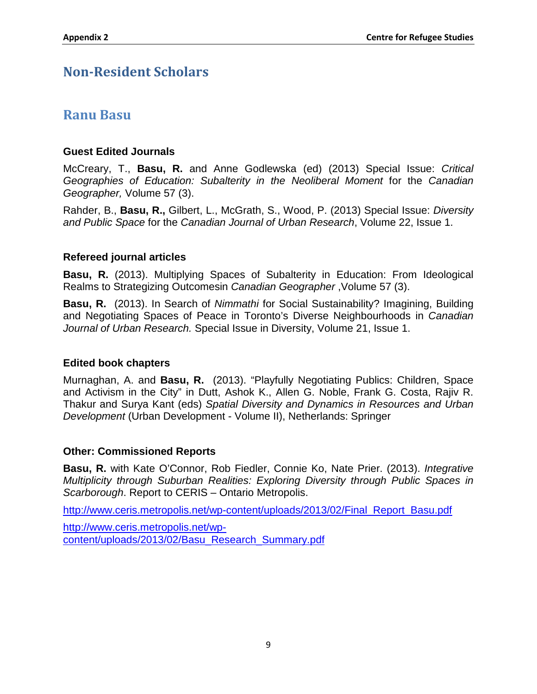### <span id="page-83-0"></span>**Non-Resident Scholars**

### <span id="page-83-1"></span>**Ranu Basu**

### **Guest Edited Journals**

McCreary, T., **Basu, R.** and Anne Godlewska (ed) (2013) Special Issue: *Critical Geographies of Education: Subalterity in the Neoliberal Moment* for the *Canadian Geographer,* Volume 57 (3).

Rahder, B., **Basu, R.,** Gilbert, L., McGrath, S., Wood, P. (2013) Special Issue: *Diversity and Public Space* for the *Canadian Journal of Urban Research*, Volume 22, Issue 1.

### **Refereed journal articles**

**Basu, R.** (2013). Multiplying Spaces of Subalterity in Education: From Ideological Realms to Strategizing Outcomesin *Canadian Geographer* ,Volume 57 (3).

**Basu, R.** (2013). In Search of *Nimmathi* for Social Sustainability? Imagining, Building and Negotiating Spaces of Peace in Toronto's Diverse Neighbourhoods in *Canadian Journal of Urban Research.* Special Issue in Diversity, Volume 21, Issue 1.

### **Edited book chapters**

Murnaghan, A. and **Basu, R.** (2013). "Playfully Negotiating Publics: Children, Space and Activism in the City" in Dutt, Ashok K., Allen G. Noble, Frank G. Costa, Rajiv R. Thakur and Surya Kant (eds) *Spatial Diversity and Dynamics in Resources and Urban Development* (Urban Development - Volume II), Netherlands: Springer

### **Other: Commissioned Reports**

**Basu, R.** with Kate O'Connor, Rob Fiedler, Connie Ko, Nate Prier. (2013). *Integrative Multiplicity through Suburban Realities: Exploring Diversity through Public Spaces in Scarborough*. Report to CERIS – Ontario Metropolis.

http://www.ceris.metropolis.net/wp-content/uploads/2013/02/Final\_Report\_Basu.pdf

http://www.ceris.metropolis.net/wpcontent/uploads/2013/02/Basu\_Research\_Summary.pdf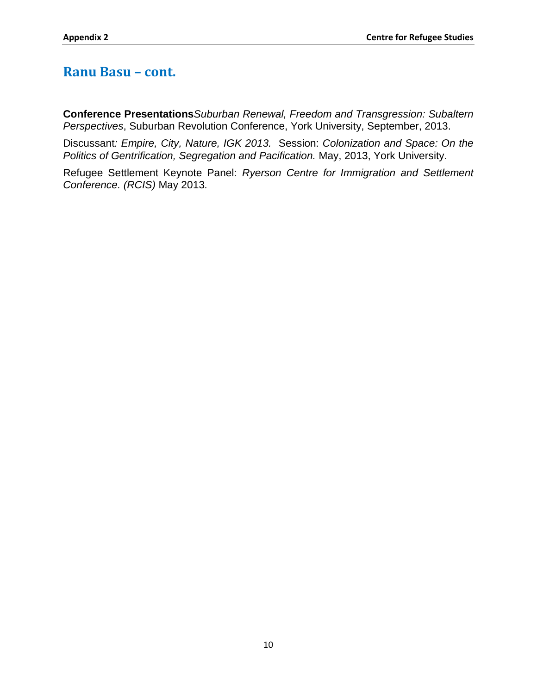### **Ranu Basu – cont.**

**Conference Presentations***Suburban Renewal, Freedom and Transgression: Subaltern Perspectives*, Suburban Revolution Conference, York University, September, 2013.

Discussant*: Empire, City, Nature, IGK 2013.* Session: *Colonization and Space: On the Politics of Gentrification, Segregation and Pacification.* May, 2013, York University.

Refugee Settlement Keynote Panel: *Ryerson Centre for Immigration and Settlement Conference. (RCIS)* May 2013*.*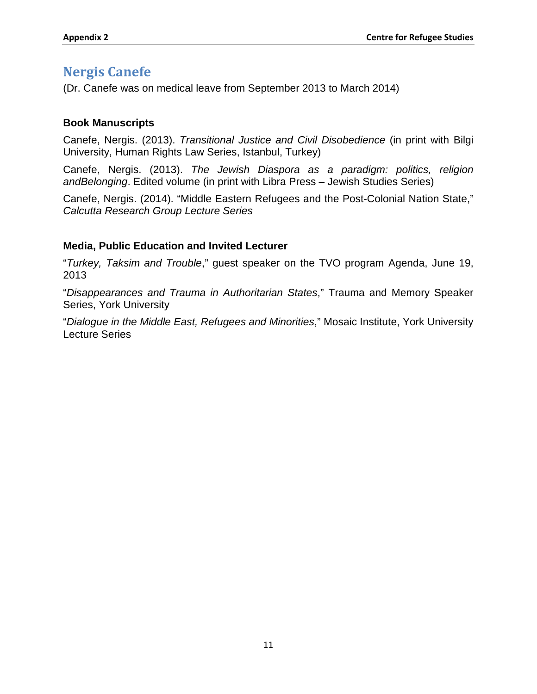### <span id="page-85-0"></span>**Nergis Canefe**

(Dr. Canefe was on medical leave from September 2013 to March 2014)

### **Book Manuscripts**

Canefe, Nergis. (2013). *Transitional Justice and Civil Disobedience* (in print with Bilgi University, Human Rights Law Series, Istanbul, Turkey)

Canefe, Nergis. (2013). *The Jewish Diaspora as a paradigm: politics, religion andBelonging*. Edited volume (in print with Libra Press – Jewish Studies Series)

Canefe, Nergis. (2014). "Middle Eastern Refugees and the Post-Colonial Nation State," *Calcutta Research Group Lecture Series*

### **Media, Public Education and Invited Lecturer**

"*Turkey, Taksim and Trouble*," guest speaker on the TVO program Agenda, June 19, 2013

"*Disappearances and Trauma in Authoritarian States*," Trauma and Memory Speaker Series, York University

"*Dialogue in the Middle East, Refugees and Minorities*," Mosaic Institute, York University Lecture Series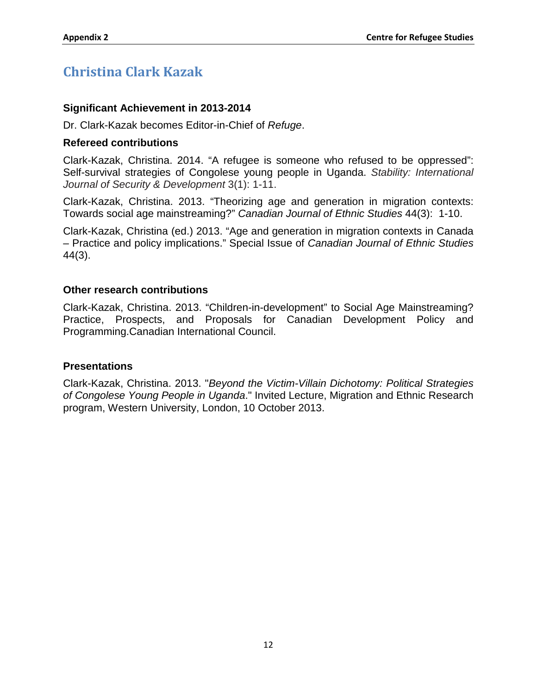# <span id="page-86-0"></span>**Christina Clark Kazak**

### **Significant Achievement in 2013-2014**

Dr. Clark-Kazak becomes Editor-in-Chief of *Refuge*.

#### **Refereed contributions**

Clark-Kazak, Christina. 2014. "A refugee is someone who refused to be oppressed": Self-survival strategies of Congolese young people in Uganda. *Stability: International Journal of Security & Development* 3(1): 1-11.

Clark-Kazak, Christina. 2013. "Theorizing age and generation in migration contexts: Towards social age mainstreaming?" *Canadian Journal of Ethnic Studies* 44(3): 1-10.

Clark-Kazak, Christina (ed.) 2013. "Age and generation in migration contexts in Canada – Practice and policy implications." Special Issue of *Canadian Journal of Ethnic Studies* 44(3).

### **Other research contributions**

Clark-Kazak, Christina. 2013. "Children-in-development" to Social Age Mainstreaming? Practice, Prospects, and Proposals for Canadian Development Policy and Programming.Canadian International Council.

#### **Presentations**

Clark-Kazak, Christina. 2013. "*Beyond the Victim-Villain Dichotomy: Political Strategies of Congolese Young People in Uganda*." Invited Lecture, Migration and Ethnic Research program, Western University, London, 10 October 2013.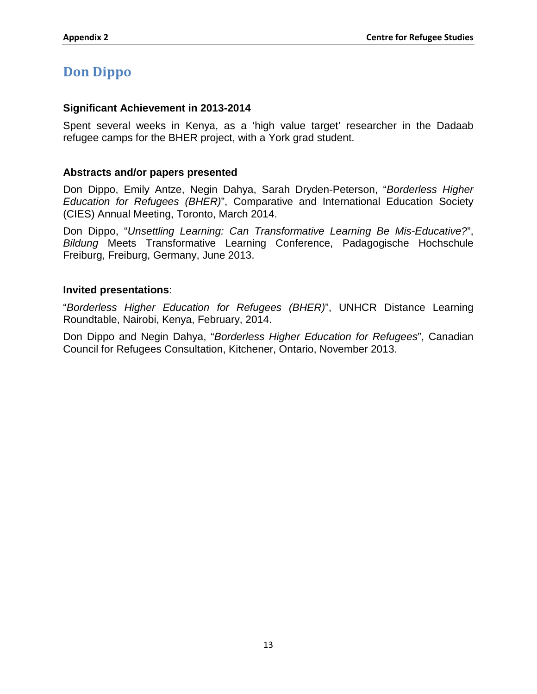### <span id="page-87-0"></span>**Don Dippo**

#### **Significant Achievement in 2013-2014**

Spent several weeks in Kenya, as a 'high value target' researcher in the Dadaab refugee camps for the BHER project, with a York grad student.

### **Abstracts and/or papers presented**

Don Dippo, Emily Antze, Negin Dahya, Sarah Dryden-Peterson, "*Borderless Higher Education for Refugees (BHER)*", Comparative and International Education Society (CIES) Annual Meeting, Toronto, March 2014.

Don Dippo, "*Unsettling Learning: Can Transformative Learning Be Mis-Educative?*", *Bildung* Meets Transformative Learning Conference, Padagogische Hochschule Freiburg, Freiburg, Germany, June 2013.

#### **Invited presentations**:

"*Borderless Higher Education for Refugees (BHER)*", UNHCR Distance Learning Roundtable, Nairobi, Kenya, February, 2014.

Don Dippo and Negin Dahya, "*Borderless Higher Education for Refugees*", Canadian Council for Refugees Consultation, Kitchener, Ontario, November 2013.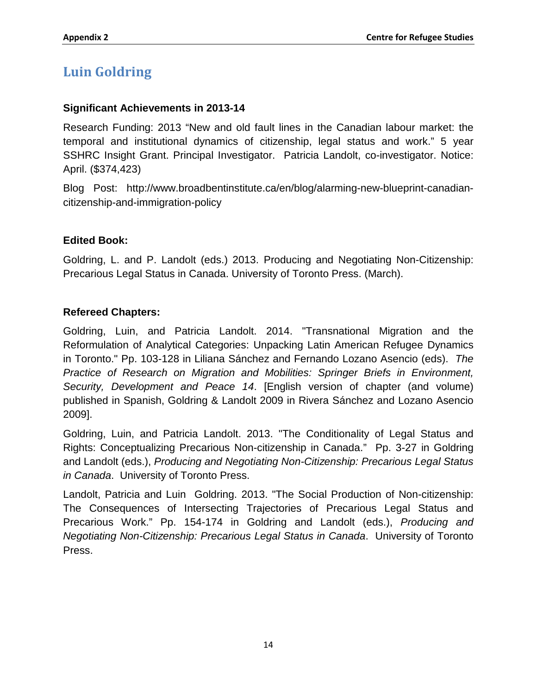# <span id="page-88-0"></span>**Luin Goldring**

### **Significant Achievements in 2013-14**

Research Funding: 2013 "New and old fault lines in the Canadian labour market: the temporal and institutional dynamics of citizenship, legal status and work." 5 year SSHRC Insight Grant. Principal Investigator. Patricia Landolt, co-investigator. Notice: April. (\$374,423)

Blog Post: http://www.broadbentinstitute.ca/en/blog/alarming-new-blueprint-canadiancitizenship-and-immigration-policy

### **Edited Book:**

Goldring, L. and P. Landolt (eds.) 2013. Producing and Negotiating Non-Citizenship: Precarious Legal Status in Canada. University of Toronto Press. (March).

### **Refereed Chapters:**

Goldring, Luin, and Patricia Landolt. 2014. "Transnational Migration and the Reformulation of Analytical Categories: Unpacking Latin American Refugee Dynamics in Toronto." Pp. 103-128 in Liliana Sánchez and Fernando Lozano Asencio (eds). *The Practice of Research on Migration and Mobilities: Springer Briefs in Environment, Security, Development and Peace 14*. [English version of chapter (and volume) published in Spanish, Goldring & Landolt 2009 in Rivera Sánchez and Lozano Asencio 2009].

Goldring, Luin, and Patricia Landolt. 2013. "The Conditionality of Legal Status and Rights: Conceptualizing Precarious Non-citizenship in Canada." Pp. 3-27 in Goldring and Landolt (eds.), *Producing and Negotiating Non-Citizenship: Precarious Legal Status in Canada*. University of Toronto Press.

Landolt, Patricia and Luin Goldring. 2013. "The Social Production of Non-citizenship: The Consequences of Intersecting Trajectories of Precarious Legal Status and Precarious Work." Pp. 154-174 in Goldring and Landolt (eds.), *Producing and Negotiating Non-Citizenship: Precarious Legal Status in Canada*. University of Toronto Press.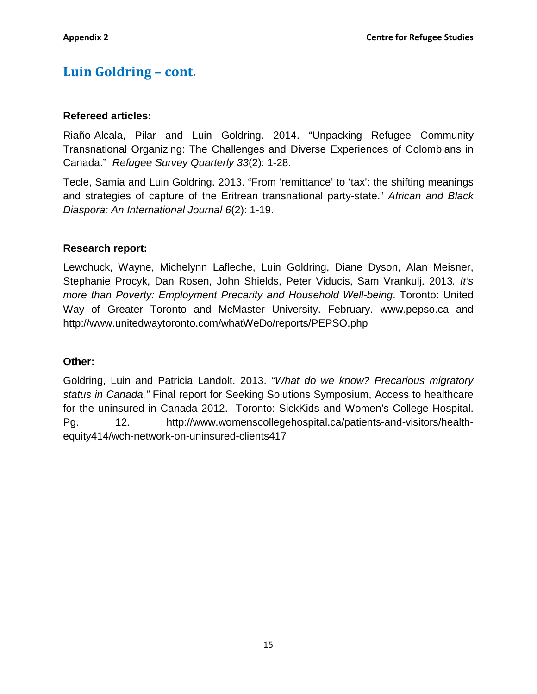# **Luin Goldring – cont.**

### **Refereed articles:**

Riaño-Alcala, Pilar and Luin Goldring. 2014. "Unpacking Refugee Community Transnational Organizing: The Challenges and Diverse Experiences of Colombians in Canada." *Refugee Survey Quarterly 33*(2): 1-28.

Tecle, Samia and Luin Goldring. 2013. "From 'remittance' to 'tax': the shifting meanings and strategies of capture of the Eritrean transnational party-state." *African and Black Diaspora: An International Journal 6*(2): 1-19.

### **Research report:**

Lewchuck, Wayne, Michelynn Lafleche, Luin Goldring, Diane Dyson, Alan Meisner, Stephanie Procyk, Dan Rosen, John Shields, Peter Viducis, Sam Vrankulj. 2013*. It's more than Poverty: Employment Precarity and Household Well-being*. Toronto: United Way of Greater Toronto and McMaster University. February. www.pepso.ca and http://www.unitedwaytoronto.com/whatWeDo/reports/PEPSO.php

### **Other:**

Goldring, Luin and Patricia Landolt. 2013. "*What do we know? Precarious migratory status in Canada."* Final report for Seeking Solutions Symposium, Access to healthcare for the uninsured in Canada 2012. Toronto: SickKids and Women's College Hospital. Pg. 12. http://www.womenscollegehospital.ca/patients-and-visitors/healthequity414/wch-network-on-uninsured-clients417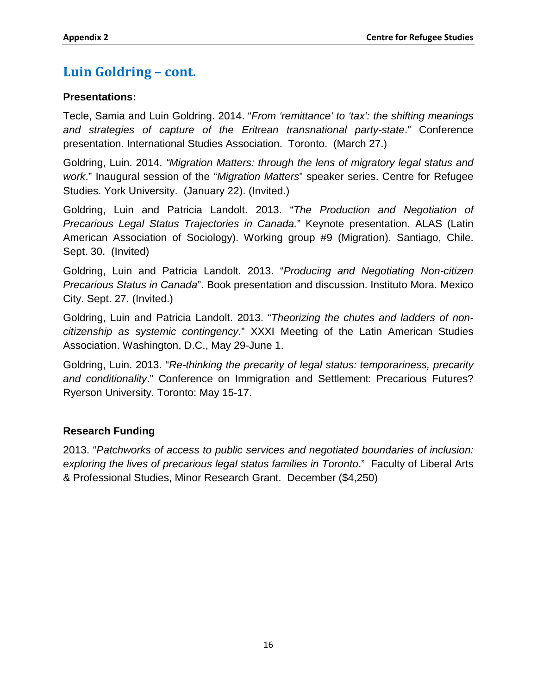# **Luin Goldring – cont.**

### **Presentations:**

Tecle, Samia and Luin Goldring. 2014. "*From 'remittance' to 'tax': the shifting meanings and strategies of capture of the Eritrean transnational party-state*." Conference presentation. International Studies Association. Toronto. (March 27.)

Goldring, Luin. 2014. *"Migration Matters: through the lens of migratory legal status and work*." Inaugural session of the "*Migration Matters*" speaker series. Centre for Refugee Studies. York University. (January 22). (Invited.)

Goldring, Luin and Patricia Landolt. 2013. "*The Production and Negotiation of Precarious Legal Status Trajectories in Canada.*" Keynote presentation. ALAS (Latin American Association of Sociology). Working group #9 (Migration). Santiago, Chile. Sept. 30. (Invited)

Goldring, Luin and Patricia Landolt. 2013. "*Producing and Negotiating Non-citizen Precarious Status in Canada*". Book presentation and discussion. Instituto Mora. Mexico City. Sept. 27. (Invited.)

Goldring, Luin and Patricia Landolt. 2013. "*Theorizing the chutes and ladders of noncitizenship as systemic contingency*." XXXI Meeting of the Latin American Studies Association. Washington, D.C., May 29-June 1.

Goldring, Luin. 2013. "*Re-thinking the precarity of legal status: temporariness, precarity and conditionality*." Conference on Immigration and Settlement: Precarious Futures? Ryerson University. Toronto: May 15-17.

### **Research Funding**

2013. "*Patchworks of access to public services and negotiated boundaries of inclusion: exploring the lives of precarious legal status families in Toronto*." Faculty of Liberal Arts & Professional Studies, Minor Research Grant. December (\$4,250)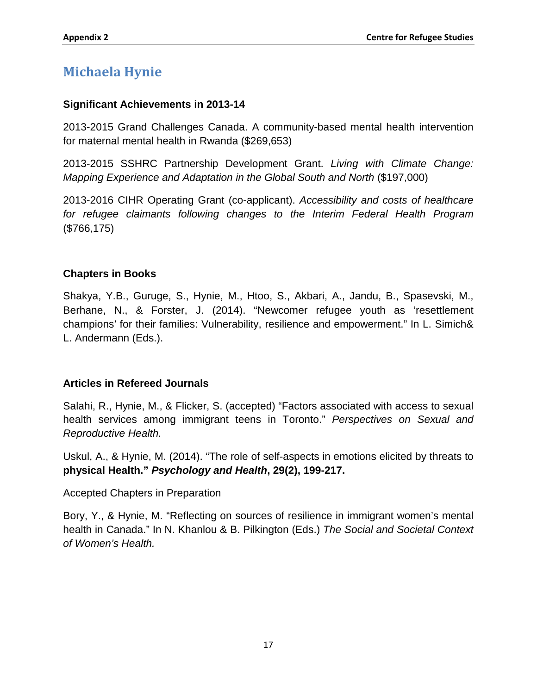# <span id="page-91-0"></span>**Michaela Hynie**

### **Significant Achievements in 2013-14**

2013-2015 Grand Challenges Canada. A community-based mental health intervention for maternal mental health in Rwanda (\$269,653)

2013-2015 SSHRC Partnership Development Grant. *Living with Climate Change: Mapping Experience and Adaptation in the Global South and North* (\$197,000)

2013-2016 CIHR Operating Grant (co-applicant). *Accessibility and costs of healthcare for refugee claimants following changes to the Interim Federal Health Program* (\$766,175)

### **Chapters in Books**

Shakya, Y.B., Guruge, S., Hynie, M., Htoo, S., Akbari, A., Jandu, B., Spasevski, M., Berhane, N., & Forster, J. (2014). "Newcomer refugee youth as 'resettlement champions' for their families: Vulnerability, resilience and empowerment." In L. Simich& L. Andermann (Eds.).

### **Articles in Refereed Journals**

Salahi, R., Hynie, M., & Flicker, S. (accepted) "Factors associated with access to sexual health services among immigrant teens in Toronto." *Perspectives on Sexual and Reproductive Health.*

Uskul, A., & Hynie, M. (2014). "The role of self-aspects in emotions elicited by threats to **physical Health."** *Psychology and Health***, 29(2), 199-217.**

Accepted Chapters in Preparation

Bory, Y., & Hynie, M. "Reflecting on sources of resilience in immigrant women's mental health in Canada." In N. Khanlou & B. Pilkington (Eds.) *The Social and Societal Context of Women's Health.*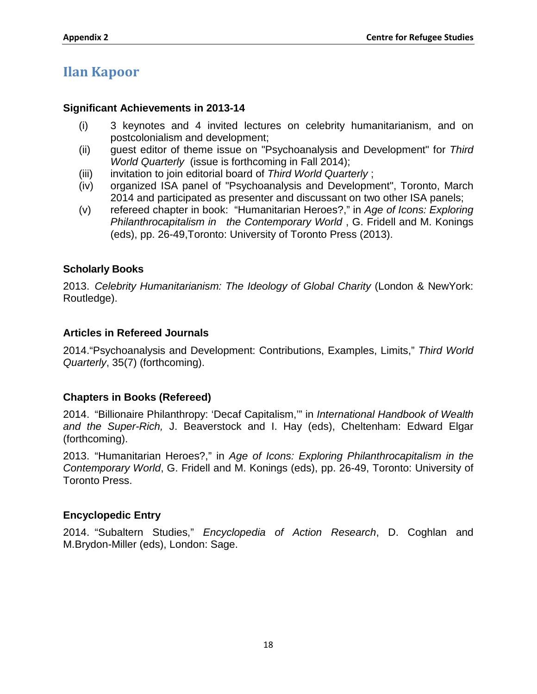# <span id="page-92-0"></span>**Ilan Kapoor**

### **Significant Achievements in 2013-14**

- (i) 3 keynotes and 4 invited lectures on celebrity humanitarianism, and on postcolonialism and development;
- (ii) guest editor of theme issue on "Psychoanalysis and Development" for *Third World Quarterly* (issue is forthcoming in Fall 2014);
- (iii) invitation to join editorial board of *Third World Quarterly* ;
- (iv) organized ISA panel of "Psychoanalysis and Development", Toronto, March 2014 and participated as presenter and discussant on two other ISA panels;
- (v) refereed chapter in book: "Humanitarian Heroes?," in *Age of Icons: Exploring Philanthrocapitalism in the Contemporary World* , G. Fridell and M. Konings (eds), pp. 26-49,Toronto: University of Toronto Press (2013).

### **Scholarly Books**

2013. *Celebrity Humanitarianism: The Ideology of Global Charity* (London & NewYork: Routledge).

### **Articles in Refereed Journals**

2014."Psychoanalysis and Development: Contributions, Examples, Limits," *Third World Quarterly*, 35(7) (forthcoming).

### **Chapters in Books (Refereed)**

2014. "Billionaire Philanthropy: 'Decaf Capitalism,'" in *International Handbook of Wealth and the Super-Rich,* J. Beaverstock and I. Hay (eds), Cheltenham: Edward Elgar (forthcoming).

2013. "Humanitarian Heroes?," in *Age of Icons: Exploring Philanthrocapitalism in the Contemporary World*, G. Fridell and M. Konings (eds), pp. 26-49, Toronto: University of Toronto Press.

### **Encyclopedic Entry**

2014. "Subaltern Studies," *Encyclopedia of Action Research*, D. Coghlan and M.Brydon-Miller (eds), London: Sage.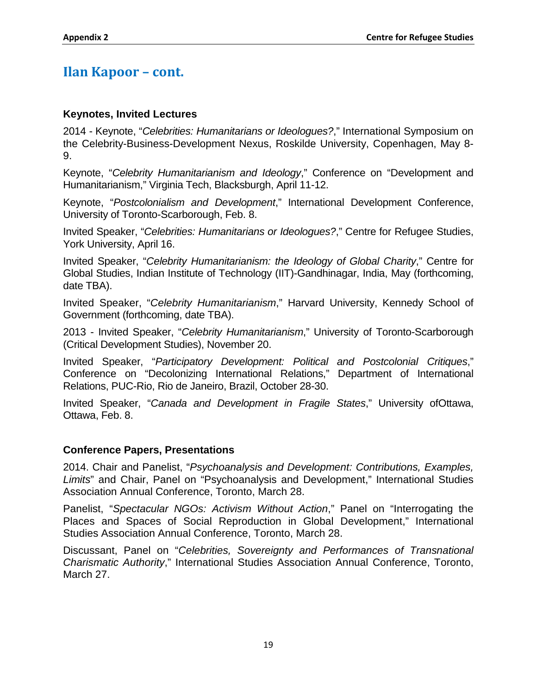### **Ilan Kapoor – cont.**

### **Keynotes, Invited Lectures**

2014 - Keynote, "*Celebrities: Humanitarians or Ideologues?*," International Symposium on the Celebrity-Business-Development Nexus, Roskilde University, Copenhagen, May 8- 9.

Keynote, "*Celebrity Humanitarianism and Ideology*," Conference on "Development and Humanitarianism," Virginia Tech, Blacksburgh, April 11-12.

Keynote, "*Postcolonialism and Development*," International Development Conference, University of Toronto-Scarborough, Feb. 8.

Invited Speaker, "*Celebrities: Humanitarians or Ideologues?*," Centre for Refugee Studies, York University, April 16.

Invited Speaker, "*Celebrity Humanitarianism: the Ideology of Global Charity*," Centre for Global Studies, Indian Institute of Technology (IIT)-Gandhinagar, India, May (forthcoming, date TBA).

Invited Speaker, "*Celebrity Humanitarianism*," Harvard University, Kennedy School of Government (forthcoming, date TBA).

2013 - Invited Speaker, "*Celebrity Humanitarianism*," University of Toronto-Scarborough (Critical Development Studies), November 20.

Invited Speaker, "*Participatory Development: Political and Postcolonial Critiques*," Conference on "Decolonizing International Relations," Department of International Relations, PUC-Rio, Rio de Janeiro, Brazil, October 28-30.

Invited Speaker, "*Canada and Development in Fragile States*," University ofOttawa, Ottawa, Feb. 8.

### **Conference Papers, Presentations**

2014. Chair and Panelist, "*Psychoanalysis and Development: Contributions, Examples, Limits*" and Chair, Panel on "Psychoanalysis and Development," International Studies Association Annual Conference, Toronto, March 28.

Panelist, "*Spectacular NGOs: Activism Without Action*," Panel on "Interrogating the Places and Spaces of Social Reproduction in Global Development," International Studies Association Annual Conference, Toronto, March 28.

Discussant, Panel on "*Celebrities, Sovereignty and Performances of Transnational Charismatic Authority*," International Studies Association Annual Conference, Toronto, March 27.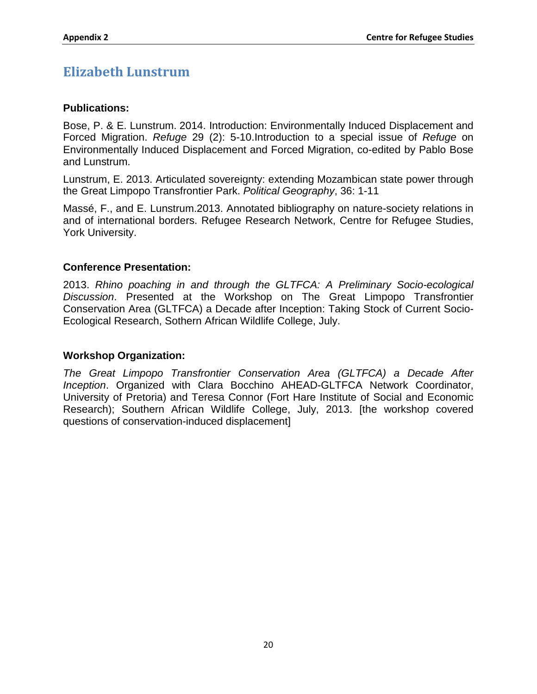# <span id="page-94-0"></span>**Elizabeth Lunstrum**

### **Publications:**

Bose, P. & E. Lunstrum. 2014. Introduction: Environmentally Induced Displacement and Forced Migration. *Refuge* 29 (2): 5-10.Introduction to a special issue of *Refuge* on Environmentally Induced Displacement and Forced Migration, co-edited by Pablo Bose and Lunstrum.

Lunstrum, E. 2013. Articulated sovereignty: extending Mozambican state power through the Great Limpopo Transfrontier Park. *Political Geography*, 36: 1-11

Massé, F., and E. Lunstrum.2013. Annotated bibliography on nature-society relations in and of international borders. Refugee Research Network, Centre for Refugee Studies, York University.

### **Conference Presentation:**

2013. *Rhino poaching in and through the GLTFCA: A Preliminary Socio-ecological Discussion*. Presented at the Workshop on The Great Limpopo Transfrontier Conservation Area (GLTFCA) a Decade after Inception: Taking Stock of Current Socio-Ecological Research, Sothern African Wildlife College, July.

#### **Workshop Organization:**

*The Great Limpopo Transfrontier Conservation Area (GLTFCA) a Decade After Inception*. Organized with Clara Bocchino AHEAD-GLTFCA Network Coordinator, University of Pretoria) and Teresa Connor (Fort Hare Institute of Social and Economic Research); Southern African Wildlife College, July, 2013. [the workshop covered questions of conservation-induced displacement]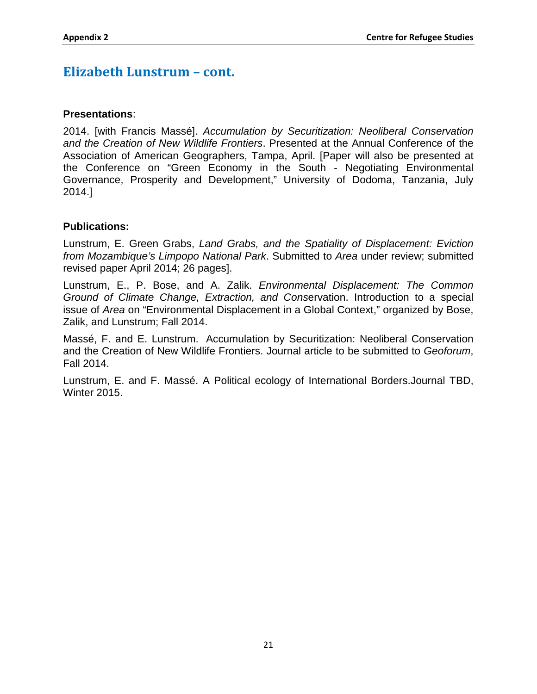### **Elizabeth Lunstrum – cont.**

### **Presentations**:

2014. [with Francis Massé]. *Accumulation by Securitization: Neoliberal Conservation and the Creation of New Wildlife Frontiers*. Presented at the Annual Conference of the Association of American Geographers, Tampa, April. [Paper will also be presented at the Conference on "Green Economy in the South - Negotiating Environmental Governance, Prosperity and Development," University of Dodoma, Tanzania, July 2014.]

### **Publications:**

Lunstrum, E. Green Grabs, *Land Grabs, and the Spatiality of Displacement: Eviction from Mozambique's Limpopo National Park*. Submitted to *Area* under review; submitted revised paper April 2014; 26 pages].

Lunstrum, E., P. Bose, and A. Zalik. *Environmental Displacement: The Common Ground of Climate Change, Extraction, and Cons*ervation. Introduction to a special issue of *Area* on "Environmental Displacement in a Global Context," organized by Bose, Zalik, and Lunstrum; Fall 2014.

Massé, F. and E. Lunstrum. Accumulation by Securitization: Neoliberal Conservation and the Creation of New Wildlife Frontiers. Journal article to be submitted to *Geoforum*, Fall 2014.

Lunstrum, E. and F. Massé. A Political ecology of International Borders.Journal TBD, Winter 2015.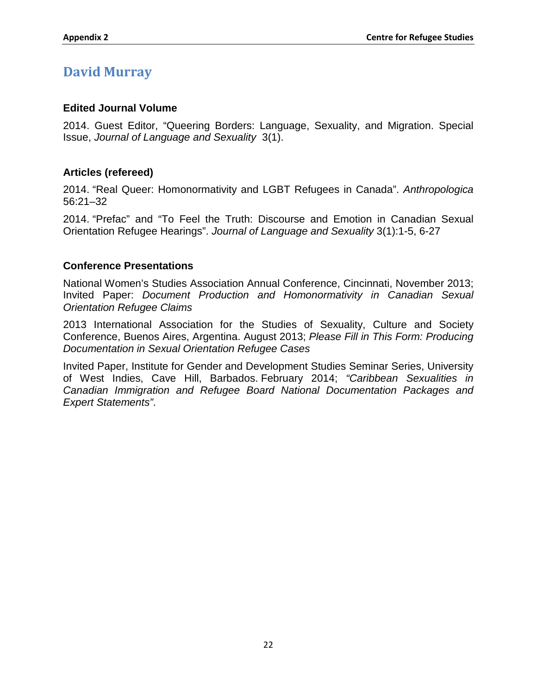### <span id="page-96-0"></span>**David Murray**

### **Edited Journal Volume**

2014. Guest Editor, "Queering Borders: Language, Sexuality, and Migration. Special Issue, *Journal of Language and Sexuality* 3(1).

### **Articles (refereed)**

2014. "Real Queer: Homonormativity and LGBT Refugees in Canada". *Anthropologica* 56:21–32

2014. "Prefac" and "To Feel the Truth: Discourse and Emotion in Canadian Sexual Orientation Refugee Hearings". *Journal of Language and Sexuality* 3(1):1-5, 6-27

### **Conference Presentations**

National Women's Studies Association Annual Conference, Cincinnati, November 2013; Invited Paper: *Document Production and Homonormativity in Canadian Sexual Orientation Refugee Claims*

2013 International Association for the Studies of Sexuality, Culture and Society Conference, Buenos Aires, Argentina. August 2013; *Please Fill in This Form: Producing Documentation in Sexual Orientation Refugee Cases*

Invited Paper, Institute for Gender and Development Studies Seminar Series, University of West Indies, Cave Hill, Barbados. February 2014; *"Caribbean Sexualities in Canadian Immigration and Refugee Board National Documentation Packages and Expert Statements"*.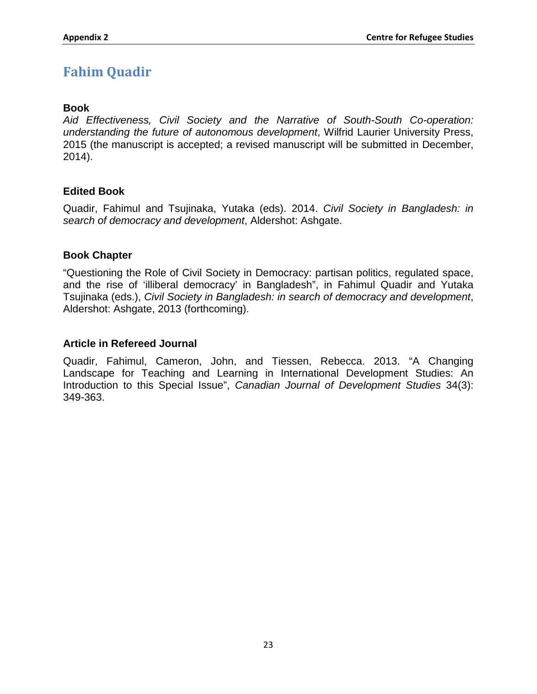# <span id="page-97-0"></span>**Fahim Quadir**

### **Book**

*Aid Effectiveness, Civil Society and the Narrative of South-South Co-operation: understanding the future of autonomous development*, Wilfrid Laurier University Press, 2015 (the manuscript is accepted; a revised manuscript will be submitted in December, 2014).

### **Edited Book**

Quadir, Fahimul and Tsujinaka, Yutaka (eds). 2014. *Civil Society in Bangladesh: in search of democracy and development*, Aldershot: Ashgate.

### **Book Chapter**

"Questioning the Role of Civil Society in Democracy: partisan politics, regulated space, and the rise of 'illiberal democracy' in Bangladesh", in Fahimul Quadir and Yutaka Tsujinaka (eds.), *Civil Society in Bangladesh: in search of democracy and development*, Aldershot: Ashgate, 2013 (forthcoming).

### **Article in Refereed Journal**

Quadir, Fahimul, Cameron, John, and Tiessen, Rebecca. 2013. "A Changing Landscape for Teaching and Learning in International Development Studies: An Introduction to this Special Issue", *Canadian Journal of Development Studies* 34(3): 349-363.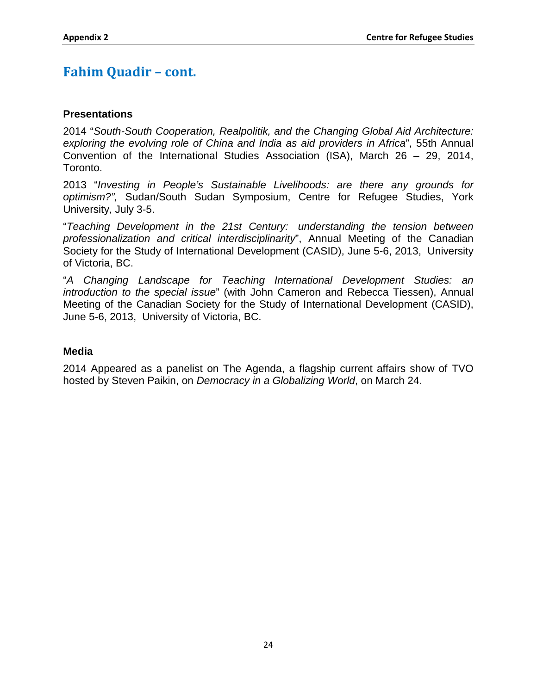# **Fahim Quadir – cont.**

### **Presentations**

2014 "*South-South Cooperation, Realpolitik, and the Changing Global Aid Architecture: exploring the evolving role of China and India as aid providers in Africa*", 55th Annual Convention of the International Studies Association (ISA), March 26 – 29, 2014, Toronto.

2013 "*Investing in People's Sustainable Livelihoods: are there any grounds for optimism?",* Sudan/South Sudan Symposium, Centre for Refugee Studies, York University, July 3-5.

"*Teaching Development in the 21st Century: understanding the tension between professionalization and critical interdisciplinarity*", Annual Meeting of the Canadian Society for the Study of International Development (CASID), June 5-6, 2013, University of Victoria, BC.

"*A Changing Landscape for Teaching International Development Studies: an introduction to the special issue*" (with John Cameron and Rebecca Tiessen), Annual Meeting of the Canadian Society for the Study of International Development (CASID), June 5-6, 2013, University of Victoria, BC.

### **Media**

2014 Appeared as a panelist on The Agenda, a flagship current affairs show of TVO hosted by Steven Paikin, on *Democracy in a Globalizing World*, on March 24.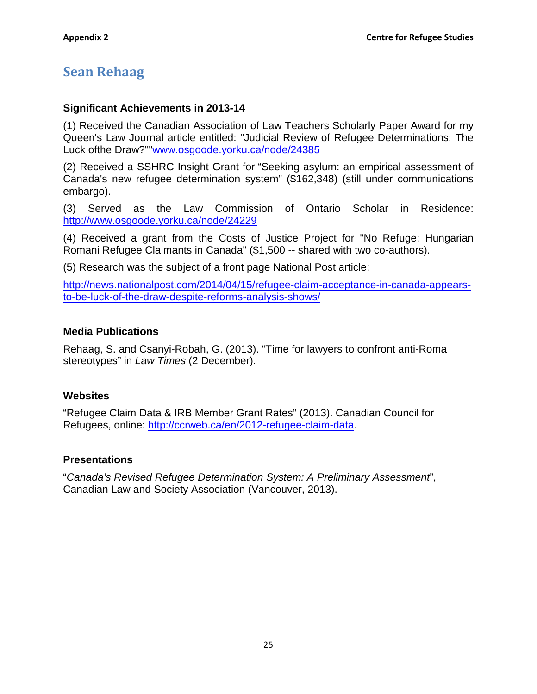# <span id="page-99-0"></span>**Sean Rehaag**

### **Significant Achievements in 2013-14**

(1) Received the Canadian Association of Law Teachers Scholarly Paper Award for my Queen's Law Journal article entitled: "Judicial Review of Refugee Determinations: The Luck ofthe Draw?""www.osgoode.yorku.ca/node/24385

(2) Received a SSHRC Insight Grant for "Seeking asylum: an empirical assessment of Canada's new refugee determination system" (\$162,348) (still under communications embargo).

(3) Served as the Law Commission of Ontario Scholar in Residence: <http://www.osgoode.yorku.ca/node/24229>

(4) Received a grant from the Costs of Justice Project for "No Refuge: Hungarian Romani Refugee Claimants in Canada" (\$1,500 -- shared with two co-authors).

(5) Research was the subject of a front page National Post article:

[http://news.nationalpost.com/2014/04/15/refugee-claim-acceptance-in-canada-appears](http://news.nationalpost.com/2014/04/15/refugee-claim-acceptance-in-canada-appears-to-be-luck-of-the-draw-despite-reforms-analysis-shows/)[to-be-luck-of-the-draw-despite-reforms-analysis-shows/](http://news.nationalpost.com/2014/04/15/refugee-claim-acceptance-in-canada-appears-to-be-luck-of-the-draw-despite-reforms-analysis-shows/)

### **Media Publications**

Rehaag, S. and Csanyi-Robah, G. (2013). "Time for lawyers to confront anti-Roma stereotypes" in *Law Times* (2 December).

### **Websites**

"Refugee Claim Data & IRB Member Grant Rates" (2013). Canadian Council for Refugees, online: [http://ccrweb.ca/en/2012-refugee-claim-data.](http://ccrweb.ca/en/2012-refugee-claim-data)

### **Presentations**

"*Canada's Revised Refugee Determination System: A Preliminary Assessment*", Canadian Law and Society Association (Vancouver, 2013).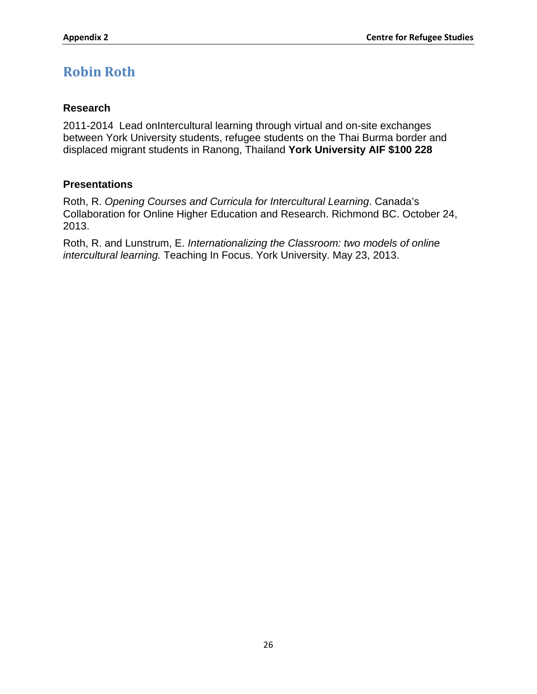# <span id="page-100-0"></span>**Robin Roth**

### **Research**

2011-2014 Lead onIntercultural learning through virtual and on-site exchanges between York University students, refugee students on the Thai Burma border and displaced migrant students in Ranong, Thailand **York University AIF \$100 228**

### **Presentations**

Roth, R. *Opening Courses and Curricula for Intercultural Learning*. Canada's Collaboration for Online Higher Education and Research. Richmond BC. October 24, 2013.

Roth, R. and Lunstrum, E. *Internationalizing the Classroom: two models of online intercultural learning.* Teaching In Focus. York University. May 23, 2013.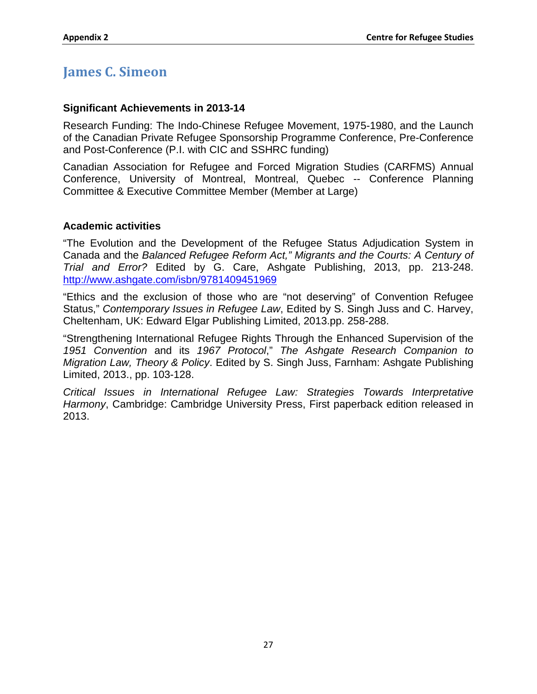## <span id="page-101-0"></span>**James C. Simeon**

### **Significant Achievements in 2013-14**

Research Funding: The Indo-Chinese Refugee Movement, 1975-1980, and the Launch of the Canadian Private Refugee Sponsorship Programme Conference, Pre-Conference and Post-Conference (P.I. with CIC and SSHRC funding)

Canadian Association for Refugee and Forced Migration Studies (CARFMS) Annual Conference, University of Montreal, Montreal, Quebec -- Conference Planning Committee & Executive Committee Member (Member at Large)

### **Academic activities**

"The Evolution and the Development of the Refugee Status Adjudication System in Canada and the *Balanced Refugee Reform Act," Migrants and the Courts: A Century of Trial and Error?* Edited by G. Care, Ashgate Publishing, 2013, pp. 213-248. <http://www.ashgate.com/isbn/9781409451969>

"Ethics and the exclusion of those who are "not deserving" of Convention Refugee Status," *Contemporary Issues in Refugee Law*, Edited by S. Singh Juss and C. Harvey, Cheltenham, UK: Edward Elgar Publishing Limited, 2013.pp. 258-288.

"Strengthening International Refugee Rights Through the Enhanced Supervision of the *1951 Convention* and its *1967 Protocol*," *The Ashgate Research Companion to Migration Law, Theory & Policy*. Edited by S. Singh Juss, Farnham: Ashgate Publishing Limited, 2013., pp. 103-128.

*Critical Issues in International Refugee Law: Strategies Towards Interpretative Harmony*, Cambridge: Cambridge University Press, First paperback edition released in 2013.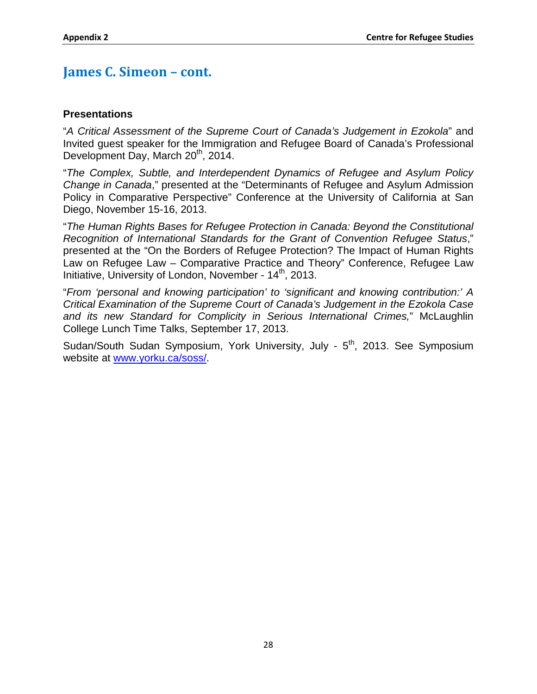### **James C. Simeon – cont.**

### **Presentations**

"*A Critical Assessment of the Supreme Court of Canada's Judgement in Ezokola*" and Invited guest speaker for the Immigration and Refugee Board of Canada's Professional Development Day, March 20<sup>th</sup>, 2014.

"*The Complex, Subtle, and Interdependent Dynamics of Refugee and Asylum Policy Change in Canada*," presented at the "Determinants of Refugee and Asylum Admission Policy in Comparative Perspective" Conference at the University of California at San Diego, November 15-16, 2013.

"*The Human Rights Bases for Refugee Protection in Canada: Beyond the Constitutional Recognition of International Standards for the Grant of Convention Refugee Status*," presented at the "On the Borders of Refugee Protection? The Impact of Human Rights Law on Refugee Law – Comparative Practice and Theory" Conference, Refugee Law Initiative, University of London, November - 14<sup>th</sup>, 2013.

"*From 'personal and knowing participation' to 'significant and knowing contribution:' A Critical Examination of the Supreme Court of Canada's Judgement in the Ezokola Case and its new Standard for Complicity in Serious International Crimes,*" McLaughlin College Lunch Time Talks, September 17, 2013.

Sudan/South Sudan Symposium, York University, July - 5<sup>th</sup>, 2013. See Symposium website at [www.yorku.ca/soss/.](http://www.yorku.ca/soss/)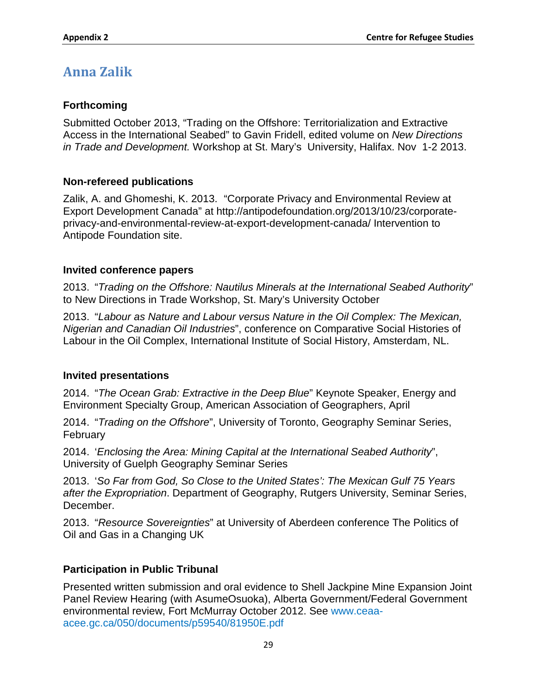# <span id="page-103-0"></span>**Anna Zalik**

### **Forthcoming**

Submitted October 2013, "Trading on the Offshore: Territorialization and Extractive Access in the International Seabed" to Gavin Fridell, edited volume on *New Directions in Trade and Development.* Workshop at St. Mary's University, Halifax. Nov 1-2 2013.

### **Non-refereed publications**

Zalik, A. and Ghomeshi, K. 2013. "Corporate Privacy and Environmental Review at Export Development Canada" at [http://antipodefoundation.org/2013/10/23/corporate](http://antipodefoundation.org/2013/10/23/corporate-privacy-and-environmental-review-at-export-development-canada/)[privacy-and-environmental-review-at-export-development-canada/](http://antipodefoundation.org/2013/10/23/corporate-privacy-and-environmental-review-at-export-development-canada/) Intervention to Antipode Foundation site.

### **Invited conference papers**

2013. "*Trading on the Offshore: Nautilus Minerals at the International Seabed Authority*" to New Directions in Trade Workshop, St. Mary's University October

2013. "*Labour as Nature and Labour versus Nature in the Oil Complex: The Mexican, Nigerian and Canadian Oil Industries*", conference on Comparative Social Histories of Labour in the Oil Complex, International Institute of Social History, Amsterdam, NL.

### **Invited presentations**

2014. "*The Ocean Grab: Extractive in the Deep Blue*" Keynote Speaker, Energy and Environment Specialty Group, American Association of Geographers, April

2014. "*Trading on the Offshore*", University of Toronto, Geography Seminar Series, February

2014. '*Enclosing the Area: Mining Capital at the International Seabed Authority*", University of Guelph Geography Seminar Series

2013. '*So Far from God, So Close to the United States': The Mexican Gulf 75 Years after the Expropriation*. Department of Geography, Rutgers University, Seminar Series, December.

2013. "*Resource Sovereignties*" at University of Aberdeen conference The Politics of Oil and Gas in a Changing UK

### **Participation in Public Tribunal**

Presented written submission and oral evidence to Shell Jackpine Mine Expansion Joint Panel Review Hearing (with AsumeOsuoka), Alberta Government/Federal Government environmental review, Fort McMurray October 2012. See www.ceaaacee.gc.ca/050/documents/p59540/81950E.pdf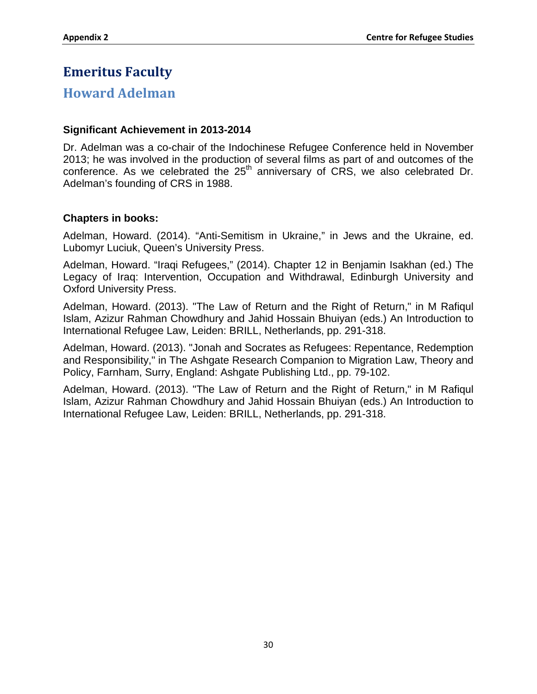# <span id="page-104-0"></span>**Emeritus Faculty**

### <span id="page-104-1"></span>**Howard Adelman**

### **Significant Achievement in 2013-2014**

Dr. Adelman was a co-chair of the Indochinese Refugee Conference held in November 2013; he was involved in the production of several films as part of and outcomes of the conference. As we celebrated the 25<sup>th</sup> anniversary of CRS, we also celebrated Dr. Adelman's founding of CRS in 1988.

### **Chapters in books:**

Adelman, Howard. (2014). "Anti-Semitism in Ukraine," in Jews and the Ukraine, ed. Lubomyr Luciuk, Queen's University Press.

Adelman, Howard. "Iraqi Refugees," (2014). Chapter 12 in Benjamin Isakhan (ed.) The Legacy of Iraq: Intervention, Occupation and Withdrawal, Edinburgh University and Oxford University Press.

Adelman, Howard. (2013). "The Law of Return and the Right of Return," in M Rafiqul Islam, Azizur Rahman Chowdhury and Jahid Hossain Bhuiyan (eds.) An Introduction to International Refugee Law, Leiden: BRILL, Netherlands, pp. 291-318.

Adelman, Howard. (2013). "Jonah and Socrates as Refugees: Repentance, Redemption and Responsibility," in The Ashgate Research Companion to Migration Law, Theory and Policy, Farnham, Surry, England: Ashgate Publishing Ltd., pp. 79-102.

Adelman, Howard. (2013). "The Law of Return and the Right of Return," in M Rafiqul Islam, Azizur Rahman Chowdhury and Jahid Hossain Bhuiyan (eds.) An Introduction to International Refugee Law, Leiden: BRILL, Netherlands, pp. 291-318.